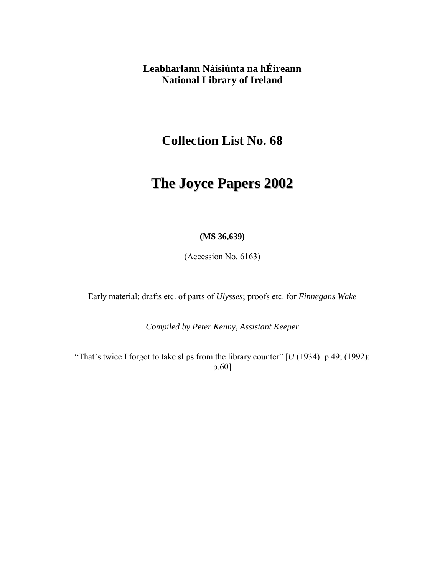**Leabharlann Náisiúnta na hÉireann National Library of Ireland** 

**Collection List No. 68** 

# **The Joyce Papers 2002**

#### **(MS 36,639)**

(Accession No. 6163)

Early material; drafts etc. of parts of *Ulysses*; proofs etc. for *Finnegans Wake* 

*Compiled by Peter Kenny, Assistant Keeper* 

"That's twice I forgot to take slips from the library counter"  $[U(1934)$ : p.49; (1992): p.60]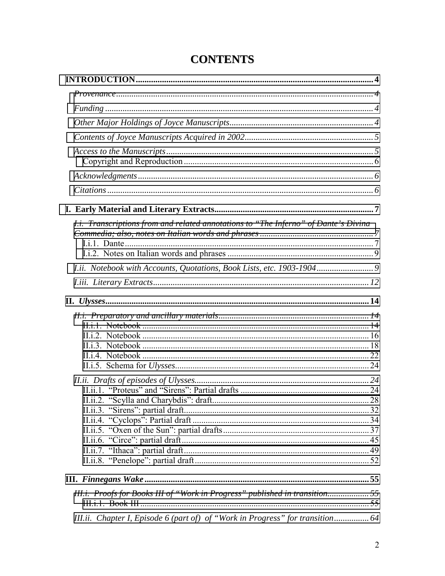| I.i. Transcriptions from and related annotations to "The Inferno" of Dante's Divina |  |
|-------------------------------------------------------------------------------------|--|
|                                                                                     |  |
|                                                                                     |  |
|                                                                                     |  |
|                                                                                     |  |
|                                                                                     |  |
|                                                                                     |  |
|                                                                                     |  |
|                                                                                     |  |
|                                                                                     |  |
|                                                                                     |  |
|                                                                                     |  |
|                                                                                     |  |
|                                                                                     |  |
|                                                                                     |  |
|                                                                                     |  |
|                                                                                     |  |
|                                                                                     |  |
|                                                                                     |  |
|                                                                                     |  |
|                                                                                     |  |
|                                                                                     |  |
|                                                                                     |  |
| III.i. Proofs for Books III of "Work in Progress" published in transition55         |  |
|                                                                                     |  |
| III.ii. Chapter I, Episode 6 (part of) of "Work in Progress" for transition 64      |  |

# **CONTENTS**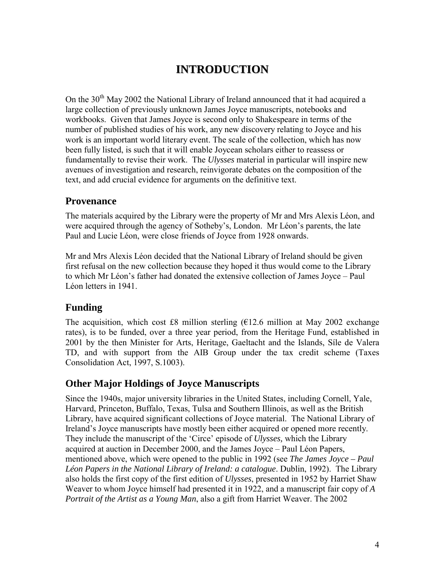# **INTRODUCTION**

<span id="page-3-0"></span>On the 30<sup>th</sup> May 2002 the National Library of Ireland announced that it had acquired a large collection of previously unknown James Joyce manuscripts, notebooks and workbooks. Given that James Joyce is second only to Shakespeare in terms of the number of published studies of his work, any new discovery relating to Joyce and his work is an important world literary event. The scale of the collection, which has now been fully listed, is such that it will enable Joycean scholars either to reassess or fundamentally to revise their work. The *Ulysses* material in particular will inspire new avenues of investigation and research, reinvigorate debates on the composition of the text, and add crucial evidence for arguments on the definitive text.

# **Provenance**

The materials acquired by the Library were the property of Mr and Mrs Alexis Léon, and were acquired through the agency of Sotheby's, London. Mr Léon's parents, the late Paul and Lucie Léon, were close friends of Joyce from 1928 onwards.

Mr and Mrs Alexis Léon decided that the National Library of Ireland should be given first refusal on the new collection because they hoped it thus would come to the Library to which Mr Léon's father had donated the extensive collection of James Joyce – Paul Léon letters in 1941.

# **Funding**

The acquisition, which cost £8 million sterling  $(E12.6 \text{ million at May } 2002 \text{ exchange})$ rates), is to be funded, over a three year period, from the Heritage Fund, established in 2001 by the then Minister for Arts, Heritage, Gaeltacht and the Islands, SÌle de Valera TD, and with support from the AIB Group under the tax credit scheme (Taxes Consolidation Act, 1997, S.1003).

# **Other Major Holdings of Joyce Manuscripts**

Since the 1940s, major university libraries in the United States, including Cornell, Yale, Harvard, Princeton, Buffalo, Texas, Tulsa and Southern Illinois, as well as the British Library, have acquired significant collections of Joyce material. The National Library of Ireland's Joyce manuscripts have mostly been either acquired or opened more recently. They include the manuscript of the 'Circe' episode of *Ulysses*, which the Library acquired at auction in December 2000, and the James Joyce – Paul Léon Papers, mentioned above, which were opened to the public in 1992 (see *The James Joyce – Paul Léon Papers in the National Library of Ireland: a catalogue*. Dublin, 1992). The Library also holds the first copy of the first edition of *Ulysses*, presented in 1952 by Harriet Shaw Weaver to whom Joyce himself had presented it in 1922, and a manuscript fair copy of *A Portrait of the Artist as a Young Man*, also a gift from Harriet Weaver. The 2002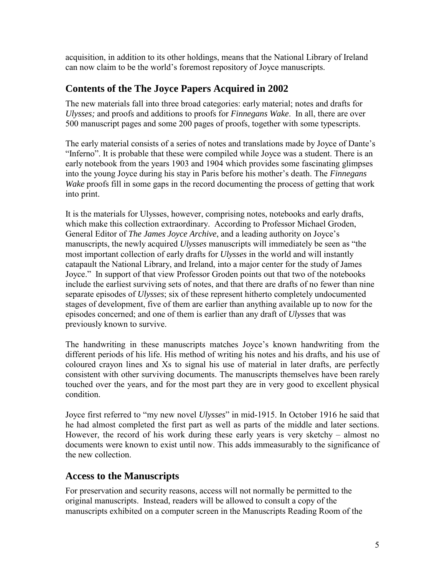<span id="page-4-0"></span>acquisition, in addition to its other holdings, means that the National Library of Ireland can now claim to be the world's foremost repository of Joyce manuscripts.

# **Contents of the The Joyce Papers Acquired in 2002**

The new materials fall into three broad categories: early material; notes and drafts for *Ulysses;* and proofs and additions to proofs for *Finnegans Wake*. In all, there are over 500 manuscript pages and some 200 pages of proofs, together with some typescripts.

The early material consists of a series of notes and translations made by Joyce of Dante's "Inferno". It is probable that these were compiled while Joyce was a student. There is an early notebook from the years 1903 and 1904 which provides some fascinating glimpses into the young Joyce during his stay in Paris before his mother's death. The *Finnegans Wake* proofs fill in some gaps in the record documenting the process of getting that work into print.

It is the materials for Ulysses, however, comprising notes, notebooks and early drafts, which make this collection extraordinary. According to Professor Michael Groden, General Editor of *The James Joyce Archive*, and a leading authority on Joyce's manuscripts, the newly acquired *Ulysses* manuscripts will immediately be seen as "the most important collection of early drafts for *Ulysses* in the world and will instantly catapault the National Library, and Ireland, into a major center for the study of James Joyce." In support of that view Professor Groden points out that two of the notebooks include the earliest surviving sets of notes, and that there are drafts of no fewer than nine separate episodes of *Ulysses*; six of these represent hitherto completely undocumented stages of development, five of them are earlier than anything available up to now for the episodes concerned; and one of them is earlier than any draft of *Ulysses* that was previously known to survive.

The handwriting in these manuscripts matches Joyce's known handwriting from the different periods of his life. His method of writing his notes and his drafts, and his use of coloured crayon lines and Xs to signal his use of material in later drafts, are perfectly consistent with other surviving documents. The manuscripts themselves have been rarely touched over the years, and for the most part they are in very good to excellent physical condition.

Joyce first referred to "my new novel *Ulysses*" in mid-1915. In October 1916 he said that he had almost completed the first part as well as parts of the middle and later sections. However, the record of his work during these early years is very sketchy  $-$  almost no documents were known to exist until now. This adds immeasurably to the significance of the new collection.

# **Access to the Manuscripts**

For preservation and security reasons, access will not normally be permitted to the original manuscripts. Instead, readers will be allowed to consult a copy of the manuscripts exhibited on a computer screen in the Manuscripts Reading Room of the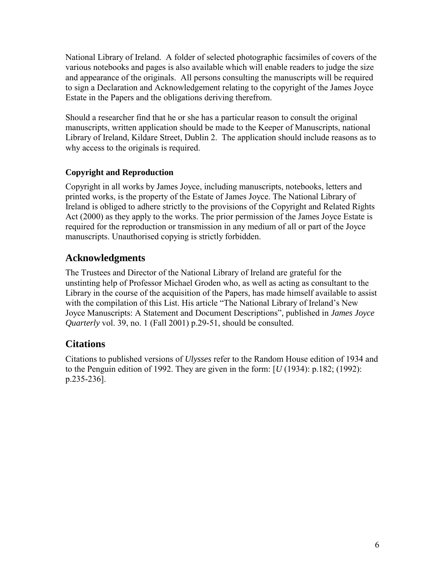<span id="page-5-0"></span>National Library of Ireland. A folder of selected photographic facsimiles of covers of the various notebooks and pages is also available which will enable readers to judge the size and appearance of the originals. All persons consulting the manuscripts will be required to sign a Declaration and Acknowledgement relating to the copyright of the James Joyce Estate in the Papers and the obligations deriving therefrom.

Should a researcher find that he or she has a particular reason to consult the original manuscripts, written application should be made to the Keeper of Manuscripts, national Library of Ireland, Kildare Street, Dublin 2. The application should include reasons as to why access to the originals is required.

# **Copyright and Reproduction**

Copyright in all works by James Joyce, including manuscripts, notebooks, letters and printed works, is the property of the Estate of James Joyce. The National Library of Ireland is obliged to adhere strictly to the provisions of the Copyright and Related Rights Act (2000) as they apply to the works. The prior permission of the James Joyce Estate is required for the reproduction or transmission in any medium of all or part of the Joyce manuscripts. Unauthorised copying is strictly forbidden.

# **Acknowledgments**

The Trustees and Director of the National Library of Ireland are grateful for the unstinting help of Professor Michael Groden who, as well as acting as consultant to the Library in the course of the acquisition of the Papers, has made himself available to assist with the compilation of this List. His article "The National Library of Ireland's New Joyce Manuscripts: A Statement and Document Descriptions", published in *James Joyce Quarterly* vol. 39, no. 1 (Fall 2001) p.29-51, should be consulted.

# **Citations**

Citations to published versions of *Ulysses* refer to the Random House edition of 1934 and to the Penguin edition of 1992. They are given in the form: [*U* (1934): p.182; (1992): p.235-236].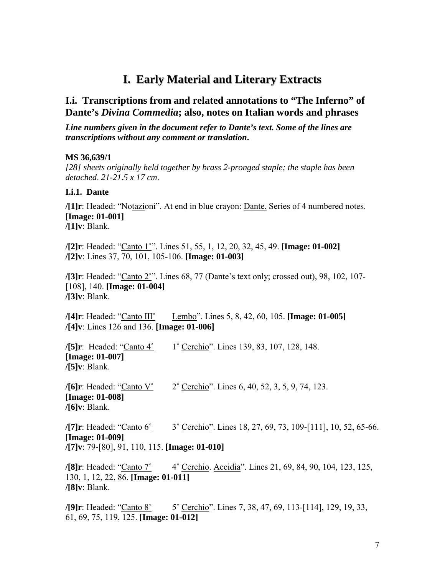# **I. Early Material and Literary Extracts**

# <span id="page-6-0"></span>**I.i. Transcriptions from and related annotations to "The Inferno" of Dante's** *Divina Commedia***; also, notes on Italian words and phrases**

*Line numbers given in the document refer to Dante's text. Some of the lines are transcriptions without any comment or translation***.** 

#### **MS 36,639/1**

*[28] sheets originally held together by brass 2-pronged staple; the staple has been detached*. *21-21.5 x 17 cm*.

#### **I.i.1. Dante**

**/[1]r**: Headed: "Notazioni". At end in blue crayon: Dante. Series of 4 numbered notes. **[Image: 01-001] /[1]v**: Blank.

*/***[2] r**: Headed: "Canto 1°". Lines 51, 55, 1, 12, 20, 32, 45, 49. **[Image: 01-002] /[2]v**: Lines 37, 70, 101, 105-106. **[Image: 01-003]** 

**/[3]r**: Headed: "Canto 2°". Lines 68, 77 (Dante's text only; crossed out), 98, 102, 107-[108], 140. **[Image: 01-004] /[3]v**: Blank.

*/***[4]r**: Headed: "Canto III" Lembo". Lines 5, 8, 42, 60, 105. **[Image: 01-005] /[4]v**: Lines 126 and 136. **[Image: 01-006]** 

**/[5] r**: Headed: "Canto 4° 1° Cerchio". Lines 139, 83, 107, 128, 148. **[Image: 01-007] /[5]v**: Blank.

**/[6] r**: Headed: "Canto V° 2° Cerchio". Lines 6, 40, 52, 3, 5, 9, 74, 123. **[Image: 01-008] /[6]v**: Blank.

**/[7] r**: Headed: "Canto 6° <sup>3</sup> Cerchio". Lines 18, 27, 69, 73, 109-[111], 10, 52, 65-66. **[Image: 01-009] /[7]v**: 79-[80], 91, 110, 115. **[Image: 01-010]** 

**/[8]r**: Headed: "Canto 7° 4° Cerchio. Accidia". Lines 21, 69, 84, 90, 104, 123, 125, 130, 1, 12, 22, 86. **[Image: 01-011] /[8]v**: Blank.

**/[9] r**: Headed: "Canto 8° 5° Cerchio". Lines 7, 38, 47, 69, 113-[114], 129, 19, 33, 61, 69, 75, 119, 125. **[Image: 01-012]**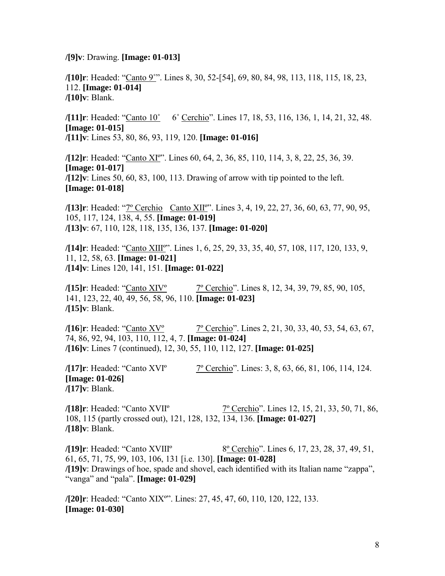**/[9]v**: Drawing. **[Image: 01-013]** 

**/[10]r**: Headed: ìCanto 9˚î. Lines 8, 30, 52-[54], 69, 80, 84, 98, 113, 118, 115, 18, 23, 112. **[Image: 01-014] /[10]v**: Blank.

**/[11] r**: Headed: "Canto 10° 6° Cerchio". Lines 17, 18, 53, 116, 136, 1, 14, 21, 32, 48. **[Image: 01-015] /[11]v**: Lines 53, 80, 86, 93, 119, 120. **[Image: 01-016]** 

**/[12] r**: Headed: "Canto XI°". Lines 60, 64, 2, 36, 85, 110, 114, 3, 8, 22, 25, 36, 39. **[Image: 01-017] /[12]v**: Lines 50, 60, 83, 100, 113. Drawing of arrow with tip pointed to the left. **[Image: 01-018]** 

**/[13]r**: Headed: "<u>7° Cerchio</u> Canto XII°". Lines 3, 4, 19, 22, 27, 36, 60, 63, 77, 90, 95, 105, 117, 124, 138, 4, 55. **[Image: 01-019] /[13]v**: 67, 110, 128, 118, 135, 136, 137. **[Image: 01-020]** 

**/[14]r**: Headed: "Canto XIII°". Lines 1, 6, 25, 29, 33, 35, 40, 57, 108, 117, 120, 133, 9, 11, 12, 58, 63. **[Image: 01-021] /[14]v**: Lines 120, 141, 151. **[Image: 01-022]** 

**/[15] r**: Headed: "Canto XIV<sup>°</sup> 7<sup>°</sup> Cerchio". Lines 8, 12, 34, 39, 79, 85, 90, 105, 141, 123, 22, 40, 49, 56, 58, 96, 110. **[Image: 01-023] /[15]v**: Blank.

**/[16]r**: Headed: "Canto XV° 7° Cerchio". Lines 2, 21, 30, 33, 40, 53, 54, 63, 67, 74, 86, 92, 94, 103, 110, 112, 4, 7. **[Image: 01-024] /[16]v**: Lines 7 (continued), 12, 30, 55, 110, 112, 127. **[Image: 01-025]** 

**/[17]r**: Headed: "Canto XVI° 7° Cerchio". Lines: 3, 8, 63, 66, 81, 106, 114, 124. **[Image: 01-026] /[17]v**: Blank.

**/[18] r**: Headed: "Canto XVII<sup>o</sup> 7<sup>o</sup> Cerchio". Lines 12, 15, 21, 33, 50, 71, 86, 108, 115 (partly crossed out), 121, 128, 132, 134, 136. **[Image: 01-027] /[18]v**: Blank.

**/[19]r**: Headed: "Canto XVIII<sup>°</sup> 8<sup>°</sup> Cerchio<sup>"</sup>. Lines 6, 17, 23, 28, 37, 49, 51, 61, 65, 71, 75, 99, 103, 106, 131 [i.e. 130]. **[Image: 01-028] /[19]v**: Drawings of hoe, spade and shovel, each identified with its Italian name "zappa", "vanga" and "pala". **[Image: 01-029]** 

**/[20]r**: Headed: "Canto XIX"". Lines: 27, 45, 47, 60, 110, 120, 122, 133. **[Image: 01-030]**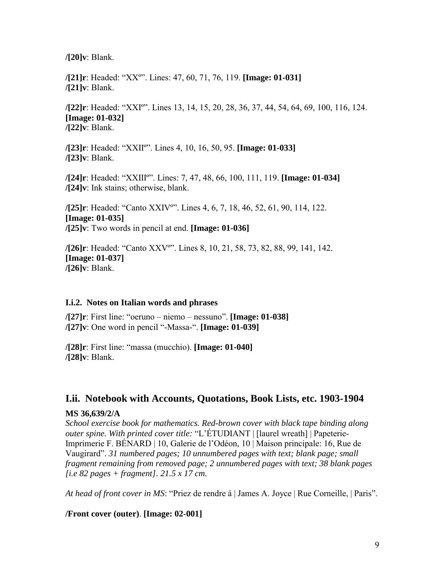<span id="page-8-0"></span>**/[20]v**: Blank.

**/[21]r**: Headed: ìXXºî. Lines: 47, 60, 71, 76, 119. **[Image: 01-031] /[21]v**: Blank.

**/[22]r**: Headed: ìXXIºî. Lines 13, 14, 15, 20, 28, 36, 37, 44, 54, 64, 69, 100, 116, 124. **[Image: 01-032] /[22]v**: Blank.

**/[23]r**: Headed: ìXXIIºî. Lines 4, 10, 16, 50, 95. **[Image: 01-033] /[23]v**: Blank.

**/[24]r**: Headed: ìXXIIIºî. Lines: 7, 47, 48, 66, 100, 111, 119. **[Image: 01-034] /[24]v**: Ink stains; otherwise, blank.

**/[25]r**: Headed: "Canto XXIV<sup>o</sup>". Lines 4, 6, 7, 18, 46, 52, 61, 90, 114, 122. **[Image: 01-035] /[25]v**: Two words in pencil at end. **[Image: 01-036]** 

**/[26]r**: Headed: "Canto XXV<sup>o</sup>". Lines 8, 10, 21, 58, 73, 82, 88, 99, 141, 142. **[Image: 01-037] /[26]v**: Blank.

#### **I.i.2. Notes on Italian words and phrases**

**/[27]r**: First line: "oeruno – niemo – nessuno". **[Image: 01-038] /[27]v**: One word in pencil "-Massa-". **[Image: 01-039]** 

**/[28]r**: First line: "massa (mucchio). **[Image: 01-040] /[28]v**: Blank.

#### **I.ii. Notebook with Accounts, Quotations, Book Lists, etc. 1903-1904**

#### **MS 36,639/2/A**

*School exercise book for mathematics. Red-brown cover with black tape binding along outer spine. With printed cover title:* "L'ÉTUDIANT | [laurel wreath] | Papeterie-Imprimerie F. BÉNARD | 10, Galerie de l'Odéon, 10 | Maison principale: 16, Rue de Vaugirardî. *31 numbered pages; 10 unnumbered pages with text; blank page; small fragment remaining from removed page; 2 unnumbered pages with text; 38 blank pages [i.e 82 pages + fragment]. 21.5 x 17 cm.*

*At head of front cover in MS*: "Priez de rendre à *| James A. Joyce | Rue Corneille, | Paris*".

#### **/Front cover (outer)**. **[Image: 02-001]**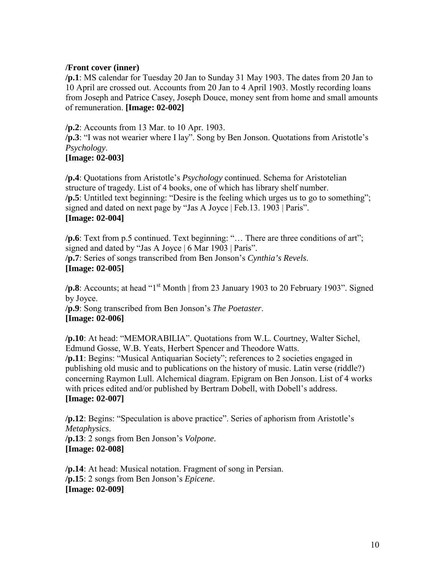#### **/Front cover (inner)**

**/p.1**: MS calendar for Tuesday 20 Jan to Sunday 31 May 1903. The dates from 20 Jan to 10 April are crossed out. Accounts from 20 Jan to 4 April 1903. Mostly recording loans from Joseph and Patrice Casey, Joseph Douce, money sent from home and small amounts of remuneration. **[Image: 02-002]** 

**/p.2**: Accounts from 13 Mar. to 10 Apr. 1903.

**/p.3**: "I was not wearier where I lay". Song by Ben Jonson. Quotations from Aristotle's *Psychology*.

#### **[Image: 02-003]**

**/p.4**: Quotations from Aristotle's *Psychology* continued. Schema for Aristotelian structure of tragedy. List of 4 books, one of which has library shelf number.  $\pi$ .5: Untitled text beginning: "Desire is the feeling which urges us to go to something"; signed and dated on next page by "Jas A Joyce | Feb.13. 1903 | Paris". **[Image: 02-004]** 

/p.6: Text from p.5 continued. Text beginning: "... There are three conditions of art"; signed and dated by "Jas A Joyce  $\vert 6$  Mar 1903  $\vert$  Paris". **/p.7**: Series of songs transcribed from Ben Jonson's *Cynthia's Revels*. **[Image: 02-005]** 

**/p.8**: Accounts; at head " $1<sup>st</sup>$  Month | from 23 January 1903 to 20 February 1903". Signed by Joyce. **/p.9**: Song transcribed from Ben Jonson's *The Poetaster*. **[Image: 02-006]** 

**/p.10**: At head: "MEMORABILIA". Quotations from W.L. Courtney, Walter Sichel, Edmund Gosse, W.B. Yeats, Herbert Spencer and Theodore Watts. **/p.11**: Begins: "Musical Antiquarian Society"; references to 2 societies engaged in publishing old music and to publications on the history of music. Latin verse (riddle?) concerning Raymon Lull. Alchemical diagram. Epigram on Ben Jonson. List of 4 works with prices edited and/or published by Bertram Dobell, with Dobell's address. **[Image: 02-007]** 

**/p.12**: Begins: "Speculation is above practice". Series of aphorism from Aristotle's *Metaphysics*. **/p.13**: 2 songs from Ben Jonson's *Volpone*. **[Image: 02-008]** 

**/p.14**: At head: Musical notation. Fragment of song in Persian. **/p.15**: 2 songs from Ben Jonson's *Epicene*. **[Image: 02-009]**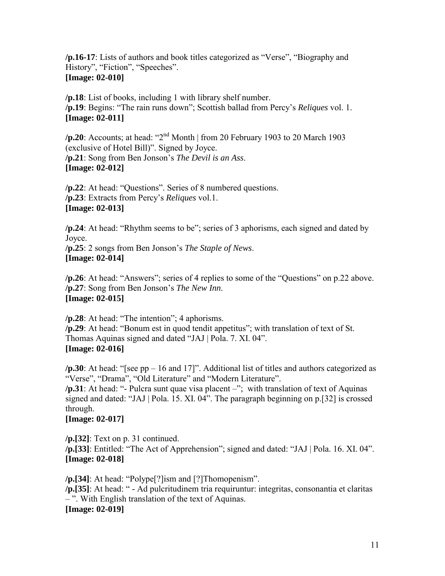**/p.16-17**: Lists of authors and book titles categorized as "Verse", "Biography and History", "Fiction", "Speeches". **[Image: 02-010]** 

**/p.18**: List of books, including 1 with library shelf number. **/p.19**: Begins: ìThe rain runs downî; Scottish ballad from Percyís *Reliques* vol. 1. **[Image: 02-011]** 

**/p.20**: Accounts; at head:  $^{42}$ <sup>nd</sup> Month | from 20 February 1903 to 20 March 1903 (exclusive of Hotel Bill)". Signed by Joyce. **/p.21**: Song from Ben Jonson's *The Devil is an Ass.* **[Image: 02-012]** 

**/p.22**: At head: "Questions". Series of 8 numbered questions. **/p.23**: Extracts from Percyís *Reliques* vol.1. **[Image: 02-013]** 

**/p.24**: At head: "Rhythm seems to be"; series of 3 aphorisms, each signed and dated by Joyce.

**/p.25**: 2 songs from Ben Jonson's *The Staple of News*. **[Image: 02-014]** 

**/p.26**: At head: "Answers"; series of 4 replies to some of the "Questions" on p.22 above. **/p.27**: Song from Ben Jonson's *The New Inn*. **[Image: 02-015]** 

 $/p.28$ : At head: "The intention"; 4 aphorisms. **/p.29**: At head: "Bonum est in quod tendit appetitus"; with translation of text of St. Thomas Aquinas signed and dated "JAJ | Pola. 7. XI. 04". **[Image: 02-016]** 

 $\pi$ **p.30**: At head: "[see pp – 16 and 17]". Additional list of titles and authors categorized as "Verse", "Drama", "Old Literature" and "Modern Literature".

**/p.31**: At head: "- Pulcra sunt quae visa placent –"; with translation of text of Aquinas signed and dated: "JAJ | Pola. 15. XI. 04". The paragraph beginning on p.[32] is crossed through.

**[Image: 02-017]** 

**/p.[32]**: Text on p. 31 continued. /p.[33]: Entitled: "The Act of Apprehension"; signed and dated: "JAJ | Pola. 16. XI. 04". **[Image: 02-018]** 

/p.[34]: At head: "Polype<sup>[?]</sup>ism and [?]Thomopenism". /p.[35]: At head: " - Ad pulcritudinem tria requiruntur: integritas, consonantia et claritas  $-$ ". With English translation of the text of Aquinas. **[Image: 02-019]**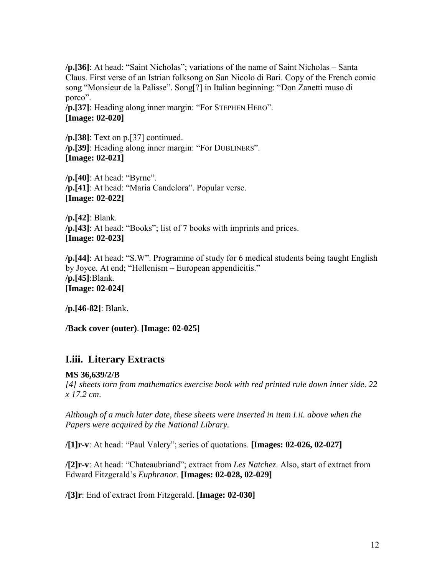<span id="page-11-0"></span>**/p.**[36]: At head: "Saint Nicholas"; variations of the name of Saint Nicholas – Santa Claus. First verse of an Istrian folksong on San Nicolo di Bari. Copy of the French comic song "Monsieur de la Palisse". Song[?] in Italian beginning: "Don Zanetti muso di porco".

/p.[37]: Heading along inner margin: "For STEPHEN HERO". **[Image: 02-020]** 

**/p.[38]**: Text on p.[37] continued. /p.[39]: Heading along inner margin: "For DUBLINERS". **[Image: 02-021]** 

**/p.[40]**: At head: "Byrne". /p.[41]: At head: "Maria Candelora". Popular verse. **[Image: 02-022]** 

**/p.[42]**: Blank. **/p.[43]**: At head: "Books"; list of 7 books with imprints and prices. **[Image: 02-023]** 

**/p.**[44]: At head: "S.W". Programme of study for 6 medical students being taught English by Joyce. At end; "Hellenism – European appendicitis." **/p.[45]**:Blank. **[Image: 02-024]**

**/p.[46-82]**: Blank.

**/Back cover (outer)**. **[Image: 02-025]** 

# **I.iii. Literary Extracts**

#### **MS 36,639/2/B**

*[4] sheets torn from mathematics exercise book with red printed rule down inner side*. *22 x 17.2 cm*.

*Although of a much later date, these sheets were inserted in item I.ii. above when the Papers were acquired by the National Library.* 

**/[1] r-v**: At head: "Paul Valery"; series of quotations. **[Images: 02-026, 02-027]** 

**/[2]r-v**: At head: "Chateaubriand"; extract from *Les Natchez*. Also, start of extract from Edward Fitzgeraldís *Euphranor*. **[Images: 02-028, 02-029]** 

**/[3]r**: End of extract from Fitzgerald. **[Image: 02-030]**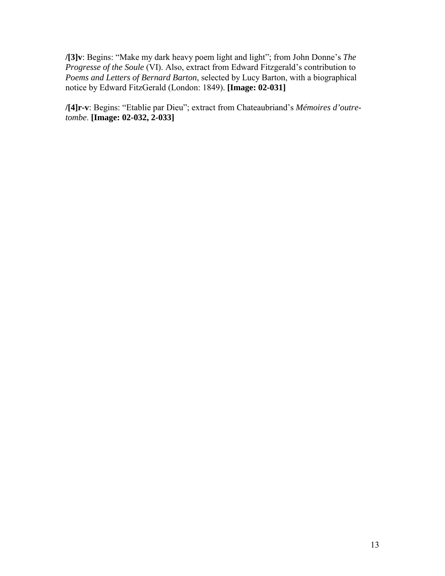**/[3]v**: Begins: "Make my dark heavy poem light and light"; from John Donne's *The Progresse of the Soule* (VI). Also, extract from Edward Fitzgerald's contribution to *Poems and Letters of Bernard Barton*, selected by Lucy Barton, with a biographical notice by Edward FitzGerald (London: 1849). **[Image: 02-031]** 

/[4]r-v: Begins: "Etablie par Dieu"; extract from Chateaubriand's Mémoires d'outre*tombe*. **[Image: 02-032, 2-033]**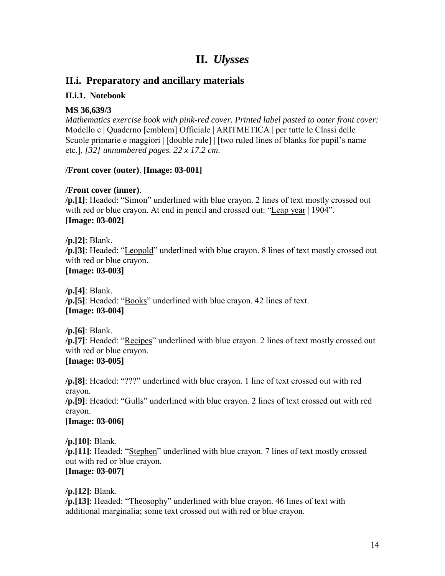# **II.** *Ulysses*

# <span id="page-13-0"></span>**II.i. Preparatory and ancillary materials**

#### **II.i.1. Notebook**

#### **MS 36,639/3**

*Mathematics exercise book with pink-red cover. Printed label pasted to outer front cover:*  Modello c | Quaderno [emblem] Officiale | ARITMETICA | per tutte le Classi delle Scuole primarie e maggiori | [double rule] | [two ruled lines of blanks for pupil's name etc.]. *[32] unnumbered pages. 22 x 17.2 cm*.

### **/Front cover (outer)**. **[Image: 03-001]**

### **/Front cover (inner)**.

/p.[1]: Headed: "Simon" underlined with blue crayon. 2 lines of text mostly crossed out with red or blue crayon. At end in pencil and crossed out: "Leap year  $| 1904$ ". **[Image: 03-002]** 

**/p.[2]**: Blank. **/p.[3]**: Headed: "Leopold" underlined with blue crayon. 8 lines of text mostly crossed out with red or blue crayon. **[Image: 03-003]** 

**/p.[4]**: Blank. **/p.[5]**: Headed: "Books" underlined with blue crayon. 42 lines of text. **[Image: 03-004]** 

**/p.[6]**: Blank. **/p.[7]**: Headed: "Recipes" underlined with blue crayon. 2 lines of text mostly crossed out with red or blue crayon. **[Image: 03-005]** 

**/p.[8]**: Headed: "???" underlined with blue crayon. 1 line of text crossed out with red crayon.

**/p.[9]**: Headed: "Gulls" underlined with blue crayon. 2 lines of text crossed out with red crayon.

#### **[Image: 03-006]**

**/p.[10]**: Blank. /p.[11]: Headed: "Stephen" underlined with blue crayon. 7 lines of text mostly crossed out with red or blue crayon. **[Image: 03-007]** 

**/p.[12]**: Blank.

**/p.[13]**: Headed: "Theosophy" underlined with blue crayon. 46 lines of text with additional marginalia; some text crossed out with red or blue crayon.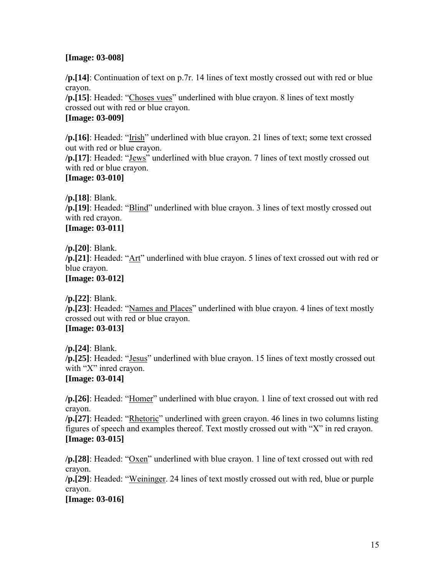#### **[Image: 03-008]**

**/p.[14]**: Continuation of text on p.7r. 14 lines of text mostly crossed out with red or blue crayon.

**/p.[15]**: Headed: "Choses vues" underlined with blue crayon. 8 lines of text mostly crossed out with red or blue crayon.

# **[Image: 03-009]**

**/p.[16]**: Headed: "Irish" underlined with blue crayon. 21 lines of text; some text crossed out with red or blue crayon.

**/p.[17]**: Headed: "Jews" underlined with blue crayon. 7 lines of text mostly crossed out with red or blue crayon.

# **[Image: 03-010]**

**/p.[18]**: Blank.

**/p.[19]**: Headed: "Blind" underlined with blue crayon. 3 lines of text mostly crossed out with red crayon.

# **[Image: 03-011]**

**/p.[20]**: Blank.

**/p.**[21]: Headed: "Art" underlined with blue crayon. 5 lines of text crossed out with red or blue crayon.

**[Image: 03-012]** 

**/p.[22]**: Blank.

**/p.**[23]: Headed: "Names and Places" underlined with blue crayon. 4 lines of text mostly crossed out with red or blue crayon.

# **[Image: 03-013]**

**/p.[24]**: Blank. **/p.**[25]: Headed: "Jesus" underlined with blue crayon. 15 lines of text mostly crossed out with " $X$ " inred crayon. **[Image: 03-014]** 

**/p.**[26]: Headed: "Homer" underlined with blue crayon. 1 line of text crossed out with red crayon.

**/p.[27]**: Headed: "Rhetoric" underlined with green crayon. 46 lines in two columns listing figures of speech and examples thereof. Text mostly crossed out with  $X''$  in red crayon. **[Image: 03-015]** 

**/p.[28]**: Headed: "Oxen" underlined with blue crayon. 1 line of text crossed out with red crayon.

**/p.[29]**: Headed: "Weininger. 24 lines of text mostly crossed out with red, blue or purple crayon.

**[Image: 03-016]**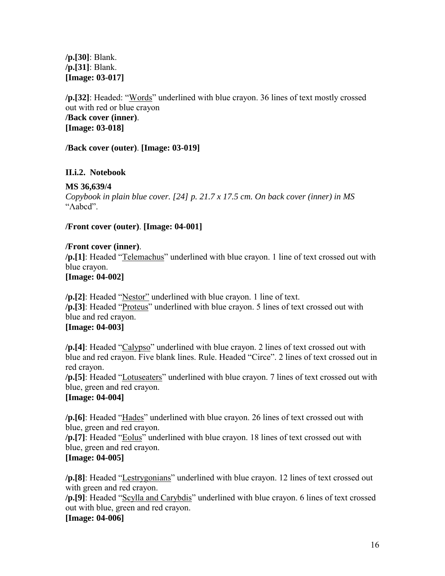<span id="page-15-0"></span>**/p.[30]**: Blank. **/p.[31]**: Blank. **[Image: 03-017]** 

**/p.**[32]: Headed: "Words" underlined with blue crayon. 36 lines of text mostly crossed out with red or blue crayon **/Back cover (inner)**. **[Image: 03-018]** 

**/Back cover (outer)**. **[Image: 03-019]** 

#### **II.i.2. Notebook**

#### **MS 36,639/4**

*Copybook in plain blue cover. [24] p. 21.7 x 17.5 cm. On back cover (inner) in MS*  "Λabcd".

#### **/Front cover (outer)**. **[Image: 04-001]**

#### **/Front cover (inner)**.

/p.[1]: Headed "Telemachus" underlined with blue crayon. 1 line of text crossed out with blue crayon.

#### **[Image: 04-002]**

**/p.[2]**: Headed "Nestor" underlined with blue crayon. 1 line of text. /p.[3]: Headed "Proteus" underlined with blue crayon. 5 lines of text crossed out with blue and red crayon.

# **[Image: 04-003]**

**/p.[4]**: Headed "Calypso" underlined with blue crayon. 2 lines of text crossed out with blue and red crayon. Five blank lines. Rule. Headed "Circe". 2 lines of text crossed out in red crayon.

**/p.[5]**: Headed "Lotuseaters" underlined with blue crayon. 7 lines of text crossed out with blue, green and red crayon.

#### **[Image: 04-004]**

**/p.[6]**: Headed "Hades" underlined with blue crayon. 26 lines of text crossed out with blue, green and red crayon.

/p.[7]: Headed "Eolus" underlined with blue crayon. 18 lines of text crossed out with blue, green and red crayon.

#### **[Image: 04-005]**

**/p.[8]**: Headed "Lestrygonians" underlined with blue crayon. 12 lines of text crossed out with green and red crayon.

/p.[9]: Headed "Scylla and Carybdis" underlined with blue crayon. 6 lines of text crossed out with blue, green and red crayon.

#### **[Image: 04-006]**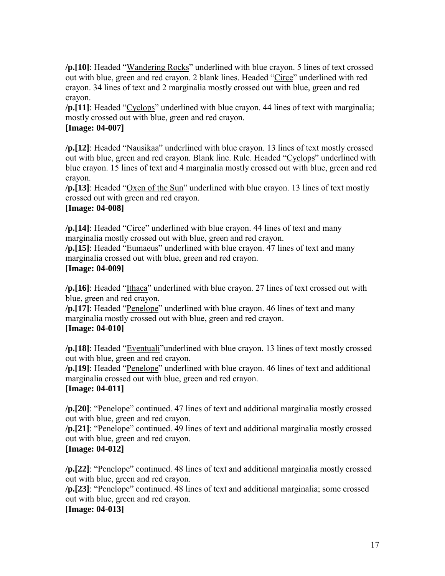**/p.[10]**: Headed "Wandering Rocks" underlined with blue crayon. 5 lines of text crossed out with blue, green and red crayon. 2 blank lines. Headed "Circe" underlined with red crayon. 34 lines of text and 2 marginalia mostly crossed out with blue, green and red crayon.

**/p.**[11]: Headed "Cyclops" underlined with blue crayon. 44 lines of text with marginalia; mostly crossed out with blue, green and red crayon.

### **[Image: 04-007]**

**/p.**[12]: Headed "Nausikaa" underlined with blue crayon. 13 lines of text mostly crossed out with blue, green and red crayon. Blank line. Rule. Headed "Cyclops" underlined with blue crayon. 15 lines of text and 4 marginalia mostly crossed out with blue, green and red crayon.

/p.[13]: Headed "Oxen of the Sun" underlined with blue crayon. 13 lines of text mostly crossed out with green and red crayon.

### **[Image: 04-008]**

/p.[14]: Headed "Circe" underlined with blue crayon. 44 lines of text and many marginalia mostly crossed out with blue, green and red crayon.

**/p.[15]**: Headed "Eumaeus" underlined with blue crayon. 47 lines of text and many marginalia crossed out with blue, green and red crayon.

#### **[Image: 04-009]**

**/p.**[16]: Headed "Ithaca" underlined with blue crayon. 27 lines of text crossed out with blue, green and red crayon.

**/p.**[17]: Headed "Penelope" underlined with blue crayon. 46 lines of text and many marginalia mostly crossed out with blue, green and red crayon. **[Image: 04-010]** 

**/p.[18]**: Headed "Eventuali" underlined with blue crayon. 13 lines of text mostly crossed out with blue, green and red crayon.

**/p.[19]**: Headed "Penelope" underlined with blue crayon. 46 lines of text and additional marginalia crossed out with blue, green and red crayon.

#### **[Image: 04-011]**

**/p.**[20]: "Penelope" continued. 47 lines of text and additional marginalia mostly crossed out with blue, green and red crayon.

**/p.[21]**: "Penelope" continued. 49 lines of text and additional marginalia mostly crossed out with blue, green and red crayon.

#### **[Image: 04-012]**

**/p.**[22]: "Penelope" continued. 48 lines of text and additional marginalia mostly crossed out with blue, green and red crayon.

**/p.**[23]: "Penelope" continued. 48 lines of text and additional marginalia; some crossed out with blue, green and red crayon.

# **[Image: 04-013]**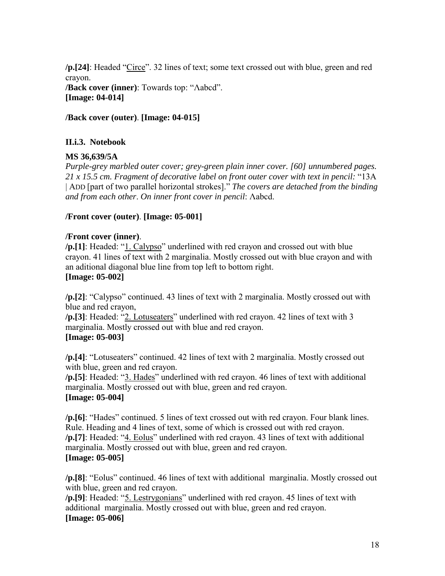<span id="page-17-0"></span>**/p.[24]**: Headed "Circe". 32 lines of text; some text crossed out with blue, green and red crayon. **/Back cover (inner)**: Towards top: "Λabcd". **[Image: 04-014]** 

**/Back cover (outer)**. **[Image: 04-015]** 

#### **II.i.3. Notebook**

#### **MS 36,639/5A**

*Purple-grey marbled outer cover; grey-green plain inner cover. [60] unnumbered pages. 21 x 15.5 cm. Fragment of decorative label on front outer cover with text in pencil:* ì13A | ADD [part of two parallel horizontal strokes]." *The covers are detached from the binding and from each other*. *On inner front cover in pencil*: Λabcd.

#### **/Front cover (outer)**. **[Image: 05-001]**

#### **/Front cover (inner)**.

**/p.[1**]: Headed: "1. Calypso" underlined with red crayon and crossed out with blue crayon. 41 lines of text with 2 marginalia. Mostly crossed out with blue crayon and with an aditional diagonal blue line from top left to bottom right. **[Image: 05-002]** 

**/p.[2]**: "Calypso" continued. 43 lines of text with 2 marginalia. Mostly crossed out with blue and red crayon,

**/p.[3]**: Headed: "2. Lotuseaters" underlined with red crayon. 42 lines of text with 3 marginalia. Mostly crossed out with blue and red crayon. **[Image: 05-003]** 

**/p.[4]**: "Lotuseaters" continued. 42 lines of text with 2 marginalia. Mostly crossed out with blue, green and red crayon.

**/p.[5]**: Headed: "3. Hades" underlined with red crayon. 46 lines of text with additional marginalia. Mostly crossed out with blue, green and red crayon. **[Image: 05-004]** 

**/p.[6]**: "Hades" continued. 5 lines of text crossed out with red crayon. Four blank lines. Rule. Heading and 4 lines of text, some of which is crossed out with red crayon. /p.[7]: Headed: "4. Eolus" underlined with red crayon. 43 lines of text with additional marginalia. Mostly crossed out with blue, green and red crayon. **[Image: 05-005]** 

**/p.[8**]: "Eolus" continued. 46 lines of text with additional marginalia. Mostly crossed out with blue, green and red crayon.

**/p.[9]**: Headed: "5. Lestrygonians" underlined with red crayon. 45 lines of text with additional marginalia. Mostly crossed out with blue, green and red crayon. **[Image: 05-006]**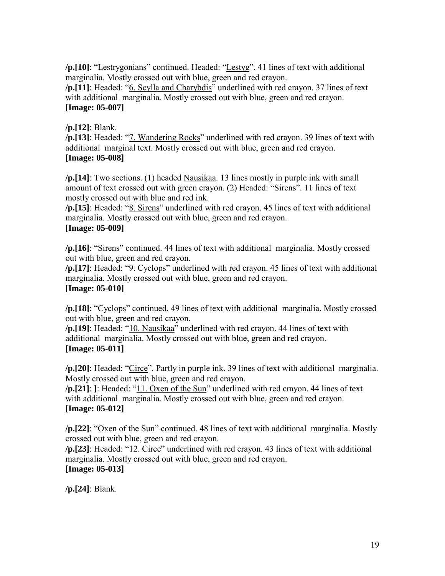**/p.[10]**: "Lestrygonians" continued. Headed: "Lestyg". 41 lines of text with additional marginalia. Mostly crossed out with blue, green and red crayon.

/p.[11]: Headed: "6. Scylla and Charybdis" underlined with red crayon. 37 lines of text with additional marginalia. Mostly crossed out with blue, green and red crayon. **[Image: 05-007]** 

# **/p.[12]**: Blank.

**/p.[13]**: Headed: "7. Wandering Rocks" underlined with red crayon. 39 lines of text with additional marginal text. Mostly crossed out with blue, green and red crayon. **[Image: 05-008]** 

**/p.[14]**: Two sections. (1) headed Nausikaa. 13 lines mostly in purple ink with small amount of text crossed out with green crayon. (2) Headed: "Sirens". 11 lines of text mostly crossed out with blue and red ink.

**/p.[15]**: Headed: "8. Sirens" underlined with red crayon. 45 lines of text with additional marginalia. Mostly crossed out with blue, green and red crayon. **[Image: 05-009]** 

/p.[16]: "Sirens" continued. 44 lines of text with additional marginalia. Mostly crossed out with blue, green and red crayon.

**/p.[17]**: Headed: "9. Cyclops" underlined with red crayon. 45 lines of text with additional marginalia. Mostly crossed out with blue, green and red crayon. **[Image: 05-010]** 

**/p.[18]**: "Cyclops" continued. 49 lines of text with additional marginalia. Mostly crossed out with blue, green and red crayon.

**/p.[19]**: Headed: "10. Nausikaa" underlined with red crayon. 44 lines of text with additional marginalia. Mostly crossed out with blue, green and red crayon. **[Image: 05-011]** 

/p.[20]: Headed: "Circe". Partly in purple ink. 39 lines of text with additional marginalia. Mostly crossed out with blue, green and red crayon.

**/p.[21]**: **]**: Headed: "11. Oxen of the Sun" underlined with red crayon. 44 lines of text with additional marginalia. Mostly crossed out with blue, green and red crayon. **[Image: 05-012]** 

**/p.**[22]: "Oxen of the Sun" continued. 48 lines of text with additional marginalia. Mostly crossed out with blue, green and red crayon.

**/p.**[23]: Headed: "12. Circe" underlined with red crayon. 43 lines of text with additional marginalia. Mostly crossed out with blue, green and red crayon. **[Image: 05-013]** 

**/p.[24]**: Blank.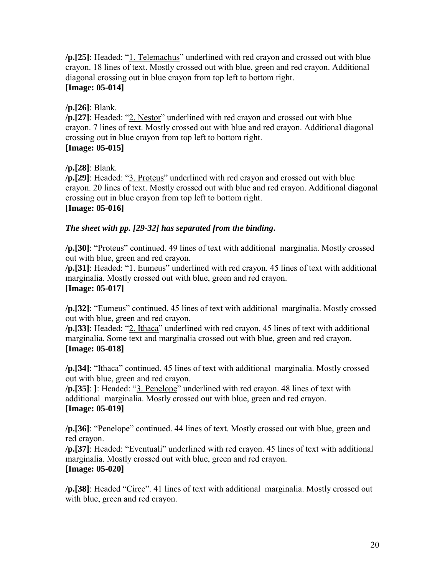**/p.**[25]: Headed: "1. Telemachus" underlined with red crayon and crossed out with blue crayon. 18 lines of text. Mostly crossed out with blue, green and red crayon. Additional diagonal crossing out in blue crayon from top left to bottom right. **[Image: 05-014]** 

# **/p.[26]**: Blank.

**/p.**[27]: Headed: "2. Nestor" underlined with red crayon and crossed out with blue crayon. 7 lines of text. Mostly crossed out with blue and red crayon. Additional diagonal crossing out in blue crayon from top left to bottom right. **[Image: 05-015]** 

# **/p.[28]**: Blank.

**/p.[29]**: Headed: "3. Proteus" underlined with red crayon and crossed out with blue crayon. 20 lines of text. Mostly crossed out with blue and red crayon. Additional diagonal crossing out in blue crayon from top left to bottom right. **[Image: 05-016]** 

# *The sheet with pp. [29-32] has separated from the binding***.**

/p.[30]: "Proteus" continued. 49 lines of text with additional marginalia. Mostly crossed out with blue, green and red crayon.

**/p.**[31]: Headed: "1. Eumeus" underlined with red crayon. 45 lines of text with additional marginalia. Mostly crossed out with blue, green and red crayon. **[Image: 05-017]** 

**/p.**[32]: "Eumeus" continued. 45 lines of text with additional marginalia. Mostly crossed out with blue, green and red crayon.

**/p.**[33]: Headed: "2. Ithaca" underlined with red crayon. 45 lines of text with additional marginalia. Some text and marginalia crossed out with blue, green and red crayon. **[Image: 05-018]** 

**/p.[34]**: "Ithaca" continued. 45 lines of text with additional marginalia. Mostly crossed out with blue, green and red crayon.

**/p.**[35]: 1: Headed: "3. Penelope" underlined with red crayon. 48 lines of text with additional marginalia. Mostly crossed out with blue, green and red crayon. **[Image: 05-019]** 

**/p.[36]**: "Penelope" continued. 44 lines of text. Mostly crossed out with blue, green and red crayon.

**/p.**[37]: Headed: "Eventuali" underlined with red crayon. 45 lines of text with additional marginalia. Mostly crossed out with blue, green and red crayon. **[Image: 05-020]** 

**/p.**[38]: Headed "Circe". 41 lines of text with additional marginalia. Mostly crossed out with blue, green and red crayon.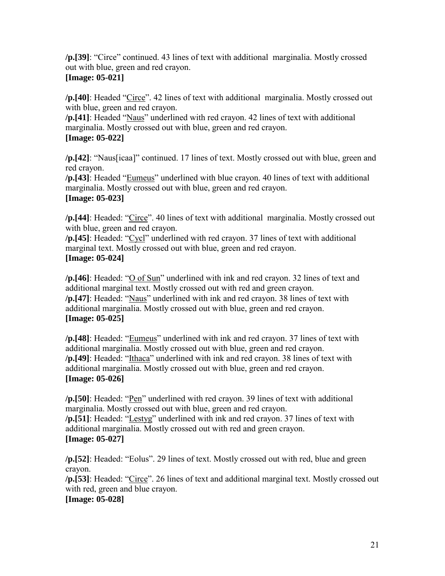**/p.[39]**: "Circe" continued. 43 lines of text with additional marginalia. Mostly crossed out with blue, green and red crayon.

# **[Image: 05-021]**

**/p.**[40]: Headed "Circe". 42 lines of text with additional marginalia. Mostly crossed out with blue, green and red crayon.

**/p.[41]**: Headed "Naus" underlined with red crayon. 42 lines of text with additional marginalia. Mostly crossed out with blue, green and red crayon.

# **[Image: 05-022]**

**/p.**[42]: "Naus[icaa]" continued. 17 lines of text. Mostly crossed out with blue, green and red crayon.

**/p.**[43]: Headed "Eumeus" underlined with blue crayon. 40 lines of text with additional marginalia. Mostly crossed out with blue, green and red crayon. **[Image: 05-023]** 

**/p.**[44]: Headed: "Circe". 40 lines of text with additional marginalia. Mostly crossed out with blue, green and red crayon.

**/p.[45]**: Headed: "Cycl" underlined with red crayon. 37 lines of text with additional marginal text. Mostly crossed out with blue, green and red crayon. **[Image: 05-024]** 

**/p.**[46]: Headed: "O of Sun" underlined with ink and red crayon. 32 lines of text and additional marginal text. Mostly crossed out with red and green crayon. **/p.**[47]: Headed: "Naus" underlined with ink and red crayon. 38 lines of text with additional marginalia. Mostly crossed out with blue, green and red crayon. **[Image: 05-025]** 

**/p.**[48]: Headed: "Eumeus" underlined with ink and red crayon. 37 lines of text with additional marginalia. Mostly crossed out with blue, green and red crayon. **/p.**[49]: Headed: "Ithaca" underlined with ink and red crayon. 38 lines of text with additional marginalia. Mostly crossed out with blue, green and red crayon. **[Image: 05-026]** 

**/p.[50]**: Headed: "<u>Pen</u>" underlined with red crayon. 39 lines of text with additional marginalia. Mostly crossed out with blue, green and red crayon. **/p.[51]**: Headed: "Lestyg" underlined with ink and red crayon. 37 lines of text with additional marginalia. Mostly crossed out with red and green crayon. **[Image: 05-027]** 

**/p.[52]**: Headed: "Eolus". 29 lines of text. Mostly crossed out with red, blue and green crayon.

**/p.[53]**: Headed: "Circe". 26 lines of text and additional marginal text. Mostly crossed out with red, green and blue crayon.

# **[Image: 05-028]**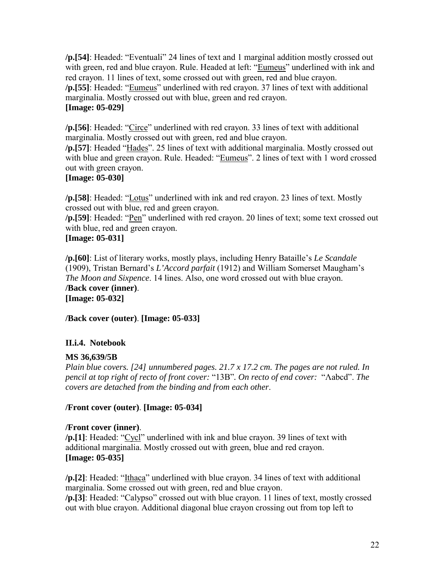<span id="page-21-0"></span>**/p.[54]**: Headed: "Eventuali" 24 lines of text and 1 marginal addition mostly crossed out with green, red and blue crayon. Rule. Headed at left: "Eumeus" underlined with ink and red crayon. 11 lines of text, some crossed out with green, red and blue crayon. **/p.**[55]: Headed: "Eumeus" underlined with red crayon. 37 lines of text with additional marginalia. Mostly crossed out with blue, green and red crayon. **[Image: 05-029]** 

**/p.[56]**: Headed: "Circe" underlined with red crayon. 33 lines of text with additional marginalia. Mostly crossed out with green, red and blue crayon.

**/p.[57]**: Headed "Hades". 25 lines of text with additional marginalia. Mostly crossed out with blue and green crayon. Rule. Headed: "Eumeus". 2 lines of text with 1 word crossed out with green crayon.

# **[Image: 05-030]**

**/p.[58]**: Headed: "Lotus" underlined with ink and red crayon. 23 lines of text. Mostly crossed out with blue, red and green crayon.

/p.[59]: Headed: "<u>Pen</u>" underlined with red crayon. 20 lines of text; some text crossed out with blue, red and green crayon.

# **[Image: 05-031]**

**/p.[60]**: List of literary works, mostly plays, including Henry Bataille's *Le Scandale* (1909), Tristan Bernard's *L'Accord parfait* (1912) and William Somerset Maugham's *The Moon and Sixpence*. 14 lines. Also, one word crossed out with blue crayon. **/Back cover (inner)**. **[Image: 05-032]** 

**/Back cover (outer)**. **[Image: 05-033]** 

# **II.i.4. Notebook**

#### **MS 36,639/5B**

*Plain blue covers. [24] unnumbered pages. 21.7 x 17.2 cm. The pages are not ruled. In pencil at top right of recto of front cover:* "13B". On recto of end cover: "Λabcd". The *covers are detached from the binding and from each other*.

#### **/Front cover (outer)**. **[Image: 05-034]**

#### **/Front cover (inner)**.

**/p.[1]**: Headed: "Cycl" underlined with ink and blue crayon. 39 lines of text with additional marginalia. Mostly crossed out with green, blue and red crayon. **[Image: 05-035]** 

**/p.**[2]: Headed: "Ithaca" underlined with blue crayon. 34 lines of text with additional marginalia. Some crossed out with green, red and blue crayon. **/p.[3]**: Headed: "Calypso" crossed out with blue crayon. 11 lines of text, mostly crossed out with blue crayon. Additional diagonal blue crayon crossing out from top left to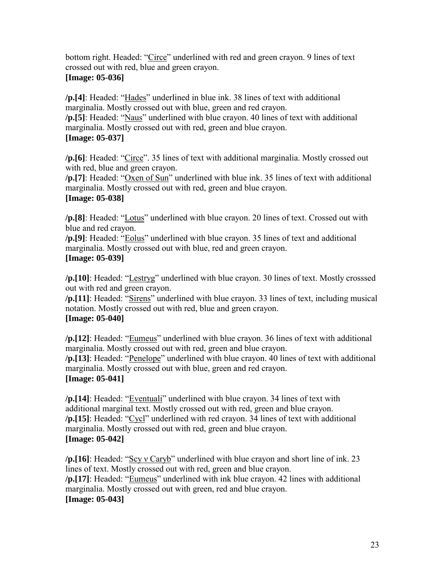bottom right. Headed: "Circe" underlined with red and green crayon. 9 lines of text crossed out with red, blue and green crayon.

## **[Image: 05-036]**

**/p.[4]**: Headed: "Hades" underlined in blue ink. 38 lines of text with additional marginalia. Mostly crossed out with blue, green and red crayon.

**/p.[5]**: Headed: "Naus" underlined with blue crayon. 40 lines of text with additional marginalia. Mostly crossed out with red, green and blue crayon. **[Image: 05-037]** 

**/p.[6]**: Headed: "Circe". 35 lines of text with additional marginalia. Mostly crossed out with red, blue and green crayon.

**/p.**[7]: Headed: "Oxen of Sun" underlined with blue ink. 35 lines of text with additional marginalia. Mostly crossed out with red, green and blue crayon. **[Image: 05-038]** 

**/p.[8]**: Headed: "Lotus" underlined with blue crayon. 20 lines of text. Crossed out with blue and red crayon.

/p.[9]: Headed: "Eolus" underlined with blue crayon. 35 lines of text and additional marginalia. Mostly crossed out with blue, red and green crayon. **[Image: 05-039]** 

**/p.**[10]: Headed: "Lestryg" underlined with blue crayon. 30 lines of text. Mostly crosssed out with red and green crayon.

**/p.**[11]: Headed: "Sirens" underlined with blue crayon. 33 lines of text, including musical notation. Mostly crossed out with red, blue and green crayon. **[Image: 05-040]** 

**/p.**[12]: Headed: "Eumeus" underlined with blue crayon. 36 lines of text with additional marginalia. Mostly crossed out with red, green and blue crayon. **/p.**[13]: Headed: "Penelope" underlined with blue crayon. 40 lines of text with additional marginalia. Mostly crossed out with blue, green and red crayon. **[Image: 05-041]** 

/p.[14]: Headed: "*Eventuali*" underlined with blue crayon. 34 lines of text with additional marginal text. Mostly crossed out with red, green and blue crayon. **/p.[15]**: Headed: "Cycl" underlined with red crayon. 34 lines of text with additional marginalia. Mostly crossed out with red, green and blue crayon. **[Image: 05-042]** 

**/p.[16]**: Headed: "Scy v Caryb" underlined with blue crayon and short line of ink. 23 lines of text. Mostly crossed out with red, green and blue crayon. **/p.[17]**: Headed: "Eumeus" underlined with ink blue crayon. 42 lines with additional marginalia. Mostly crossed out with green, red and blue crayon. **[Image: 05-043]**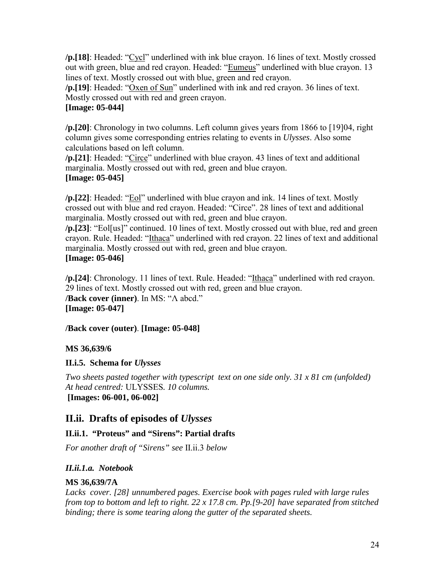<span id="page-23-0"></span>**/p.[18]**: Headed: "Cycl" underlined with ink blue crayon. 16 lines of text. Mostly crossed out with green, blue and red crayon. Headed: "Eumeus" underlined with blue crayon. 13 lines of text. Mostly crossed out with blue, green and red crayon.

/p.[19]: Headed: "Oxen of Sun" underlined with ink and red crayon. 36 lines of text. Mostly crossed out with red and green crayon.

# **[Image: 05-044]**

**/p.[20]**: Chronology in two columns. Left column gives years from 1866 to [19]04, right column gives some corresponding entries relating to events in *Ulysses*. Also some calculations based on left column.

**/p.**[21]: Headed: "Circe" underlined with blue crayon. 43 lines of text and additional marginalia. Mostly crossed out with red, green and blue crayon. **[Image: 05-045]** 

**/p.**[22]: Headed: "Eol" underlined with blue crayon and ink. 14 lines of text. Mostly crossed out with blue and red crayon. Headed: "Circe". 28 lines of text and additional marginalia. Mostly crossed out with red, green and blue crayon.

**/p.**[23]: "Eol[us]" continued. 10 lines of text. Mostly crossed out with blue, red and green crayon. Rule. Headed: "Ithaca" underlined with red crayon. 22 lines of text and additional marginalia. Mostly crossed out with red, green and blue crayon. **[Image: 05-046]** 

**/p.**[24]: Chronology. 11 lines of text. Rule. Headed: "Ithaca" underlined with red crayon. 29 lines of text. Mostly crossed out with red, green and blue crayon. **/Back cover (inner)**. In MS: "Λ abcd." **[Image: 05-047]** 

#### **/Back cover (outer)**. **[Image: 05-048]**

#### **MS 36,639/6**

#### **II.i.5. Schema for** *Ulysses*

*Two sheets pasted together with typescript text on one side only. 31 x 81 cm (unfolded) At head centred:* ULYSSES*. 10 columns.* **[Images: 06-001, 06-002]** 

# **II.ii. Drafts of episodes of** *Ulysses*

#### **II.ii.1. "Proteus" and "Sirens": Partial drafts**

*For another draft of "Sirens" see* II.ii.3 *below* 

# *II.ii.1.a. Notebook*

# **MS 36,639/7A**

*Lacks cover. [28] unnumbered pages. Exercise book with pages ruled with large rules from top to bottom and left to right. 22 x 17.8 cm. Pp.[9-20] have separated from stitched binding; there is some tearing along the gutter of the separated sheets.*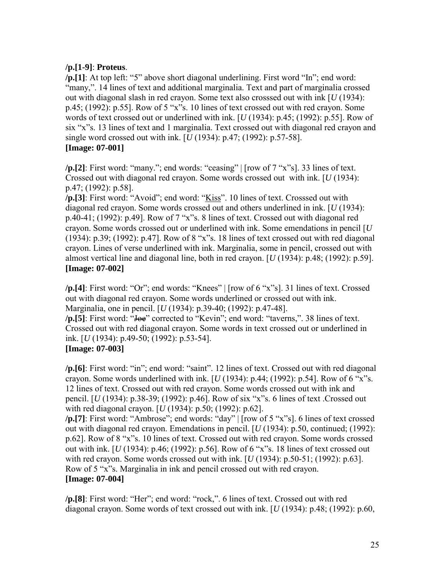#### **/p.[1-9]**: **Proteus**.

**/p.[1]**: At top left: "5" above short diagonal underlining. First word "In"; end word: "many,". 14 lines of text and additional marginalia. Text and part of marginalia crossed out with diagonal slash in red crayon. Some text also crosssed out with ink [*U* (1934):  $p.45$ ; (1992):  $p.55$ ]. Row of 5 "x"s. 10 lines of text crossed out with red crayon. Some words of text crossed out or underlined with ink. [*U* (1934): p.45; (1992): p.55]. Row of six "x"s. 13 lines of text and 1 marginalia. Text crossed out with diagonal red crayon and single word crossed out with ink. [*U* (1934): p.47; (1992): p.57-58]. **[Image: 07-001]** 

 $\pi$  [2]: First word: "many."; end words: "ceasing"  $\pi$  [row of 7 "x"s]. 33 lines of text. Crossed out with diagonal red crayon. Some words crossed out with ink. [*U* (1934): p.47; (1992): p.58].

**/p.[3]**: First word: "Avoid"; end word: "Kiss". 10 lines of text. Crosssed out with diagonal red crayon. Some words crossed out and others underlined in ink. [*U* (1934): p.40-41;  $(1992)$ : p.49]. Row of 7 "x"s. 8 lines of text. Crossed out with diagonal red crayon. Some words crossed out or underlined with ink. Some emendations in pencil [*U* (1934): p.39; (1992): p.47]. Row of 8 "x"s. 18 lines of text crossed out with red diagonal crayon. Lines of verse underlined with ink. Marginalia, some in pencil, crossed out with almost vertical line and diagonal line, both in red crayon. [*U* (1934): p.48; (1992): p.59]. **[Image: 07-002]** 

**/p.[4]**: First word: "Or"; end words: "Knees" | [row of 6 "x"s]. 31 lines of text. Crossed out with diagonal red crayon. Some words underlined or crossed out with ink. Marginalia, one in pencil. [*U* (1934): p.39-40; (1992): p.47-48].

**/p.[5]**: First word: "<del>Joe</del>" corrected to "Kevin"; end word: "taverns,". 38 lines of text. Crossed out with red diagonal crayon. Some words in text crossed out or underlined in ink. [*U* (1934): p.49-50; (1992): p.53-54].

#### **[Image: 07-003]**

/p.[6]: First word: "in"; end word: "saint". 12 lines of text. Crossed out with red diagonal crayon. Some words underlined with ink.  $[U(1934): p.44; (1992): p.54]$ . Row of 6 "x"s. 12 lines of text. Crossed out with red crayon. Some words crossed out with ink and pencil. [*U* (1934): p.38-39; (1992): p.46]. Row of six "x"s. 6 lines of text .Crossed out with red diagonal crayon. [*U* (1934): p.50; (1992): p.62].

**/p.[7]**: First word: "Ambrose"; end words: "day" | [row of 5 "x"s]. 6 lines of text crossed out with diagonal red crayon. Emendations in pencil. [*U* (1934): p.50, continued; (1992): p.62]. Row of 8 "x"s. 10 lines of text. Crossed out with red crayon. Some words crossed out with ink.  $[U(1934): p.46; (1992): p.56]$ . Row of 6 "x"s. 18 lines of text crossed out with red crayon. Some words crossed out with ink. [*U* (1934): p.50-51; (1992): p.63]. Row of 5 "x"s. Marginalia in ink and pencil crossed out with red crayon. **[Image: 07-004]** 

/p.[8]: First word: "Her"; end word: "rock,". 6 lines of text. Crossed out with red diagonal crayon. Some words of text crossed out with ink. [*U* (1934): p.48; (1992): p.60,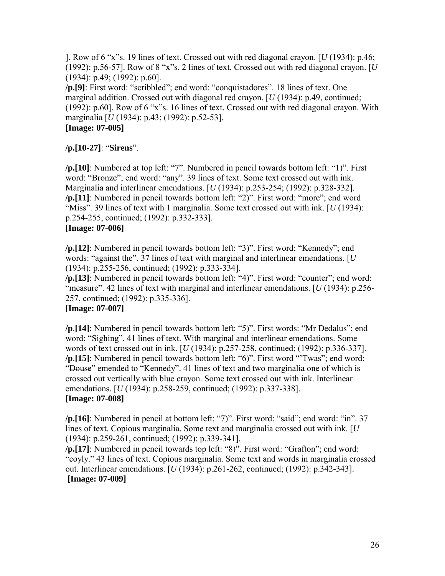]. Row of 6 "x"s. 19 lines of text. Crossed out with red diagonal crayon. [ $U(1934)$ : p.46; (1992): p.56-57]. Row of  $8$  "x"s. 2 lines of text. Crossed out with red diagonal crayon. [ $U$ (1934): p.49; (1992): p.60].

**/p.[9]**: First word: "scribbled"; end word: "conquistadores". 18 lines of text. One marginal addition. Crossed out with diagonal red crayon. [*U* (1934): p.49, continued; (1992): p.60]. Row of  $6$  "x"s. 16 lines of text. Crossed out with red diagonal crayon. With marginalia [*U* (1934): p.43; (1992): p.52-53].

# **[Image: 07-005]**

/p.[10-27]: "Sirens".

**/p.[10]**: Numbered at top left: "7". Numbered in pencil towards bottom left: "1)". First word: "Bronze"; end word: "any". 39 lines of text. Some text crossed out with ink. Marginalia and interlinear emendations. [*U* (1934): p.253-254; (1992): p.328-332]. /p.[11]: Numbered in pencil towards bottom left: "2)". First word: "more"; end word ìMissî. 39 lines of text with 1 marginalia. Some text crossed out with ink. [*U* (1934): p.254-255, continued; (1992): p.332-333].

### **[Image: 07-006]**

**/p.**[12]: Numbered in pencil towards bottom left: "3)". First word: "Kennedy"; end words: "against the". 37 lines of text with marginal and interlinear emendations.  $[U]$ (1934): p.255-256, continued; (1992): p.333-334].

**/p.[13]**: Numbered in pencil towards bottom left: "4)". First word: "counter"; end word: <sup>"</sup>measure". 42 lines of text with marginal and interlinear emendations. [*U* (1934): p.256-257, continued; (1992): p.335-336].

# **[Image: 07-007]**

**/p**. [14]: Numbered in pencil towards bottom left: "5)". First words: "Mr Dedalus"; end word: "Sighing". 41 lines of text. With marginal and interlinear emendations. Some words of text crossed out in ink. [*U* (1934): p.257-258, continued; (1992): p.336-337]. **/p**. [15]: Numbered in pencil towards bottom left: "6)". First word "Twas"; end word: "Douse" emended to "Kennedy". 41 lines of text and two marginalia one of which is crossed out vertically with blue crayon. Some text crossed out with ink. Interlinear emendations. [*U* (1934): p.258-259, continued; (1992): p.337-338]. **[Image: 07-008]** 

**/p.[16]**: Numbered in pencil at bottom left: "7)". First word: "said"; end word: "in". 37 lines of text. Copious marginalia. Some text and marginalia crossed out with ink. [*U* (1934): p.259-261, continued; (1992): p.339-341].

**/p.[17]**: Numbered in pencil towards top left: "8)". First word: "Grafton"; end word: ìcoyly.î 43 lines of text. Copious marginalia. Some text and words in marginalia crossed out. Interlinear emendations. [*U* (1934): p.261-262, continued; (1992): p.342-343]. **[Image: 07-009]**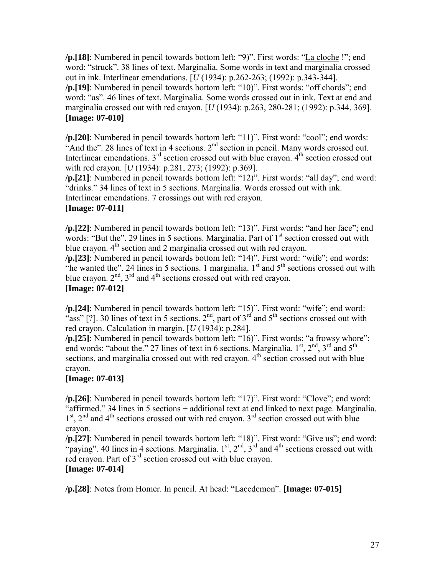/p.[18]: Numbered in pencil towards bottom left: "9)". First words: "La cloche !"; end word: "struck". 38 lines of text. Marginalia. Some words in text and marginalia crossed out in ink. Interlinear emendations. [*U* (1934): p.262-263; (1992): p.343-344]. **/p.[19]**: Numbered in pencil towards bottom left: "10)". First words: "off chords"; end word: "as". 46 lines of text. Marginalia. Some words crossed out in ink. Text at end and marginalia crossed out with red crayon. [*U* (1934): p.263, 280-281; (1992): p.344, 369]. **[Image: 07-010]** 

/p.[20]: Numbered in pencil towards bottom left: "11)". First word: "cool"; end words: "And the". 28 lines of text in 4 sections.  $2<sup>nd</sup>$  section in pencil. Many words crossed out. Interlinear emendations.  $3<sup>rd</sup>$  section crossed out with blue crayon.  $4<sup>th</sup>$  section crossed out with red crayon. [*U* (1934): p.281, 273; (1992): p.369].

**/p.[21]**: Numbered in pencil towards bottom left: "12)". First words: "all day"; end word: "drinks." 34 lines of text in 5 sections. Marginalia. Words crossed out with ink. Interlinear emendations. 7 crossings out with red crayon.

#### **[Image: 07-011]**

/p.[22]: Numbered in pencil towards bottom left: "13)". First words: "and her face"; end words: "But the". 29 lines in 5 sections. Marginalia. Part of  $1<sup>st</sup>$  section crossed out with blue crayon.  $4<sup>th</sup>$  section and 2 marginalia crossed out with red crayon.

**/p.[23]**: Numbered in pencil towards bottom left: "14)". First word: "wife"; end words:  $\sum_{i=1}^{n}$  is a metal in  $\sum_{i=1}^{n}$  in  $\sum_{i=1}^{n}$  in  $\sum_{i=1}^{n}$  in  $\sum_{i=1}^{n}$  in  $\sum_{i=1}^{n}$  in  $\sum_{i=1}^{n}$  in  $\sum_{i=1}^{n}$  in  $\sum_{i=1}^{n}$  in  $\sum_{i=1}^{n}$  in  $\sum_{i=1}^{n}$  in  $\sum_{i=1}^{n}$  in  $\sum_{i=1}^{n}$  in  $\$ blue crayon.  $2<sup>nd</sup>$ ,  $3<sup>rd</sup>$  and  $4<sup>th</sup>$  sections crossed out with red crayon. **[Image: 07-012]** 

**/p.[24]**: Numbered in pencil towards bottom left: "15)". First word: "wife"; end word: "ass" [?]. 30 lines of text in 5 sections.  $2<sup>nd</sup>$ , part of  $3<sup>rd</sup>$  and  $5<sup>th</sup>$  sections crossed out with red crayon. Calculation in margin. [*U* (1934): p.284].

**/p.**[25]: Numbered in pencil towards bottom left: "16)". First words: "a frowsy whore"; end words: "about the." 27 lines of text in 6 sections. Marginalia.  $1^{st}$ ,  $2^{nd}$ ,  $3^{rd}$  and  $5^{th}$ sections, and marginalia crossed out with red crayon.  $4<sup>th</sup>$  section crossed out with blue crayon.

#### **[Image: 07-013]**

**/p.**[26]: Numbered in pencil towards bottom left: "17)". First word: "Clove"; end word:  $\frac{1}{2}$  affirmed." 34 lines in 5 sections + additional text at end linked to next page. Marginalia.  $1<sup>st</sup>$ ,  $2<sup>nd</sup>$  and  $4<sup>th</sup>$  sections crossed out with red crayon.  $3<sup>rd</sup>$  section crossed out with blue crayon.

**/p.**[27]: Numbered in pencil towards bottom left: "18)". First word: "Give us"; end word: "paying". 40 lines in 4 sections. Marginalia.  $1^{st}$ ,  $2^{nd}$ ,  $3^{rd}$  and  $4^{th}$  sections crossed out with red crayon. Part of 3<sup>rd</sup> section crossed out with blue crayon.

# **[Image: 07-014]**

**/p.**[28]: Notes from Homer. In pencil. At head: "Lacedemon". **[Image: 07-015]**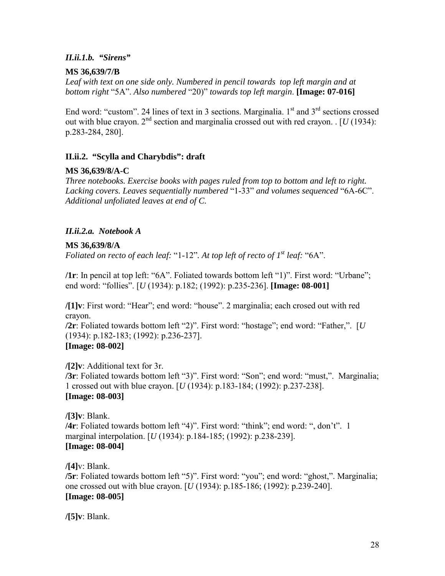#### <span id="page-27-0"></span>*II.ii.1.b. "Sirens"*

#### **MS 36,639/7/B**

Leaf with text on one side only. Numbered in pencil towards top left margin and at *bottom right* ì5Aî. *Also numbered* ì20)î *towards top left margin*. **[Image: 07-016]** 

End word: "custom". 24 lines of text in 3 sections. Marginalia.  $1<sup>st</sup>$  and  $3<sup>rd</sup>$  sections crossed out with blue crayon.  $2^{nd}$  section and marginalia crossed out with red crayon. . [*U* (1934): p.283-284, 280].

#### **II.ii.2. "Scylla and Charybdis": draft**

#### **MS 36,639/8/A-C**

*Three notebooks. Exercise books with pages ruled from top to bottom and left to right.*  Lacking covers. Leaves sequentially numbered "1-33" and volumes sequenced "6A-6C". *Additional unfoliated leaves at end of C.*

#### *II.ii.2.a. Notebook A*

#### **MS 36,639/8/A**

*Foliated on recto of each leaf:* "1-12". At top left of recto of  $I<sup>st</sup>$  leaf: "6A".

**/1r**: In pencil at top left: "6A". Foliated towards bottom left "1)". First word: "Urbane"; end word: "follies". [*U* (1934): p.182; (1992): p.235-236]. [Image: 08-001]

**/[1]v**: First word: "Hear"; end word: "house". 2 marginalia; each crosed out with red crayon. **/2r**: Foliated towards bottom left "2)". First word: "hostage"; end word: "Father,". [*U* (1934): p.182-183; (1992): p.236-237]. **[Image: 08-002]** 

**/[2]v**: Additional text for 3r. **/3r**: Foliated towards bottom left "3)". First word: "Son"; end word: "must,". Marginalia; 1 crossed out with blue crayon. [*U* (1934): p.183-184; (1992): p.237-238]. **[Image: 08-003]** 

**/[3]v**: Blank. **/4r**: Foliated towards bottom left "4)". First word: "think"; end word: ", don't". 1 marginal interpolation. [*U* (1934): p.184-185; (1992): p.238-239]. **[Image: 08-004]** 

**/[4]**v: Blank. **/5r**: Foliated towards bottom left "5)". First word: "you"; end word: "ghost,". Marginalia; one crossed out with blue crayon. [*U* (1934): p.185-186; (1992): p.239-240]. **[Image: 08-005]** 

**/[5]v**: Blank.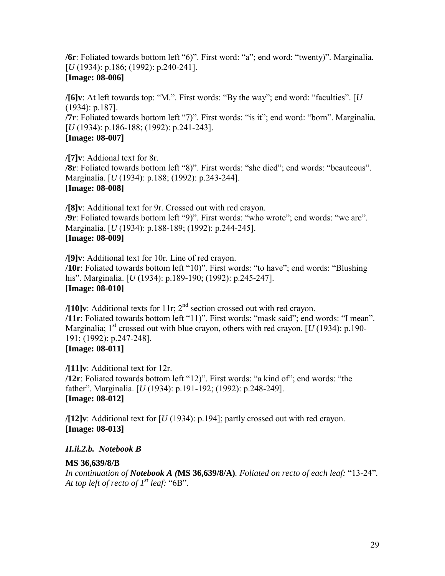**/6r**: Foliated towards bottom left "6)". First word: "a"; end word: "twenty)". Marginalia. [*U* (1934): p.186; (1992): p.240-241]. **[Image: 08-006]** 

**/[6]v**: At left towards top: "M.". First words: "By the way"; end word: "faculties". [*U* (1934): p.187]. **/7r**: Foliated towards bottom left "7)". First words: "is it"; end word: "born". Marginalia. [*U* (1934): p.186-188; (1992): p.241-243]. **[Image: 08-007]** 

**/[7]v**: Addional text for 8r. **/8r**: Foliated towards bottom left "8)". First words: "she died"; end words: "beauteous". Marginalia. [*U* (1934): p.188; (1992): p.243-244]. **[Image: 08-008]** 

**/[8]v**: Additional text for 9r. Crossed out with red crayon. **/9r**: Foliated towards bottom left "9)". First words: "who wrote"; end words: "we are". Marginalia. [*U* (1934): p.188-189; (1992): p.244-245]. **[Image: 08-009]** 

**/[9]v**: Additional text for 10r. Line of red crayon. **/10r**: Foliated towards bottom left "10)". First words: "to have"; end words: "Blushing his". Marginalia. [*U* (1934): p.189-190; (1992): p.245-247]. **[Image: 08-010]** 

**/[10]v**: Additional texts for 11r; 2nd section crossed out with red crayon. **/11r**: Foliated towards bottom left "11)". First words: "mask said"; end words: "I mean". Marginalia;  $1<sup>st</sup>$  crossed out with blue crayon, others with red crayon. [*U* (1934): p.190-191; (1992): p.247-248]. **[Image: 08-011]** 

**/[11]v**: Additional text for 12r. **/12r**: Foliated towards bottom left "12)". First words: "a kind of"; end words: "the father". Marginalia. [*U* (1934): p.191-192; (1992): p.248-249]. **[Image: 08-012]** 

**/[12]v**: Additional text for [*U* (1934): p.194]; partly crossed out with red crayon. **[Image: 08-013]** 

#### *II.ii.2.b. Notebook B*

#### **MS 36,639/8/B**

*In continuation of Notebook A (***MS 36,639/8/A)***. Foliated on recto of each leaf:* ì13-24î*. At top left of recto of*  $I^{st}$  *leaf:* " $6B$ ".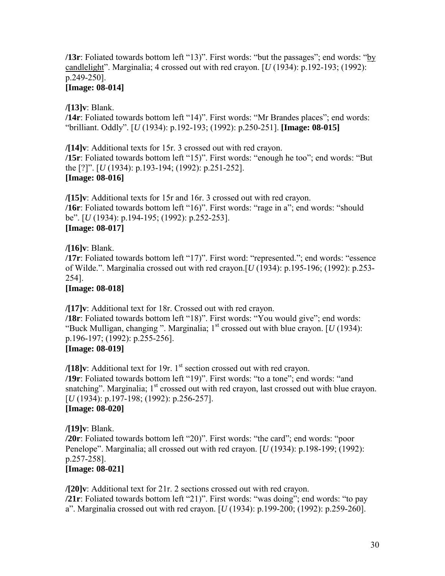**/13r**: Foliated towards bottom left "13)". First words: "but the passages"; end words: "by candlelight". Marginalia; 4 crossed out with red crayon.  $[U(1934): p.192-193; (1992):$ p.249-250].

### **[Image: 08-014]**

**/[13]v**: Blank.

/14r: Foliated towards bottom left "14)". First words: "Mr Brandes places"; end words: ìbrilliant. Oddlyî. [*U* (1934): p.192-193; (1992): p.250-251]. **[Image: 08-015]** 

**/[14]v**: Additional texts for 15r. 3 crossed out with red crayon. **/15r**: Foliated towards bottom left "15)". First words: "enough he too"; end words: "But the [?]î. [*U* (1934): p.193-194; (1992): p.251-252]. **[Image: 08-016]** 

**/[15]v**: Additional texts for 15r and 16r. 3 crossed out with red crayon. **/16r**: Foliated towards bottom left "16)". First words: "rage in a"; end words: "should beî. [*U* (1934): p.194-195; (1992): p.252-253]. **[Image: 08-017]** 

**/[16]v**: Blank.

**/17r**: Foliated towards bottom left "17)". First word: "represented."; end words: "essence of Wilde.î. Marginalia crossed out with red crayon.[*U* (1934): p.195-196; (1992): p.253- 254].

**[Image: 08-018]** 

**/[17]v**: Additional text for 18r. Crossed out with red crayon.

**/18r**: Foliated towards bottom left "18)". First words: "You would give"; end words: "Buck Mulligan, changing". Marginalia;  $1<sup>st</sup>$  crossed out with blue crayon. [*U* (1934): p.196-197; (1992): p.255-256]. **[Image: 08-019]** 

**/[18]v**: Additional text for 19r. 1<sup>st</sup> section crossed out with red crayon. **/19r**: Foliated towards bottom left "19)". First words: "to a tone"; end words: "and snatching". Marginalia;  $1<sup>st</sup>$  crossed out with red crayon, last crossed out with blue crayon. [*U* (1934): p.197-198; (1992): p.256-257]. **[Image: 08-020]** 

**/[19]v**: Blank. **/20r**: Foliated towards bottom left "20)". First words: "the card"; end words: "poor Penelope". Marginalia; all crossed out with red crayon. [*U* (1934): p.198-199; (1992): p.257-258]. **[Image: 08-021]** 

**/[20]v**: Additional text for 21r. 2 sections crossed out with red crayon. **/21r**: Foliated towards bottom left "21)". First words: "was doing"; end words: "to pay aî. Marginalia crossed out with red crayon. [*U* (1934): p.199-200; (1992): p.259-260].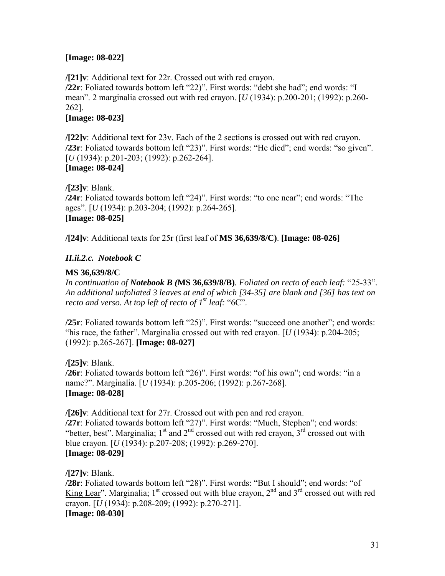#### **[Image: 08-022]**

**/[21]v**: Additional text for 22r. Crossed out with red crayon. **/22r**: Foliated towards bottom left "22)". First words: "debt she had"; end words: "I meanî. 2 marginalia crossed out with red crayon. [*U* (1934): p.200-201; (1992): p.260- 262].

# **[Image: 08-023]**

**/[22]v**: Additional text for 23v. Each of the 2 sections is crossed out with red crayon. **/23r**: Foliated towards bottom left "23)". First words: "He died"; end words: "so given". [*U* (1934): p.201-203; (1992): p.262-264]. **[Image: 08-024]** 

**/[23]v**: Blank. **/24r**: Foliated towards bottom left "24)". First words: "to one near"; end words: "The ages". [*U* (1934): p.203-204; (1992): p.264-265]. **[Image: 08-025]** 

**/[24]v**: Additional texts for 25r (first leaf of **MS 36,639/8/C)**. **[Image: 08-026]** 

### *II.ii.2.c. Notebook C*

### **MS 36,639/8/C**

*In continuation of Notebook B (***MS 36,639/8/B)***. Foliated on recto of each leaf:* ì25-33î*. An additional unfoliated 3 leaves at end of which [34-35] are blank and [36] has text on recto and verso. At top left of recto of*  $I^{st}$  *leaf:* " $6C$ ".

**/25r**: Foliated towards bottom left "25)". First words: "succeed one another"; end words: "his race, the father". Marginalia crossed out with red crayon.  $\left[ U(1934) \right]$ : p.204-205; (1992): p.265-267]. **[Image: 08-027]** 

**/[25]v**: Blank. **/26r**: Foliated towards bottom left "26)". First words: "of his own"; end words: "in a name?". Marginalia. [*U* (1934): p.205-206; (1992): p.267-268]. **[Image: 08-028]** 

**/[26]v**: Additional text for 27r. Crossed out with pen and red crayon. **/27r**: Foliated towards bottom left "27)". First words: "Much, Stephen"; end words: "better, best". Marginalia;  $1<sup>st</sup>$  and  $2<sup>nd</sup>$  crossed out with red crayon,  $3<sup>rd</sup>$  crossed out with blue crayon. [*U* (1934): p.207-208; (1992): p.269-270]. **[Image: 08-029]** 

**/[27]v**: Blank. **/28r**: Foliated towards bottom left "28)". First words: "But I should"; end words: "of King Lear". Marginalia;  $1<sup>st</sup>$  crossed out with blue crayon,  $2<sup>nd</sup>$  and  $3<sup>rd</sup>$  crossed out with red crayon. [*U* (1934): p.208-209; (1992): p.270-271]. **[Image: 08-030]**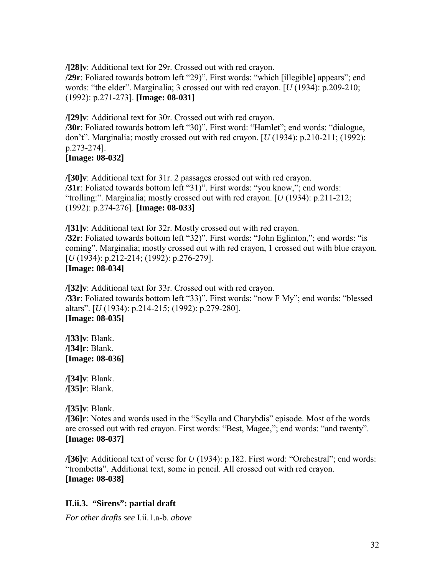<span id="page-31-0"></span>**/[28]v**: Additional text for 29r. Crossed out with red crayon.

**/29r**: Foliated towards bottom left "29)". First words: "which [illegible] appears"; end words: "the elder". Marginalia; 3 crossed out with red crayon. [*U* (1934): p.209-210; (1992): p.271-273]. **[Image: 08-031]** 

**/[29]v**: Additional text for 30r. Crossed out with red crayon. **/30r**: Foliated towards bottom left "30)". First word: "Hamlet"; end words: "dialogue,

don't". Marginalia; mostly crossed out with red crayon.  $[U(1934): p.210-211; (1992):$ p.273-274].

### **[Image: 08-032]**

**/[30]v**: Additional text for 31r. 2 passages crossed out with red crayon. **/31r**: Foliated towards bottom left "31)". First words: "you know,"; end words: ìtrolling:î. Marginalia; mostly crossed out with red crayon. [*U* (1934): p.211-212; (1992): p.274-276]. **[Image: 08-033]** 

**/[31]v**: Additional text for 32r. Mostly crossed out with red crayon. **/32r**: Foliated towards bottom left "32)". First words: "John Eglinton,"; end words: "is coming". Marginalia; mostly crossed out with red crayon, 1 crossed out with blue crayon. [*U* (1934): p.212-214; (1992): p.276-279]. **[Image: 08-034]** 

**/[32]v**: Additional text for 33r. Crossed out with red crayon. **/33r**: Foliated towards bottom left "33)". First words: "now F My"; end words: "blessed altarsî. [*U* (1934): p.214-215; (1992): p.279-280]. **[Image: 08-035]** 

**/[33]v**: Blank. **/[34]r**: Blank. **[Image: 08-036]** 

**/[34]v**: Blank. **/[35]r**: Blank.

**/[35]v**: Blank.

**/[36]r**: Notes and words used in the "Scylla and Charybdis" episode. Most of the words are crossed out with red crayon. First words: "Best, Magee,"; end words: "and twenty". **[Image: 08-037]** 

**/[36]v**: Additional text of verse for *U* (1934): p.182. First word: "Orchestral"; end words: ìtrombettaî. Additional text, some in pencil. All crossed out with red crayon. **[Image: 08-038]** 

#### **II.ii.3. "Sirens": partial draft**

*For other drafts see* I.ii.1.a-b. *above*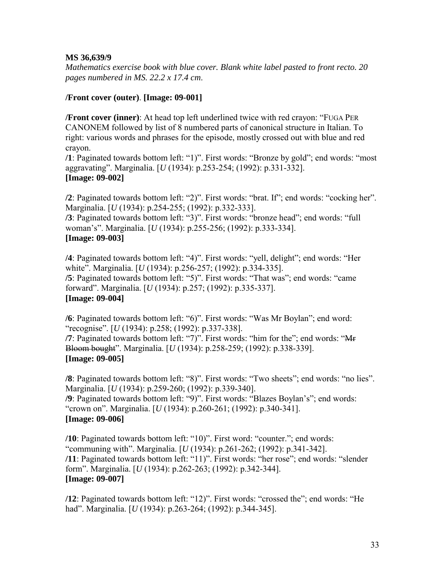#### **MS 36,639/9**

*Mathematics exercise book with blue cover. Blank white label pasted to front recto. 20 pages numbered in MS. 22.2 x 17.4 cm*.

#### **/Front cover (outer)**. **[Image: 09-001]**

**/Front cover (inner)**: At head top left underlined twice with red crayon: "FUGA PER CANONEM followed by list of 8 numbered parts of canonical structure in Italian. To right: various words and phrases for the episode, mostly crossed out with blue and red crayon.

**/1**: Paginated towards bottom left: "1)". First words: "Bronze by gold"; end words: "most aggravating". Marginalia. [*U* (1934): p.253-254; (1992): p.331-332]. **[Image: 09-002]** 

**/2**: Paginated towards bottom left: "2)". First words: "brat. If"; end words: "cocking her". Marginalia. [*U* (1934): p.254-255; (1992): p.332-333].

**/3**: Paginated towards bottom left: "3)". First words: "bronze head"; end words: "full woman's". Marginalia. [*U* (1934): p.255-256; (1992): p.333-334]. **[Image: 09-003]** 

**/4**: Paginated towards bottom left: "4)". First words: "yell, delight"; end words: "Her white". Marginalia. [*U* (1934): p.256-257; (1992): p.334-335]. **/5**: Paginated towards bottom left: "5)". First words: "That was"; end words: "came forwardî. Marginalia. [*U* (1934): p.257; (1992): p.335-337]. **[Image: 09-004]** 

**/6**: Paginated towards bottom left: "6)". First words: "Was Mr Boylan"; end word: ìrecogniseî. [*U* (1934): p.258; (1992): p.337-338].

**/7**: Paginated towards bottom left: "7)". First words: "him for the"; end words: "Mr Bloom bought". Marginalia. [*U* (1934): p.258-259; (1992): p.338-339]. **[Image: 09-005]** 

**/8**: Paginated towards bottom left: "8)". First words: "Two sheets"; end words: "no lies". Marginalia. [*U* (1934): p.259-260; (1992): p.339-340]. **/9**: Paginated towards bottom left: "9)". First words: "Blazes Boylan's"; end words: ìcrown onî. Marginalia. [*U* (1934): p.260-261; (1992): p.340-341]. **[Image: 09-006]** 

**/10**: Paginated towards bottom left: "10)". First word: "counter."; end words: ìcommuning withî. Marginalia. [*U* (1934): p.261-262; (1992): p.341-342]. **/11**: Paginated towards bottom left: "11)". First words: "her rose"; end words: "slender formî. Marginalia. [*U* (1934): p.262-263; (1992): p.342-344]. **[Image: 09-007]** 

**/12**: Paginated towards bottom left: "12)". First words: "crossed the"; end words: "He had". Marginalia. [*U* (1934): p.263-264; (1992): p.344-345].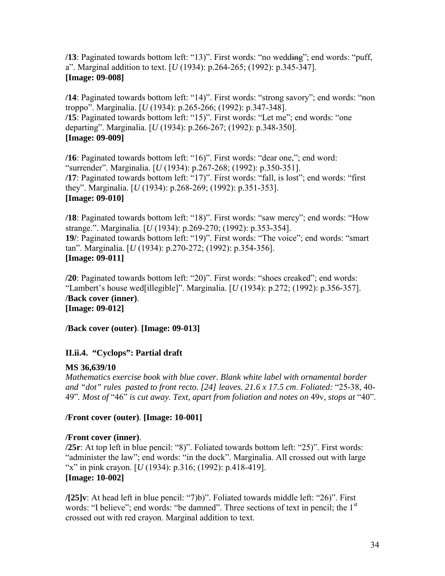<span id="page-33-0"></span>**/13**: Paginated towards bottom left: "13)". First words: "no wedding"; end words: "puff, aî. Marginal addition to text. [*U* (1934): p.264-265; (1992): p.345-347]. **[Image: 09-008]** 

**/14**: Paginated towards bottom left: "14)". First words: "strong savory"; end words: "non troppoî. Marginalia. [*U* (1934): p.265-266; (1992): p.347-348]. **/15**: Paginated towards bottom left: "15)". First words: "Let me"; end words: "one departingî. Marginalia. [*U* (1934): p.266-267; (1992): p.348-350]. **[Image: 09-009]** 

**/16**: Paginated towards bottom left: "16)". First words: "dear one,"; end word: ìsurrenderî. Marginalia. [*U* (1934): p.267-268; (1992): p.350-351]. **/17**: Paginated towards bottom left: "17)". First words: "fall, is lost"; end words: "first theyî. Marginalia. [*U* (1934): p.268-269; (1992): p.351-353]. **[Image: 09-010]** 

**/18**: Paginated towards bottom left: "18)". First words: "saw mercy"; end words: "How strange.". Marginalia. [*U* (1934): p.269-270; (1992): p.353-354]. **19**/: Paginated towards bottom left: "19)". First words: "The voice"; end words: "smart tanî. Marginalia. [*U* (1934): p.270-272; (1992): p.354-356]. **[Image: 09-011]** 

**/20**: Paginated towards bottom left: "20)". First words: "shoes creaked"; end words: ìLambertís house wed[illegible]î. Marginalia. [*U* (1934): p.272; (1992): p.356-357]. **/Back cover (inner)**. **[Image: 09-012]** 

**/Back cover (outer)**. **[Image: 09-013]** 

# **II.ii.4. "Cyclops": Partial draft**

# **MS 36,639/10**

*Mathematics exercise book with blue cover. Blank white label with ornamental border and "dot" rules pasted to front recto. [24] leaves. 21.6 x 17.5 cm*. *Foliated:* ì25-38, 40- 49"*. Most of* "46" *is cut away. Text, apart from foliation and notes on* 49*v, stops at* "40".

# **/Front cover (outer)**. **[Image: 10-001]**

# **/Front cover (inner)**.

**/25r**: At top left in blue pencil: "8)". Foliated towards bottom left: "25)". First words: "administer the law"; end words: "in the dock". Marginalia. All crossed out with large "x" in pink crayon. [*U* (1934): p.316; (1992): p.418-419]. **[Image: 10-002]** 

**/[25]v**: At head left in blue pencil: "7)b)". Foliated towards middle left: "26)". First words: "I believe"; end words: "be damned". Three sections of text in pencil; the  $1<sup>st</sup>$ crossed out with red crayon. Marginal addition to text.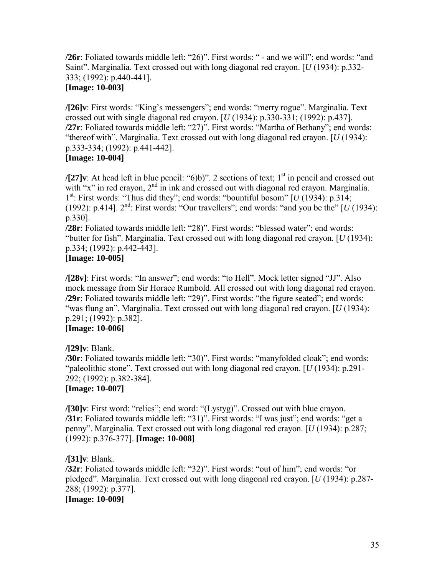**/26r**: Foliated towards middle left: "26)". First words: " - and we will"; end words: "and Saint". Marginalia. Text crossed out with long diagonal red crayon. [*U* (1934): p.332-333; (1992): p.440-441].

# **[Image: 10-003]**

**/[26]v**: First words: "King's messengers"; end words: "merry rogue". Marginalia. Text crossed out with single diagonal red crayon. [*U* (1934): p.330-331; (1992): p.437]. **/27r**: Foliated towards middle left: "27)". First words: "Martha of Bethany"; end words: "thereof with". Marginalia. Text crossed out with long diagonal red crayon.  $[U(1934)$ : p.333-334; (1992): p.441-442].

#### **[Image: 10-004]**

 $\mathcal{I}[27]$ v: At head left in blue pencil: "6)b)". 2 sections of text;  $1<sup>st</sup>$  in pencil and crossed out with "x" in red crayon, 2<sup>nd</sup> in ink and crossed out with diagonal red crayon. Marginalia.  $1<sup>st</sup>$ : First words: "Thus did they"; end words: "bountiful bosom"  $[U(1934)$ : p.314; (1992): p.414].  $2<sup>nd</sup>$ : First words: "Our travellers"; end words: "and you be the"  $\left[ U(1934) \right]$ : p.330].

**/28r**: Foliated towards middle left: "28)". First words: "blessed water"; end words: "butter for fish". Marginalia. Text crossed out with long diagonal red crayon. [*U* (1934): p.334; (1992): p.442-443].

### **[Image: 10-005]**

**/[28v]**: First words: "In answer"; end words: "to Hell". Mock letter signed "JJ". Also mock message from Sir Horace Rumbold. All crossed out with long diagonal red crayon. **/29r**: Foliated towards middle left: "29)". First words: "the figure seated"; end words: ìwas flung anî. Marginalia. Text crossed out with long diagonal red crayon. [*U* (1934): p.291; (1992): p.382]. **[Image: 10-006]** 

# **/[29]v**: Blank.

**/30r**: Foliated towards middle left: "30)". First words: "manyfolded cloak"; end words: "paleolithic stone". Text crossed out with long diagonal red crayon. [*U* (1934): p.291-292; (1992): p.382-384].

#### **[Image: 10-007]**

**/[30]v**: First word: "relics"; end word: "(Lystyg)". Crossed out with blue crayon. **/31r**: Foliated towards middle left: "31)". First words: "I was just"; end words: "get a pennyî. Marginalia. Text crossed out with long diagonal red crayon. [*U* (1934): p.287; (1992): p.376-377]. **[Image: 10-008]** 

#### **/[31]v**: Blank.

**/32r**: Foliated towards middle left: "32)". First words: "out of him"; end words: "or pledgedî. Marginalia. Text crossed out with long diagonal red crayon. [*U* (1934): p.287- 288; (1992): p.377].

**[Image: 10-009]**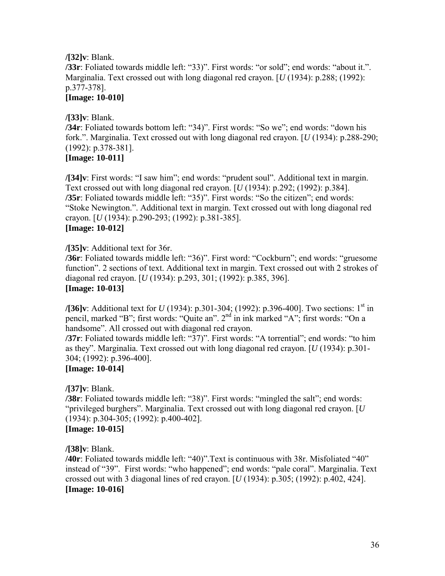#### **/[32]v**: Blank. **/33r**: Foliated towards middle left: "33)". First words: "or sold"; end words: "about it.". Marginalia. Text crossed out with long diagonal red crayon. [*U* (1934): p.288; (1992): p.377-378]. **[Image: 10-010]**

# **/[33]v**: Blank.

**/34r**: Foliated towards bottom left: "34)". First words: "So we"; end words: "down his fork.". Marginalia. Text crossed out with long diagonal red crayon. [*U* (1934): p.288-290; (1992): p.378-381].

# **[Image: 10-011]**

**/[34]v**: First words: "I saw him"; end words: "prudent soul". Additional text in margin. Text crossed out with long diagonal red crayon. [*U* (1934): p.292; (1992): p.384]. **/35r**: Foliated towards middle left: "35)". First words: "So the citizen"; end words: "Stoke Newington.". Additional text in margin. Text crossed out with long diagonal red crayon. [*U* (1934): p.290-293; (1992): p.381-385]. **[Image: 10-012]** 

**/[35]v**: Additional text for 36r.

**/36r**: Foliated towards middle left: "36)". First word: "Cockburn"; end words: "gruesome function". 2 sections of text. Additional text in margin. Text crossed out with 2 strokes of diagonal red crayon. [*U* (1934): p.293, 301; (1992): p.385, 396]. **[Image: 10-013]** 

**/[36]v**: Additional text for *U* (1934): p.301-304; (1992): p.396-400]. Two sections: 1<sup>st</sup> in pencil, marked "B"; first words: "Quite an".  $2<sup>nd</sup>$  in ink marked "A"; first words: "On a handsome". All crossed out with diagonal red crayon.

**/37r**: Foliated towards middle left: "37)". First words: "A torrential"; end words: "to him as theyî. Marginalia. Text crossed out with long diagonal red crayon. [*U* (1934): p.301- 304; (1992): p.396-400].

# **[Image: 10-014]**

**/[37]v**: Blank.

**/38r**: Foliated towards middle left: "38)". First words: "mingled the salt"; end words: "privileged burghers". Marginalia. Text crossed out with long diagonal red crayon.  $[U]$ (1934): p.304-305; (1992): p.400-402].

# **[Image: 10-015]**

**/[38]v**: Blank.

**/40r**: Foliated towards middle left: "40)".Text is continuous with 38r. Misfoliated "40" instead of "39". First words: "who happened"; end words: "pale coral". Marginalia. Text crossed out with 3 diagonal lines of red crayon. [*U* (1934): p.305; (1992): p.402, 424]. **[Image: 10-016]**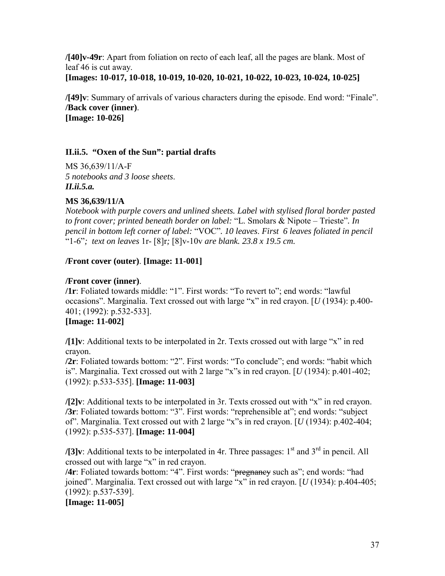<span id="page-36-0"></span>**/[40]v-49r**: Apart from foliation on recto of each leaf, all the pages are blank. Most of leaf 46 is cut away.

**[Images: 10-017, 10-018, 10-019, 10-020, 10-021, 10-022, 10-023, 10-024, 10-025]** 

**/[49]v**: Summary of arrivals of various characters during the episode. End word: "Finale". **/Back cover (inner)**. **[Image: 10-026]** 

# **II.ii.5. "Oxen of the Sun": partial drafts**

MS 36,639/11/A-F *5 notebooks and 3 loose sheets*. *II.ii.5.a.* 

# **MS 36,639/11/A**

*Notebook with purple covers and unlined sheets. Label with stylised floral border pasted to front cover; printed beneath border on label:* "L. Smolars & Nipote – Trieste". In *pencil in bottom left corner of label:* ìVOCî*. 10 leaves*. *First 6 leaves foliated in pencil*  ì1-6î*; text on leaves* 1r- [8]r*;* [8]v-10v *are blank. 23.8 x 19.5 cm.*

# **/Front cover (outer)**. **[Image: 11-001]**

# **/Front cover (inner)**.

**/1r**: Foliated towards middle: "1". First words: "To revert to"; end words: "lawful occasions". Marginalia. Text crossed out with large "x" in red crayon.  $[U(1934)$ : p.400-401; (1992): p.532-533].

# **[Image: 11-002]**

**/[1]v**: Additional texts to be interpolated in  $2r$ . Texts crossed out with large "x" in red crayon.

**/2r**: Foliated towards bottom: "2". First words: "To conclude"; end words: "habit which is". Marginalia. Text crossed out with 2 large "x"s in red crayon.  $[U(1934): p.401-402;$ (1992): p.533-535]. **[Image: 11-003]** 

**/[2]v**: Additional texts to be interpolated in 3r. Texts crossed out with "x" in red crayon. **/3r**: Foliated towards bottom: "3". First words: "reprehensible at"; end words: "subject of". Marginalia. Text crossed out with 2 large "x"s in red crayon. [*U* (1934): p.402-404; (1992): p.535-537]. **[Image: 11-004]** 

**/[3]v**: Additional texts to be interpolated in 4r. Three passages: 1<sup>st</sup> and 3<sup>rd</sup> in pencil. All crossed out with large "x" in red crayon.

**/4r**: Foliated towards bottom: "4". First words: "pregnancy such as"; end words: "had joined". Marginalia. Text crossed out with large "x" in red crayon.  $[U(1934)$ : p.404-405; (1992): p.537-539].

**[Image: 11-005]**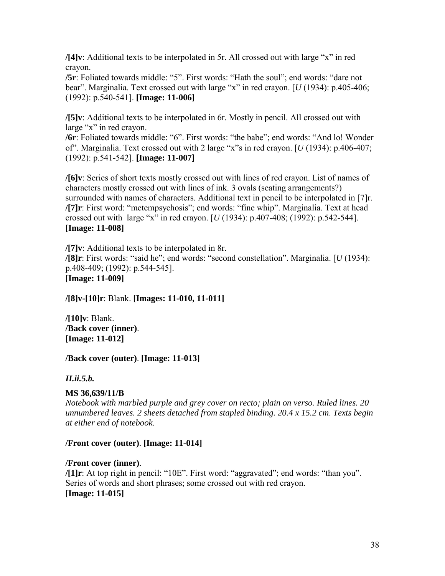**/[4]v**: Additional texts to be interpolated in 5r. All crossed out with large "x" in red crayon.

**/5r**: Foliated towards middle: "5". First words: "Hath the soul"; end words: "dare not bear". Marginalia. Text crossed out with large "x" in red crayon.  $[U(1934)$ : p.405-406; (1992): p.540-541]. **[Image: 11-006]** 

**/[5]v**: Additional texts to be interpolated in 6r. Mostly in pencil. All crossed out with large " $x$ " in red crayon.

**/6r**: Foliated towards middle: "6". First words: "the babe"; end words: "And lo! Wonder of". Marginalia. Text crossed out with 2 large "x"s in red crayon. [*U* (1934): p.406-407; (1992): p.541-542]. **[Image: 11-007]** 

**/[6]v**: Series of short texts mostly crossed out with lines of red crayon. List of names of characters mostly crossed out with lines of ink. 3 ovals (seating arrangements?) surrounded with names of characters. Additional text in pencil to be interpolated in [7]r. **/[7] r**: First word: "metempsychosis"; end words: "fine whip". Marginalia. Text at head crossed out with large "x" in red crayon.  $[U(1934)$ : p.407-408; (1992): p.542-544]. **[Image: 11-008]** 

**/[7]v**: Additional texts to be interpolated in 8r. **/[8]r**: First words: "said he"; end words: "second constellation". Marginalia. [*U* (1934): p.408-409; (1992): p.544-545]. **[Image: 11-009]** 

**/[8]v-[10]r**: Blank. **[Images: 11-010, 11-011]** 

**/[10]v**: Blank. **/Back cover (inner)**. **[Image: 11-012]** 

**/Back cover (outer)**. **[Image: 11-013]** 

*II.ii.5.b.* 

#### **MS 36,639/11/B**

*Notebook with marbled purple and grey cover on recto; plain on verso. Ruled lines. 20 unnumbered leaves. 2 sheets detached from stapled binding. 20.4 x 15.2 cm*. *Texts begin at either end of notebook*.

#### **/Front cover (outer)**. **[Image: 11-014]**

#### **/Front cover (inner)**.

**/[1] r**: At top right in pencil: "10E". First word: "aggravated"; end words: "than you". Series of words and short phrases; some crossed out with red crayon. **[Image: 11-015]**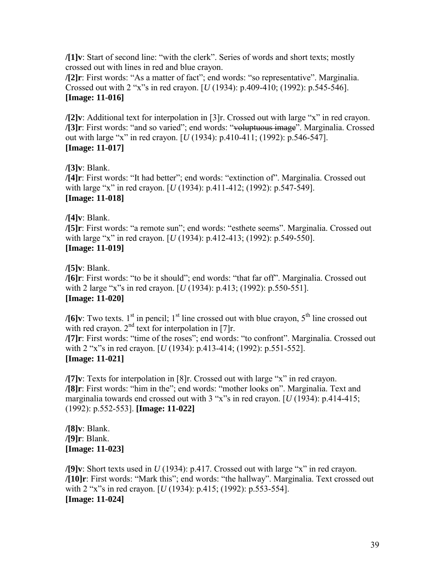**/[1]v**: Start of second line: "with the clerk". Series of words and short texts; mostly crossed out with lines in red and blue crayon.

**/[2]r**: First words: "As a matter of fact"; end words: "so representative". Marginalia. Crossed out with 2 "x"s in red crayon. [*U* (1934): p.409-410; (1992): p.545-546]. **[Image: 11-016]** 

**/[2]v**: Additional text for interpolation in [3]r. Crossed out with large "x" in red crayon. **/[3]r**: First words: "and so varied"; end words: "voluptuous image". Marginalia. Crossed out with large "x" in red crayon. [*U* (1934): p.410-411; (1992): p.546-547]. **[Image: 11-017]** 

**/[3]v**: Blank.

**/[4]r**: First words: "It had better"; end words: "extinction of". Marginalia. Crossed out with large "x" in red crayon.  $[U(1934): p.411-412; (1992): p.547-549]$ . **[Image: 11-018]** 

**/[4]v**: Blank.

**/[5]r**: First words: "a remote sun"; end words: "esthete seems". Marginalia. Crossed out with large "x" in red crayon.  $[U(1934): p.412-413; (1992): p.549-550]$ . **[Image: 11-019]** 

**/[5]v**: Blank. **/[6]r**: First words: "to be it should"; end words: "that far off". Marginalia. Crossed out with 2 large "x"s in red crayon.  $[U(1934): p.413; (1992): p.550-551]$ . **[Image: 11-020]** 

**/[6]v**: Two texts.  $1^{st}$  in pencil;  $1^{st}$  line crossed out with blue crayon,  $5^{th}$  line crossed out with red crayon.  $2<sup>nd</sup>$  text for interpolation in [7]r. **/[7]r**: First words: "time of the roses"; end words: "to confront". Marginalia. Crossed out

with 2 "x"s in red crayon. [*U* (1934): p.413-414; (1992): p.551-552]. **[Image: 11-021]** 

**/[7]v**: Texts for interpolation in [8]r. Crossed out with large "x" in red crayon. **/[8]r**: First words: "him in the"; end words: "mother looks on". Marginalia. Text and marginalia towards end crossed out with  $3$  "x"s in red crayon. [ $U(1934)$ : p.414-415; (1992): p.552-553]. **[Image: 11-022]** 

**/[8]v**: Blank. **/[9]r**: Blank. **[Image: 11-023]** 

**/[9]v**: Short texts used in  $U(1934)$ : p.417. Crossed out with large "x" in red crayon. **/[10]r**: First words: "Mark this"; end words: "the hallway". Marginalia. Text crossed out with 2 "x"s in red crayon. [*U* (1934): p.415; (1992): p.553-554]. **[Image: 11-024]**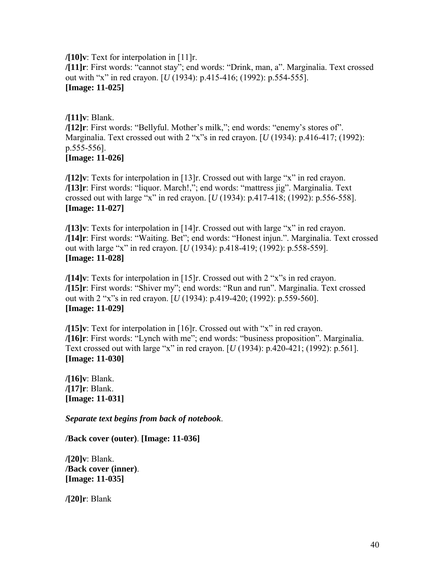**/[10]v**: Text for interpolation in [11]r. /[11]r: First words: "cannot stay"; end words: "Drink, man, a". Marginalia. Text crossed out with "x" in red crayon. [*U* (1934): p.415-416; (1992): p.554-555]. **[Image: 11-025]** 

**/[11]v**: Blank. **/[12]r**: First words: "Bellyful. Mother's milk,"; end words: "enemy's stores of". Marginalia. Text crossed out with 2 "x"s in red crayon.  $[U(1934)$ : p.416-417; (1992): p.555-556]. **[Image: 11-026]** 

**/[12]v**: Texts for interpolation in [13]r. Crossed out with large "x" in red crayon. **/[13]r**: First words: "liquor. March!,"; end words: "mattress jig". Marginalia. Text crossed out with large "x" in red crayon.  $[U(1934)$ : p.417-418;  $(1992)$ : p.556-558]. **[Image: 11-027]** 

**/[13]v**: Texts for interpolation in [14]r. Crossed out with large "x" in red crayon. /[14]r: First words: "Waiting. Bet"; end words: "Honest injun.". Marginalia. Text crossed out with large "x" in red crayon. [*U* (1934): p.418-419; (1992): p.558-559]. **[Image: 11-028]** 

**/[14]v**: Texts for interpolation in [15]r. Crossed out with 2 "x"s in red crayon. **/[15]r**: First words: "Shiver my"; end words: "Run and run". Marginalia. Text crossed out with 2 "x"s in red crayon. [*U* (1934): p.419-420; (1992): p.559-560]. **[Image: 11-029]** 

**/[15]v**: Text for interpolation in [16]r. Crossed out with "x" in red crayon. **/[16]r**: First words: "Lynch with me"; end words: "business proposition". Marginalia. Text crossed out with large "x" in red crayon.  $[U(1934)$ : p.420-421; (1992): p.561]. **[Image: 11-030]** 

**/[16]v**: Blank. **/[17]r**: Blank. **[Image: 11-031]** 

*Separate text begins from back of notebook*.

**/Back cover (outer)**. **[Image: 11-036]** 

**/[20]v**: Blank. **/Back cover (inner)**. **[Image: 11-035]** 

**/[20]r**: Blank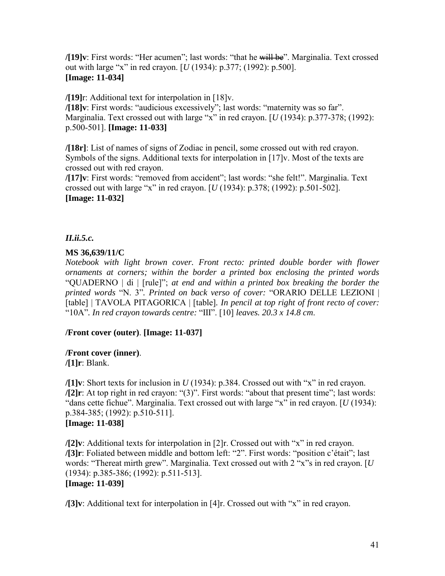**/[19]v**: First words: "Her acumen"; last words: "that he will be". Marginalia. Text crossed out with large "x" in red crayon. [*U* (1934):  $p.377$ ; (1992):  $p.500$ ]. **[Image: 11-034]** 

**/[19]**r: Additional text for interpolation in [18]v.

**/[18]v**: First words: "audicious excessively"; last words: "maternity was so far". Marginalia. Text crossed out with large "x" in red crayon.  $[U(1934): p.377-378; (1992):$ p.500-501]. **[Image: 11-033]** 

**/[18r]**: List of names of signs of Zodiac in pencil, some crossed out with red crayon. Symbols of the signs. Additional texts for interpolation in [17]v. Most of the texts are crossed out with red crayon.

**/[17]v**: First words: "removed from accident"; last words: "she felt!". Marginalia. Text crossed out with large "x" in red crayon.  $[U(1934): p.378; (1992): p.501-502]$ . **[Image: 11-032]** 

# *II.ii.5.c.*

# **MS 36,639/11/C**

*Notebook with light brown cover. Front recto: printed double border with flower ornaments at corners; within the border a printed box enclosing the printed words* ìQUADERNO | di | [rule]î; *at end and within a printed box breaking the border the printed words* "N. 3". Printed on back verso of cover: "ORARIO DELLE LEZIONI | [table] | TAVOLA PITAGORICA | [table]. *In pencil at top right of front recto of cover:* ì10Aî*. In red crayon towards centre:* ìIIIî. [10] *leaves. 20.3 x 14.8 cm*.

# **/Front cover (outer)**. **[Image: 11-037]**

#### **/Front cover (inner)**.

**/[1]r**: Blank.

**/[1]v**: Short texts for inclusion in  $U(1934)$ : p.384. Crossed out with "x" in red crayon.  $\sqrt{2}$ **r**: At top right in red crayon: "(3)". First words: "about that present time"; last words: "dans cette fichue". Marginalia. Text crossed out with large "x" in red crayon.  $[U(1934)$ : p.384-385; (1992): p.510-511]. **[Image: 11-038]** 

**/[2]v**: Additional texts for interpolation in [2]r. Crossed out with "x" in red crayon. **/[3]r**: Foliated between middle and bottom left: "2". First words: "position c'était"; last words: "Thereat mirth grew". Marginalia. Text crossed out with 2 "x"s in red crayon. [*U* (1934): p.385-386; (1992): p.511-513]. **[Image: 11-039]** 

**/[3]v**: Additional text for interpolation in [4]r. Crossed out with "x" in red crayon.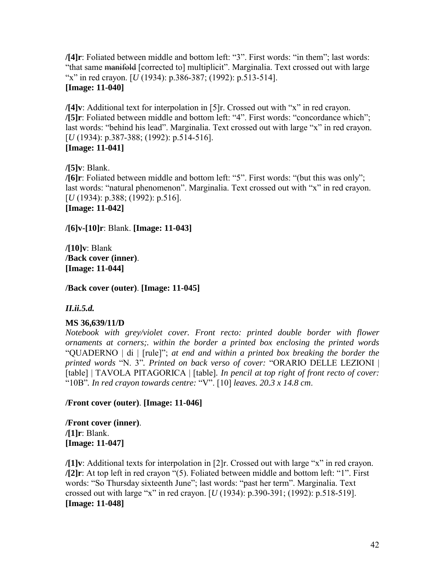**/[4]r**: Foliated between middle and bottom left: "3". First words: "in them"; last words: "that same manifold [corrected to] multiplicit". Marginalia. Text crossed out with large ìxî in red crayon. [*U* (1934): p.386-387; (1992): p.513-514]. **[Image: 11-040]** 

**/[4]v**: Additional text for interpolation in [5]r. Crossed out with "x" in red crayon. **/[5]r**: Foliated between middle and bottom left: "4". First words: "concordance which"; last words: "behind his lead". Marginalia. Text crossed out with large "x" in red crayon. [*U* (1934): p.387-388; (1992): p.514-516]. **[Image: 11-041]** 

**/[5]v**: Blank.

/[6]r: Foliated between middle and bottom left: "5". First words: "(but this was only"; last words: "natural phenomenon". Marginalia. Text crossed out with "x" in red crayon. [*U* (1934): p.388; (1992): p.516].

**[Image: 11-042]** 

**/[6]v-[10]r**: Blank. **[Image: 11-043]** 

**/[10]v**: Blank **/Back cover (inner)**. **[Image: 11-044]**

**/Back cover (outer)**. **[Image: 11-045]** 

*II.ii.5.d.* 

# **MS 36,639/11/D**

*Notebook with grey/violet cover. Front recto: printed double border with flower ornaments at corners;. within the border a printed box enclosing the printed words* ìQUADERNO | di | [rule]î; *at end and within a printed box breaking the border the*  printed words "N. 3". Printed on back verso of cover: "ORARIO DELLE LEZIONI | [table] | TAVOLA PITAGORICA | [table]. *In pencil at top right of front recto of cover:* ì10Bî*. In red crayon towards centre:* ìVî. [10] *leaves. 20.3 x 14.8 cm*.

#### **/Front cover (outer)**. **[Image: 11-046]**

**/Front cover (inner)**. **/[1]r**: Blank. **[Image: 11-047]** 

**/[1]v**: Additional texts for interpolation in [2]r. Crossed out with large "x" in red crayon. **/[2]r**: At top left in red crayon  $\cdot$  (5). Foliated between middle and bottom left:  $\cdot$  1". First words: "So Thursday sixteenth June"; last words: "past her term". Marginalia. Text crossed out with large "x" in red crayon.  $[U(1934)$ : p.390-391; (1992): p.518-519]. **[Image: 11-048]**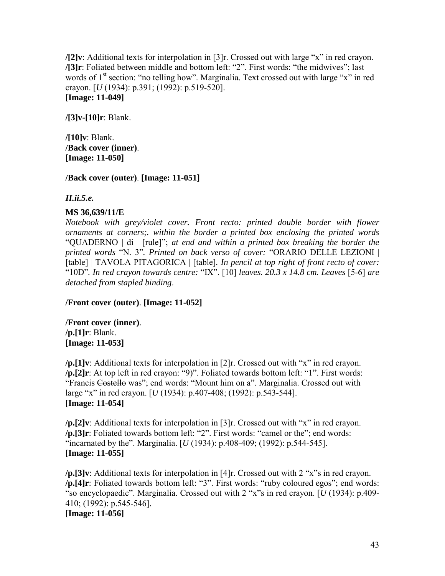**/[2]v**: Additional texts for interpolation in [3]r. Crossed out with large "x" in red crayon. **/[3]r**: Foliated between middle and bottom left: "2". First words: "the midwives"; last words of  $1<sup>st</sup>$  section: "no telling how". Marginalia. Text crossed out with large "x" in red crayon. [*U* (1934): p.391; (1992): p.519-520]. **[Image: 11-049]** 

**/[3]v-[10]r**: Blank.

**/[10]v**: Blank. **/Back cover (inner)**. **[Image: 11-050]** 

**/Back cover (outer)**. **[Image: 11-051]** 

*II.ii.5.e.* 

#### **MS 36,639/11/E**

*Notebook with grey/violet cover. Front recto: printed double border with flower ornaments at corners;. within the border a printed box enclosing the printed words* ìQUADERNO | di | [rule]î; *at end and within a printed box breaking the border the printed words* "N. 3". Printed on back verso of cover: "ORARIO DELLE LEZIONI | [table] | TAVOLA PITAGORICA | [table]. *In pencil at top right of front recto of cover:* " $10D$ ". In red crayon towards centre: " $IX$ ". [10] leaves. 20.3 x 14.8 cm. Leaves [5-6] are *detached from stapled binding*.

**/Front cover (outer)**. **[Image: 11-052]**

**/Front cover (inner)**. **/p.[1]r**: Blank. **[Image: 11-053]** 

**/p.**[1]v: Additional texts for interpolation in [2]r. Crossed out with "x" in red crayon. /p.[2]r: At top left in red crayon: "9)". Foliated towards bottom left: "1". First words: "Francis Costello was"; end words: "Mount him on a". Marginalia. Crossed out with large "x" in red crayon. [*U* (1934): p.407-408; (1992): p.543-544]. **[Image: 11-054]** 

**/p.**[2]v: Additional texts for interpolation in [3]r. Crossed out with "x" in red crayon. **/p.[3]r**: Foliated towards bottom left: "2". First words: "camel or the"; end words: "incarnated by the". Marginalia. [*U* (1934): p.408-409; (1992): p.544-545]. **[Image: 11-055]** 

 $\pi$ . [3] v: Additional texts for interpolation in [4] r. Crossed out with 2 "x" s in red crayon. /p.[4]r: Foliated towards bottom left: "3". First words: "ruby coloured egos"; end words: "so encyclopaedic". Marginalia. Crossed out with 2 "x"s in red crayon. [*U* (1934): p.409-410; (1992): p.545-546]. **[Image: 11-056]**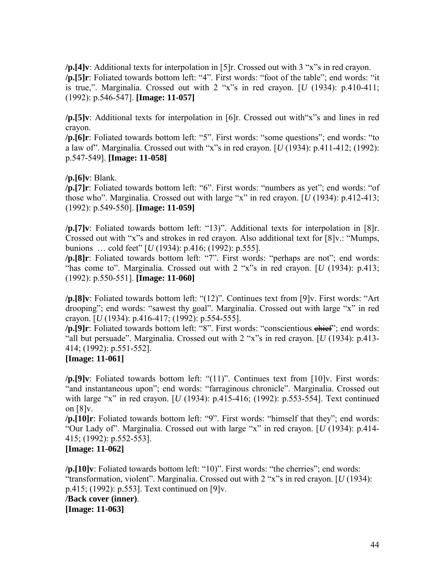**/p.**[4]v: Additional texts for interpolation in [5]r. Crossed out with 3 "x"s in red crayon. /p.[5]r: Foliated towards bottom left: "4". First words: "foot of the table"; end words: "it is true,". Marginalia. Crossed out with  $2$  "x"s in red crayon. [ $U$  (1934): p.410-411; (1992): p.546-547]. **[Image: 11-057]** 

**/p.**[5]v: Additional texts for interpolation in [6]r. Crossed out with "x" s and lines in red crayon.

/p.[6]r: Foliated towards bottom left: "5". First words: "some questions"; end words: "to a law of". Marginalia. Crossed out with "x"s in red crayon.  $[U(1934)$ : p.411-412; (1992): p.547-549]. **[Image: 11-058]** 

**/p.[6]v**: Blank.

/p.[7]r: Foliated towards bottom left: "6". First words: "numbers as yet"; end words: "of those who". Marginalia. Crossed out with large "x" in red crayon.  $\left[ U(1934) : p.412-413 \right]$ ; (1992): p.549-550]. **[Image: 11-059]** 

**/p.**[7]v: Foliated towards bottom left: "13)". Additional texts for interpolation in [8]r. Crossed out with "x"s and strokes in red crayon. Also additional text for  $[8]v$ .: "Mumps, bunions  $\ldots$  cold feet" [*U* (1934): p.416; (1992): p.555].

/p.[8]r: Foliated towards bottom left: "7". First words: "perhaps are not"; end words: "has come to". Marginalia. Crossed out with  $2$  "x"s in red crayon. [*U* (1934): p.413; (1992): p.550-551]. **[Image: 11-060]** 

**/p.**[8]v: Foliated towards bottom left: "(12)". Continues text from [9]v. First words: "Art drooping"; end words: "sawest thy goal". Marginalia. Crossed out with large "x" in red crayon. [*U* (1934): p.416-417; (1992): p.554-555].

/p.[9]r: Foliated towards bottom left: "8". First words: "conscientious ehief"; end words: "all but persuade". Marginalia. Crossed out with  $2$  "x"s in red crayon. [*U* (1934): p.413-414; (1992): p.551-552].

#### **[Image: 11-061]**

**/p.**[9]v: Foliated towards bottom left: "(11)". Continues text from [10]v. First words: "and instantaneous upon"; end words: "farraginous chronicle". Marginalia. Crossed out with large "x" in red crayon. [*U* (1934): p.415-416; (1992): p.553-554]. Text continued on [8]v.

**/p.[10]r**: Foliated towards bottom left: "9". First words: "himself that they"; end words: "Our Lady of". Marginalia. Crossed out with large "x" in red crayon. [*U* (1934): p.414-415; (1992): p.552-553].

## **[Image: 11-062]**

**/p.[10]v**: Foliated towards bottom left: "10)". First words: "the cherries"; end words: "transformation, violent". Marginalia. Crossed out with  $2$  "x"s in red crayon. [ $U(1934)$ : p.415; (1992): p.553]. Text continued on [9]v. **/Back cover (inner)**. **[Image: 11-063]**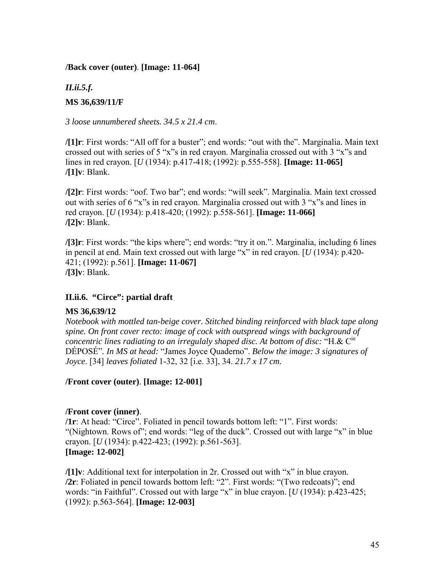#### <span id="page-44-0"></span>**/Back cover (outer)**. **[Image: 11-064]**

# *II.ii.5.f.*  **MS 36,639/11/F**

*3 loose unnumbered sheets. 34.5 x 21.4 cm*.

**/[1]r**: First words: "All off for a buster"; end words: "out with the". Marginalia. Main text crossed out with series of 5 "x"s in red crayon. Marginalia crossed out with 3 "x"s and lines in red crayon. [*U* (1934): p.417-418; (1992): p.555-558]. **[Image: 11-065] /[1]v**: Blank.

**/[2]r**: First words: "oof. Two bar"; end words: "will seek". Marginalia. Main text crossed out with series of 6  $\alpha$ <sup>x</sup> $\alpha$  in red crayon. Marginalia crossed out with 3  $\alpha$ <sup>x</sup> $\alpha$  and lines in red crayon. [*U* (1934): p.418-420; (1992): p.558-561]. **[Image: 11-066] /[2]v**: Blank.

**/[3]r**: First words: "the kips where"; end words: "try it on.". Marginalia, including 6 lines in pencil at end. Main text crossed out with large "x" in red crayon.  $\left[ U(1934) : p.420 \right]$ -421; (1992): p.561]. **[Image: 11-067] /[3]v**: Blank.

#### **II.ii.6. "Circe": partial draft**

#### **MS 36,639/12**

*Notebook with mottled tan-beige cover. Stitched binding reinforced with black tape along spine. On front cover recto: image of cock with outspread wings with background of concentric lines radiating to an irregulaly shaped disc. At bottom of disc:* "H.&  $C^{ie}$ DÉPOSÉ". In MS at head: "James Joyce Quaderno". *Below the image: 3 signatures of Joyce*. [34] *leaves foliated* 1-32, 32 [i.e. 33], 34. *21.7 x 17 cm.*

#### **/Front cover (outer)**. **[Image: 12-001]**

#### **/Front cover (inner)**.

**/1r**: At head: "Circe". Foliated in pencil towards bottom left: "1". First words: "(Nightown. Rows of"; end words: "leg of the duck". Crossed out with large "x" in blue crayon. [*U* (1934): p.422-423; (1992): p.561-563]. **[Image: 12-002]** 

**/[1]v**: Additional text for interpolation in 2r. Crossed out with "x" in blue crayon. **/2r**: Foliated in pencil towards bottom left: "2". First words: "(Two redcoats)"; end words: "in Faithful". Crossed out with large "x" in blue crayon. [*U* (1934): p.423-425; (1992): p.563-564]. **[Image: 12-003]**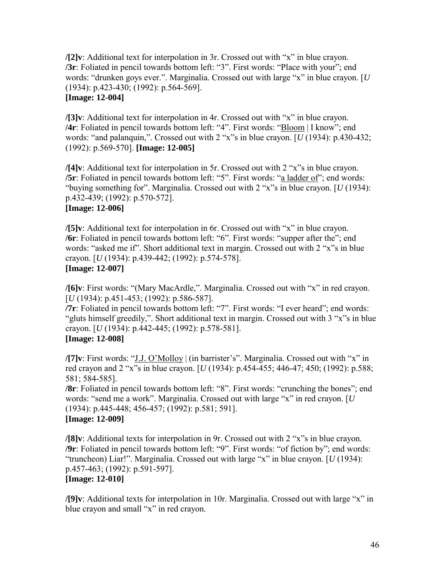**/[2]v**: Additional text for interpolation in 3r. Crossed out with "x" in blue crayon. **/3r**: Foliated in pencil towards bottom left: "3". First words: "Place with your"; end words: "drunken goys ever.". Marginalia. Crossed out with large "x" in blue crayon. [*U* (1934): p.423-430; (1992): p.564-569]. **[Image: 12-004]** 

**/[3]v**: Additional text for interpolation in 4r. Crossed out with "x" in blue crayon. **/4r**: Foliated in pencil towards bottom left: "4". First words: "Bloom | I know"; end words: "and palanquin,". Crossed out with  $2$  "x"s in blue crayon. [ $U$  (1934): p.430-432; (1992): p.569-570]. **[Image: 12-005]** 

**/[4]v**: Additional text for interpolation in 5r. Crossed out with 2 "x"s in blue crayon. **/5r**: Foliated in pencil towards bottom left: "5". First words: "a ladder of"; end words: "buying something for". Marginalia. Crossed out with 2 "x"s in blue crayon. [*U* (1934): p.432-439; (1992): p.570-572].

### **[Image: 12-006]**

**/[5]v**: Additional text for interpolation in 6r. Crossed out with "x" in blue crayon. **/6r**: Foliated in pencil towards bottom left: "6". First words: "supper after the"; end words: "asked me if". Short additional text in margin. Crossed out with 2 "x"s in blue crayon. [*U* (1934): p.439-442; (1992): p.574-578]. **[Image: 12-007]** 

# **/[6]v**: First words: "(Mary MacArdle,". Marginalia. Crossed out with "x" in red crayon.

[*U* (1934): p.451-453; (1992): p.586-587]. **/7r**: Foliated in pencil towards bottom left: "7". First words: "I ever heard"; end words:

"gluts himself greedily,". Short additional text in margin. Crossed out with 3 "x"s in blue crayon. [*U* (1934): p.442-445; (1992): p.578-581].

# **[Image: 12-008]**

**/[7]v**: First words: "J.J. O'Molloy | (in barrister's". Marginalia. Crossed out with "x" in red crayon and 2 "x"s in blue crayon. [*U* (1934): p.454-455; 446-47; 450; (1992): p.588; 581; 584-585].

**/8r**: Foliated in pencil towards bottom left: "8". First words: "crunching the bones"; end words: "send me a work". Marginalia. Crossed out with large "x" in red crayon. [*U* (1934): p.445-448; 456-457; (1992): p.581; 591]. **[Image: 12-009]** 

**/[8]v**: Additional texts for interpolation in 9r. Crossed out with 2 "x" in blue crayon. **/9r**: Foliated in pencil towards bottom left: "9". First words: "of fiction by"; end words: "truncheon) Liar!". Marginalia. Crossed out with large "x" in blue crayon.  $[U(1934)$ : p.457-463; (1992): p.591-597]. **[Image: 12-010]** 

**/[9]v**: Additional texts for interpolation in 10r. Marginalia. Crossed out with large "x" in blue crayon and small " $x$ " in red crayon.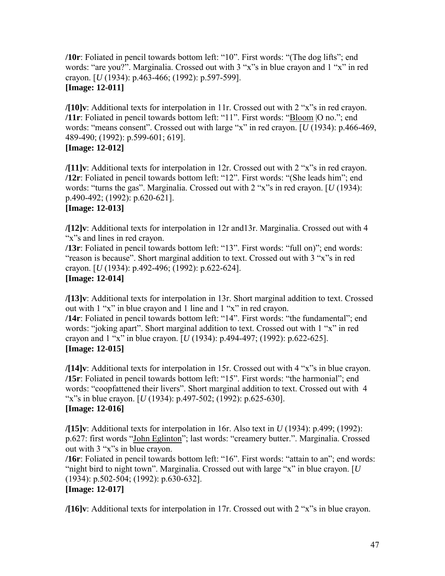**/10r**: Foliated in pencil towards bottom left: "10". First words: "(The dog lifts"; end words: "are you?". Marginalia. Crossed out with  $3$  "x" in blue crayon and  $1$  "x" in red crayon. [*U* (1934): p.463-466; (1992): p.597-599]. **[Image: 12-011]** 

**/[10]v**: Additional texts for interpolation in 11r. Crossed out with  $2$  "x" in red crayon. **/11r**: Foliated in pencil towards bottom left: "11". First words: "Bloom |O no."; end words: "means consent". Crossed out with large "x" in red crayon. [*U* (1934): p.466-469, 489-490; (1992): p.599-601; 619]. **[Image: 12-012]** 

**/[11]v**: Additional texts for interpolation in 12r. Crossed out with 2 "x"s in red crayon. **/12r**: Foliated in pencil towards bottom left: "12". First words: "(She leads him"; end words: "turns the gas". Marginalia. Crossed out with 2 "x"s in red crayon. [*U* (1934): p.490-492; (1992): p.620-621].

# **[Image: 12-013]**

**/[12]v**: Additional texts for interpolation in 12r and13r. Marginalia. Crossed out with 4 "x"s and lines in red crayon.

**/13r**: Foliated in pencil towards bottom left: "13". First words: "full on)"; end words: "reason is because". Short marginal addition to text. Crossed out with  $3$  "x"s in red crayon. [*U* (1934): p.492-496; (1992): p.622-624]. **[Image: 12-014]** 

**/[13]v**: Additional texts for interpolation in 13r. Short marginal addition to text. Crossed out with  $1$  "x" in blue crayon and 1 line and  $1$  "x" in red crayon.

**/14r**: Foliated in pencil towards bottom left: "14". First words: "the fundamental"; end words: "joking apart". Short marginal addition to text. Crossed out with 1 "x" in red crayon and  $1$  "x" in blue crayon. [*U* (1934): p.494-497; (1992): p.622-625]. **[Image: 12-015]** 

**/[14]v**: Additional texts for interpolation in 15r. Crossed out with 4 "x"s in blue crayon. **/15r**: Foliated in pencil towards bottom left: "15". First words: "the harmonial"; end words: "coopfattened their livers". Short marginal addition to text. Crossed out with 4 "x"s in blue crayon. [*U* (1934): p.497-502; (1992): p.625-630]. **[Image: 12-016]** 

**/[15]v**: Additional texts for interpolation in 16r. Also text in *U* (1934): p.499; (1992): p.627: first words "John Eglinton"; last words: "creamery butter.". Marginalia. Crossed out with  $3$  " $x$ "s in blue crayon.

**/16r**: Foliated in pencil towards bottom left: "16". First words: "attain to an"; end words: "night bird to night town". Marginalia. Crossed out with large "x" in blue crayon.  $[U]$ (1934): p.502-504; (1992): p.630-632].

# **[Image: 12-017]**

**/[16]v**: Additional texts for interpolation in 17r. Crossed out with 2 "x" in blue crayon.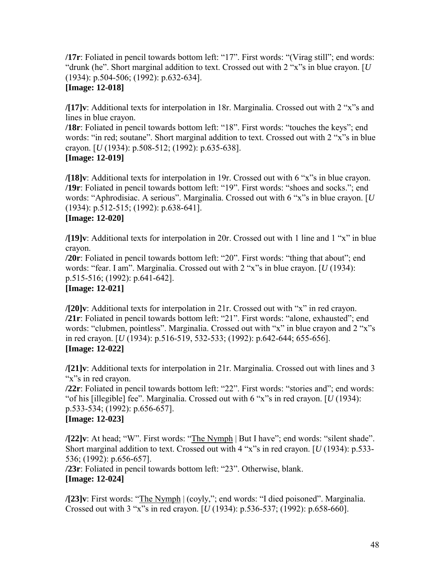**/17r**: Foliated in pencil towards bottom left: "17". First words: "(Virag still"; end words: " $d$ runk (he". Short marginal addition to text. Crossed out with 2 "x"s in blue crayon. [ $U$ (1934): p.504-506; (1992): p.632-634].

# **[Image: 12-018]**

**/[17]v**: Additional texts for interpolation in 18r. Marginalia. Crossed out with 2 "x"s and lines in blue crayon.

**/18r**: Foliated in pencil towards bottom left: "18". First words: "touches the keys"; end words: "in red; soutane". Short marginal addition to text. Crossed out with 2 "x"s in blue crayon. [*U* (1934): p.508-512; (1992): p.635-638]. **[Image: 12-019]** 

**/[18]v**: Additional texts for interpolation in 19r. Crossed out with  $6$  "x" in blue crayon. **/19r**: Foliated in pencil towards bottom left: "19". First words: "shoes and socks."; end words: "Aphrodisiac. A serious". Marginalia. Crossed out with 6 "x"s in blue crayon. [*U* (1934): p.512-515; (1992): p.638-641].

#### **[Image: 12-020]**

**/[19]v**: Additional texts for interpolation in 20r. Crossed out with 1 line and 1 "x" in blue crayon.

**/20r**: Foliated in pencil towards bottom left: "20". First words: "thing that about"; end words: "fear. I am". Marginalia. Crossed out with 2 "x"s in blue crayon. [*U* (1934): p.515-516; (1992): p.641-642].

# **[Image: 12-021]**

**/[20]v**: Additional texts for interpolation in 21r. Crossed out with "x" in red crayon. **/21r**: Foliated in pencil towards bottom left: "21". First words: "alone, exhausted"; end words: "clubmen, pointless". Marginalia. Crossed out with " $x$ " in blue crayon and 2 " $x$ "s in red crayon. [*U* (1934): p.516-519, 532-533; (1992): p.642-644; 655-656]. **[Image: 12-022]** 

**/[21]v**: Additional texts for interpolation in 21r. Marginalia. Crossed out with lines and 3 "x"s in red crayon.

**/22r**: Foliated in pencil towards bottom left: "22". First words: "stories and"; end words: "of his [illegible] fee". Marginalia. Crossed out with 6 "x"s in red crayon. [*U* (1934): p.533-534; (1992): p.656-657].

# **[Image: 12-023]**

**/[22]v**: At head; "W". First words: "The Nymph | But I have"; end words: "silent shade". Short marginal addition to text. Crossed out with  $4$  "x"s in red crayon. [ $U(1934)$ : p.533-536; (1992): p.656-657].

**/23r**: Foliated in pencil towards bottom left: "23". Otherwise, blank. **[Image: 12-024]** 

**/[23]v**: First words: "The Nymph | (coyly,"; end words: "I died poisoned". Marginalia. Crossed out with 3 "x"s in red crayon.  $[U(1934)$ : p.536-537; (1992): p.658-660].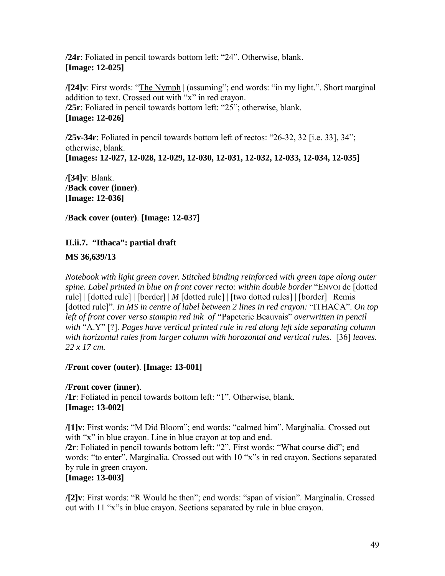<span id="page-48-0"></span>**/24r**: Foliated in pencil towards bottom left: "24". Otherwise, blank. **[Image: 12-025]** 

**/[24]v**: First words: "The Nymph | (assuming"; end words: "in my light.". Short marginal addition to text. Crossed out with "x" in red crayon. **/25r**: Foliated in pencil towards bottom left: "25"; otherwise, blank. **[Image: 12-026]**

**/25v-34r**: Foliated in pencil towards bottom left of rectos:  $26-32$ , 32 [i.e. 33], 34<sup> $\cdot\cdot$ </sup>; otherwise, blank. **[Images: 12-027, 12-028, 12-029, 12-030, 12-031, 12-032, 12-033, 12-034, 12-035]** 

**/[34]v**: Blank. **/Back cover (inner)**. **[Image: 12-036]** 

**/Back cover (outer)**. **[Image: 12-037]** 

# **II.ii.7. "Ithaca": partial draft**

**MS 36,639/13** 

*Notebook with light green cover. Stitched binding reinforced with green tape along outer*  spine. Label printed in blue on front cover recto: within double border "ENVOI de [dotted rule] | [dotted rule] | [border] | *M* [dotted rule] | [two dotted rules] | [border] | Remis [dotted rule]". *In MS in centre of label between 2 lines in red crayon:* "ITHACA". *On top* left of front cover verso stampin red ink of "Papeterie Beauvais" *overwritten in pencil with* ìΛ.Yî [?]. *Pages have vertical printed rule in red along left side separating column with horizontal rules from larger column with horozontal and vertical rules.* [36] *leaves. 22 x 17 cm.*

# **/Front cover (outer)**. **[Image: 13-001]**

# **/Front cover (inner)**.

**/1r**: Foliated in pencil towards bottom left: "1". Otherwise, blank. **[Image: 13-002]** 

**/[1]v**: First words: "M Did Bloom"; end words: "calmed him". Marginalia. Crossed out with "x" in blue crayon. Line in blue crayon at top and end.

/2r: Foliated in pencil towards bottom left: "2". First words: "What course did"; end words: "to enter". Marginalia. Crossed out with 10 "x"s in red crayon. Sections separated by rule in green crayon.

# **[Image: 13-003]**

**/[2]v**: First words: "R Would he then"; end words: "span of vision". Marginalia. Crossed out with 11 "x"s in blue crayon. Sections separated by rule in blue crayon.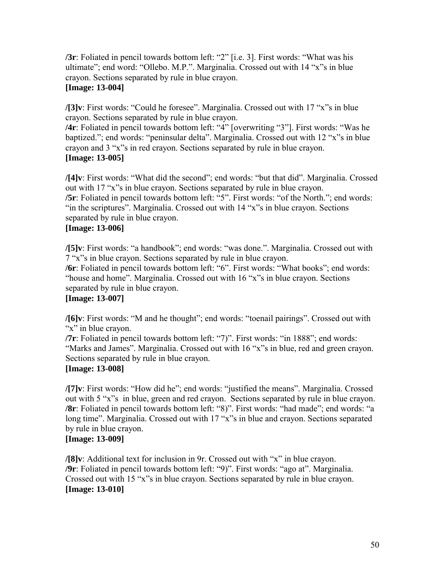**/3r**: Foliated in pencil towards bottom left: "2" [i.e. 3]. First words: "What was his ultimate"; end word: "Ollebo. M.P.". Marginalia. Crossed out with 14 "x"s in blue crayon. Sections separated by rule in blue crayon.

### **[Image: 13-004]**

**/[3]v**: First words: "Could he foresee". Marginalia. Crossed out with 17 "x"s in blue crayon. Sections separated by rule in blue crayon.

**/4r**: Foliated in pencil towards bottom left: "4" [overwriting "3"]. First words: "Was he baptized."; end words: "peninsular delta". Marginalia. Crossed out with 12 "x"s in blue crayon and 3 "x"s in red crayon. Sections separated by rule in blue crayon. **[Image: 13-005]** 

**/[4]v**: First words: "What did the second"; end words: "but that did". Marginalia. Crossed out with 17 "x"s in blue crayon. Sections separated by rule in blue crayon. **/5r**: Foliated in pencil towards bottom left: "5". First words: "of the North."; end words: "in the scriptures". Marginalia. Crossed out with  $14$  "x"s in blue crayon. Sections separated by rule in blue crayon.

# **[Image: 13-006]**

**/[5]v**: First words: "a handbook"; end words: "was done.". Marginalia. Crossed out with 7 "x"s in blue crayon. Sections separated by rule in blue crayon.

**/6r**: Foliated in pencil towards bottom left: "6". First words: "What books"; end words: "house and home". Marginalia. Crossed out with 16 "x"s in blue crayon. Sections separated by rule in blue crayon.

#### **[Image: 13-007]**

**/[6]v**: First words: "M and he thought"; end words: "toenail pairings". Crossed out with "x" in blue crayon.

**/7r**: Foliated in pencil towards bottom left: "7)". First words: "in 1888"; end words: "Marks and James". Marginalia. Crossed out with 16 "x"s in blue, red and green crayon. Sections separated by rule in blue crayon.

#### **[Image: 13-008]**

**/[7]v**: First words: "How did he"; end words: "justified the means". Marginalia. Crossed out with 5 "x"s in blue, green and red crayon. Sections separated by rule in blue crayon. **/8r**: Foliated in pencil towards bottom left: "8)". First words: "had made"; end words: "a long time". Marginalia. Crossed out with 17 "x"s in blue and crayon. Sections separated by rule in blue crayon.

#### **[Image: 13-009]**

**/[8]v**: Additional text for inclusion in 9r. Crossed out with "x" in blue crayon. **/9r**: Foliated in pencil towards bottom left: "9)". First words: "ago at". Marginalia. Crossed out with 15 "x"s in blue crayon. Sections separated by rule in blue crayon. **[Image: 13-010]**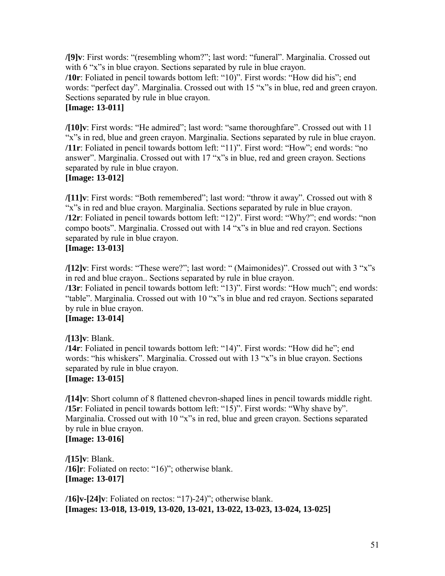**/[9]v**: First words: "(resembling whom?"; last word: "funeral". Marginalia. Crossed out with 6 "x" in blue crayon. Sections separated by rule in blue crayon. **/10r**: Foliated in pencil towards bottom left: "10)". First words: "How did his"; end words: "perfect day". Marginalia. Crossed out with 15 "x"s in blue, red and green crayon. Sections separated by rule in blue crayon. **[Image: 13-011]** 

**/[10]v**: First words: "He admired"; last word: "same thoroughfare". Crossed out with 11 "x" in red, blue and green crayon. Marginalia. Sections separated by rule in blue crayon. **/11r**: Foliated in pencil towards bottom left: "11)". First word: "How"; end words: "no answer". Marginalia. Crossed out with  $17$  " $x$ "s in blue, red and green crayon. Sections separated by rule in blue crayon.

# **[Image: 13-012]**

**/[11]v**: First words: "Both remembered"; last word: "throw it away". Crossed out with 8 "x"s in red and blue crayon. Marginalia. Sections separated by rule in blue crayon. **/12r**: Foliated in pencil towards bottom left: "12)". First word: "Why?"; end words: "non compo boots". Marginalia. Crossed out with 14 "x"s in blue and red crayon. Sections separated by rule in blue crayon.

# **[Image: 13-013]**

**/[12]v**: First words: "These were?"; last word: " (Maimonides)". Crossed out with 3 "x"s in red and blue crayon.. Sections separated by rule in blue crayon.

**/13r**: Foliated in pencil towards bottom left: "13)". First words: "How much"; end words: "table". Marginalia. Crossed out with 10 "x"s in blue and red crayon. Sections separated by rule in blue crayon.

#### **[Image: 13-014]**

**/[13]v**: Blank.

**/14r**: Foliated in pencil towards bottom left: "14)". First words: "How did he"; end words: "his whiskers". Marginalia. Crossed out with 13 "x"s in blue crayon. Sections separated by rule in blue crayon.

#### **[Image: 13-015]**

**/[14]v**: Short column of 8 flattened chevron-shaped lines in pencil towards middle right. **/15r**: Foliated in pencil towards bottom left: "15)". First words: "Why shave by". Marginalia. Crossed out with 10 "x"s in red, blue and green crayon. Sections separated by rule in blue crayon.

# **[Image: 13-016]**

**/[15]v**: Blank.  $\sqrt{16}$ **r**: Foliated on recto: " $16$ "; otherwise blank. **[Image: 13-017]** 

 $\lambda$ **16]v-[24]v**: Foliated on rectos: "17)-24)"; otherwise blank. **[Images: 13-018, 13-019, 13-020, 13-021, 13-022, 13-023, 13-024, 13-025]**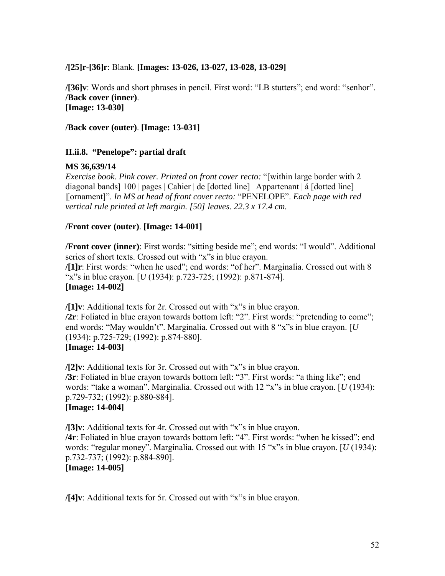#### <span id="page-51-0"></span>**/[25]r-[36]r**: Blank. **[Images: 13-026, 13-027, 13-028, 13-029]**

**/[36]v**: Words and short phrases in pencil. First word: "LB stutters"; end word: "senhor". **/Back cover (inner)**. **[Image: 13-030]** 

**/Back cover (outer)**. **[Image: 13-031]** 

#### **II.ii.8. "Penelope": partial draft**

#### **MS 36,639/14**

*Exercise book. Pink cover. Printed on front cover recto:* "[within large border with 2 diagonal bands] 100 | pages | Cahier | de [dotted line] | Appartenant | á [dotted line] |[ornament]î. *In MS at head of front cover recto:* ìPENELOPEî. *Each page with red vertical rule printed at left margin. [50] leaves. 22.3 x 17.4 cm.*

#### **/Front cover (outer)**. **[Image: 14-001]**

**/Front cover (inner)**: First words: "sitting beside me"; end words: "I would". Additional series of short texts. Crossed out with "x"s in blue crayon. **/[1]r**: First words: "when he used"; end words: "of her". Marginalia. Crossed out with 8 ìxîs in blue crayon. [*U* (1934): p.723-725; (1992): p.871-874]. **[Image: 14-002]** 

**/[1]v**: Additional texts for 2r. Crossed out with "x"s in blue crayon. **/2r**: Foliated in blue crayon towards bottom left: "2". First words: "pretending to come"; end words: "May wouldn't". Marginalia. Crossed out with  $8$  "x"s in blue crayon. [ $U$ (1934): p.725-729; (1992): p.874-880].

#### **[Image: 14-003]**

**/[2]v**: Additional texts for 3r. Crossed out with "x"s in blue crayon. **/3r**: Foliated in blue crayon towards bottom left: "3". First words: "a thing like"; end words: "take a woman". Marginalia. Crossed out with 12 "x"s in blue crayon. [*U* (1934): p.729-732; (1992): p.880-884]. **[Image: 14-004]** 

**/[3]v**: Additional texts for 4r. Crossed out with "x"s in blue crayon. /4r: Foliated in blue crayon towards bottom left: "4". First words: "when he kissed"; end words: "regular money". Marginalia. Crossed out with 15 "x"s in blue crayon. [*U* (1934): p.732-737; (1992): p.884-890].

#### **[Image: 14-005]**

**/[4]v**: Additional texts for 5r. Crossed out with "x"s in blue crayon.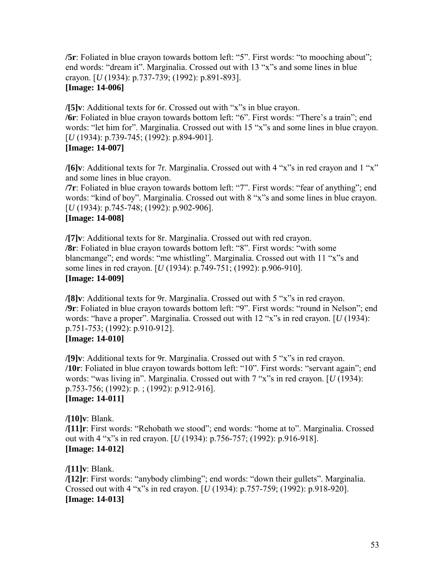**/5r**: Foliated in blue crayon towards bottom left: "5". First words: "to mooching about"; end words: "dream it". Marginalia. Crossed out with 13 "x"s and some lines in blue crayon. [*U* (1934): p.737-739; (1992): p.891-893]. **[Image: 14-006]** 

**/[5]v**: Additional texts for 6r. Crossed out with "x"s in blue crayon.

**/6r**: Foliated in blue crayon towards bottom left: "6". First words: "There's a train"; end words: "let him for". Marginalia. Crossed out with 15 "x"s and some lines in blue crayon. [*U* (1934): p.739-745; (1992): p.894-901]. **[Image: 14-007]** 

**/[6]v**: Additional texts for 7r. Marginalia. Crossed out with 4 "x" in red crayon and  $1$  "x" and some lines in blue crayon.

**/7r**: Foliated in blue crayon towards bottom left: "7". First words: "fear of anything"; end words: "kind of boy". Marginalia. Crossed out with 8 "x" and some lines in blue crayon. [*U* (1934): p.745-748; (1992): p.902-906].

#### **[Image: 14-008]**

**/[7]v**: Additional texts for 8r. Marginalia. Crossed out with red crayon. **/8r**: Foliated in blue crayon towards bottom left: "8". First words: "with some blancmange"; end words: "me whistling". Marginalia. Crossed out with 11 "x"s and some lines in red crayon. [*U* (1934): p.749-751; (1992): p.906-910]. **[Image: 14-009]** 

**/[8]v**: Additional texts for 9r. Marginalia. Crossed out with 5 "x"s in red crayon. **/9r**: Foliated in blue crayon towards bottom left: "9". First words: "round in Nelson"; end words: "have a proper". Marginalia. Crossed out with 12 "x"s in red crayon. [*U* (1934): p.751-753; (1992): p.910-912]. **[Image: 14-010]** 

**/[9]v**: Additional texts for 9r. Marginalia. Crossed out with 5 "x"s in red crayon. **/10r**: Foliated in blue crayon towards bottom left: "10". First words: "servant again"; end words: "was living in". Marginalia. Crossed out with 7 "x"s in red crayon. [*U* (1934): p.753-756; (1992): p. ; (1992): p.912-916]. **[Image: 14-011]** 

**/[10]v**: Blank. /[11] r: First words: "Rehobath we stood"; end words: "home at to". Marginalia. Crossed out with 4 "x"s in red crayon. [*U* (1934): p.756-757; (1992): p.916-918]. **[Image: 14-012]** 

**/[11]v**: Blank. **/[12]r**: First words: "anybody climbing"; end words: "down their gullets". Marginalia. Crossed out with 4 "x"s in red crayon. [*U* (1934): p.757-759; (1992): p.918-920]. **[Image: 14-013]**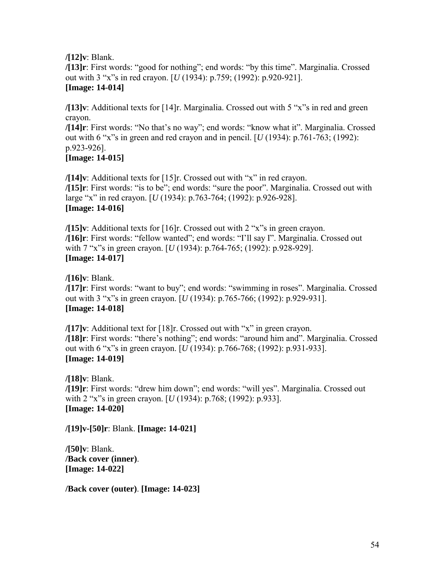**/[12]v**: Blank.

**/[13]r**: First words: "good for nothing"; end words: "by this time". Marginalia. Crossed out with 3 "x"s in red crayon. [*U* (1934): p.759; (1992): p.920-921]. **[Image: 14-014]** 

**/[13]v**: Additional texts for [14]r. Marginalia. Crossed out with 5 "x"s in red and green crayon.

**/[14]r**: First words: "No that's no way"; end words: "know what it". Marginalia. Crossed out with 6 "x"s in green and red crayon and in pencil.  $[U(1934): p.761-763; (1992):$ p.923-926].

# **[Image: 14-015]**

**/[14]v**: Additional texts for  $[15]$ r. Crossed out with "x" in red crayon. /[15]r: First words: "is to be"; end words: "sure the poor". Marginalia. Crossed out with large "x" in red crayon. [*U* (1934): p.763-764; (1992): p.926-928]. **[Image: 14-016]** 

**/[15]v**: Additional texts for  $[16]$ r. Crossed out with 2 "x"s in green crayon. /[16]r: First words: "fellow wanted"; end words: "I'll say I". Marginalia. Crossed out with 7 "x"s in green crayon. [*U* (1934): p.764-765; (1992): p.928-929]. **[Image: 14-017]** 

**/[16]v**: Blank. **/[17]r**: First words: "want to buy"; end words: "swimming in roses". Marginalia. Crossed out with 3 "x"s in green crayon. [*U* (1934): p.765-766; (1992): p.929-931]. **[Image: 14-018]** 

**/[17]v**: Additional text for  $[18]$ r. Crossed out with "x" in green crayon. **/[18]r**: First words: "there's nothing"; end words: "around him and". Marginalia. Crossed out with 6 "x"s in green crayon. [*U* (1934): p.766-768; (1992): p.931-933]. **[Image: 14-019]** 

**/[18]v**: Blank. **/[19]r**: First words: "drew him down"; end words: "will yes". Marginalia. Crossed out with 2 "x"s in green crayon. [*U* (1934): p.768; (1992): p.933]. **[Image: 14-020]** 

**/[19]v-[50]r**: Blank. **[Image: 14-021]** 

**/[50]v**: Blank. **/Back cover (inner)**. **[Image: 14-022]** 

**/Back cover (outer)**. **[Image: 14-023]**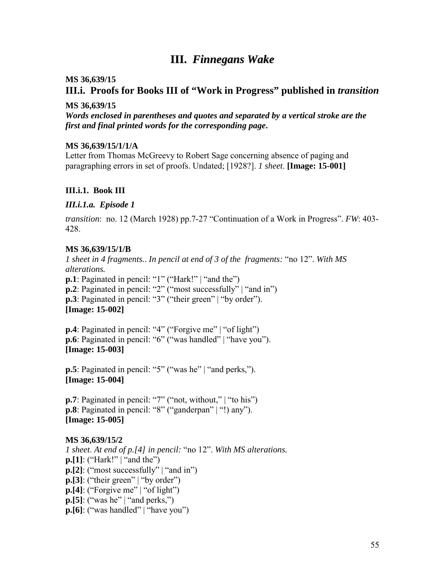# **III.** *Finnegans Wake*

#### <span id="page-54-0"></span>**MS 36,639/15**

# **III.i. Proofs for Books III of "Work in Progress" published in** *transition*

#### **MS 36,639/15**

*Words enclosed in parentheses and quotes and separated by a vertical stroke are the first and final printed words for the corresponding page***.** 

#### **MS 36,639/15/1/1/A**

Letter from Thomas McGreevy to Robert Sage concerning absence of paging and paragraphing errors in set of proofs. Undated; [1928?]. *1 sheet*. **[Image: 15-001]** 

#### **III.i.1. Book III**

#### *III.i.1.a. Episode 1*

*transition*: no. 12 (March 1928) pp.7-27 "Continuation of a Work in Progress". *FW*: 403-428.

#### **MS 36,639/15/1/B**

*1 sheet in 4 fragments.. In pencil at end of 3 of the fragments:* "no 12". With MS *alterations.* **p.1**: Paginated in pencil: "1" ("Hark!" | "and the") **p.2**: Paginated in pencil: "2" ("most successfully"  $\vert$  "and in") **p.3**: Paginated in pencil: "3" ("their green" | "by order"). **[Image: 15-002]** 

**p.4**: Paginated in pencil: "4" ("Forgive me" | "of light") **p.6**: Paginated in pencil: "6" ("was handled" | "have you"). **[Image: 15-003]** 

**p.5**: Paginated in pencil: "5" ("was he" | "and perks,"). **[Image: 15-004]** 

**p.7**: Paginated in pencil: "7" ("not, without,"  $\vert$  "to his") **p.8**: Paginated in pencil: "8" ("ganderpan"  $|$ "!) any"). **[Image: 15-005]** 

#### **MS 36,639/15/2**

*1 sheet. At end of p.[4] in pencil:* "no 12". *With MS alterations.*  $\mathbf{p}$ .[1]: ("Hark!" | "and the")  $\mathbf{p}$ .[2]: ("most successfully" | "and in")  $\mathbf{p}$ .[3]: ("their green" | "by order")  $\mathbf{p}$ .[4]: ("Forgive me" | "of light")  $\mathbf{p}$ . [5]: ("was he" | "and perks,")  $\mathbf{p}$ . [6]: ("was handled" | "have you")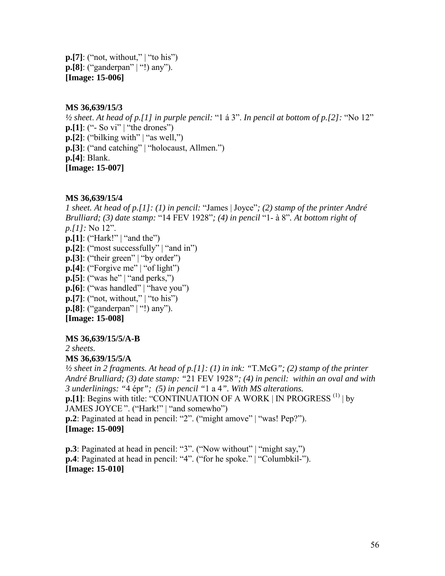$\mathbf{p}$ . [7]: ("not, without," | "to his") **p.[8]**: ("ganderpan" | "!) any"). **[Image: 15-006]** 

#### **MS 36,639/15/3**

 $\frac{1}{2}$  sheet. At head of p.[1] in purple pencil: "1  $\land$  3". In pencil at bottom of p.[2]: "No 12" **p.**[1]: (" - So vi" | "the drones") **p.[2]**: ("bilking with" | "as well,") **p.**[3]: ("and catching" | "holocaust, Allmen.") **p.[4]**: Blank. **[Image: 15-007]** 

### **MS 36,639/15/4**

*1 sheet. At head of p.[1]: (1) in pencil: "James | Joyce"; (2) stamp of the printer André Brulliard; (3) date stamp:* "14 FEV 1928"; *(4) in pencil* "1- à 8". At bottom right of *p.[1]:* No 12".  $\mathbf{p}$ .[1]: ("Hark!" | "and the")  $\mathbf{p}$ .[2]: ("most successfully" | "and in")  $\mathbf{p}$ . [3]: ("their green" | "by order")  $\mathbf{p}$ .[4]: ("Forgive me" | "of light")  $\mathbf{p}$ .[5]: ("was he" | "and perks,")  $\mathbf{p}$ .[6]: ("was handled" | "have you")  $\mathbf{p}$ . [7]: ("not, without," | "to his") **p.[8]**: ("ganderpan" | "!) any"). **[Image: 15-008]** 

#### **MS 36,639/15/5/A-B**

*2 sheets.* 

#### **MS 36,639/15/5/A**

*½ sheet in 2 fragments. At head of p.[1]: (1) in ink: "*T.McG*"; (2) stamp of the printer André Brulliard; (3) date stamp: "*21 FEV 1928*"; (4) in pencil: within an oval and with 3 underlinings: "*4 Èpr*"; (5) in pencil "*1 a 4*". With MS alterations.*  **p.[1]**: Begins with title: "CONTINUATION OF A WORK | IN PROGRESS  $^{(1)}$  | by JAMES JOYCE". ("Hark!" | "and somewho") **p.2**: Paginated at head in pencil: "2". ("might amove" | "was! Pep?"). **[Image: 15-009]** 

**p.3**: Paginated at head in pencil: "3". ("Now without" | "might say,") **p.4**: Paginated at head in pencil: "4". ("for he spoke." | "Columbkil-"). **[Image: 15-010]**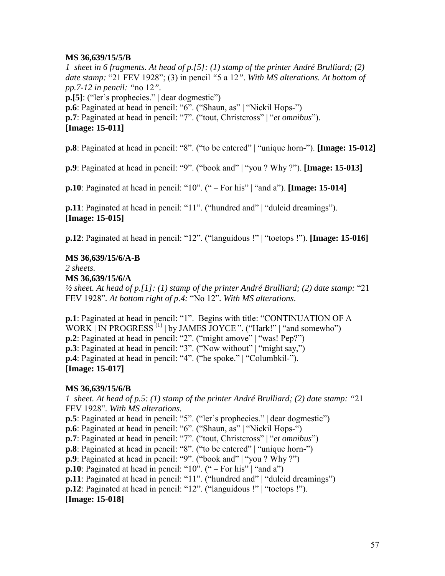#### **MS 36,639/15/5/B**

*1 sheet in 6 fragments. At head of p.[5]: (1) stamp of the printer André Brulliard; (2) date stamp:* "21 FEV 1928"; (3) in pencil "5 a 12". With MS alterations. At bottom of *pp.7-12 in pencil: "*no 12*".*   $\mathbf{p}$ . [5]: ("ler's prophecies."  $\vert$  dear dogmestic") **p.6**: Paginated at head in pencil: "6". ("Shaun, as" | "Nickil Hops-") **p.7**: Paginated at head in pencil: "7". ("tout, Christcross" | "*et omnibus*"). **[Image: 15-011]** 

**p.8**: Paginated at head in pencil: "8". ("to be entered" | "unique horn-"). **[Image: 15-012]** 

**p.9**: Paginated at head in pencil: "9". ("book and" | "you ? Why ?"). **[Image: 15-013]** 

**p.10**: Paginated at head in pencil: "10". (" – For his" | "and a"). **[Image: 15-014]** 

**p.11**: Paginated at head in pencil: "11". ("hundred and" | "dulcid dreamings"). **[Image: 15-015]** 

**p.12**: Paginated at head in pencil: "12". ("languidous !" | "toetops !"). **[Image: 15-016**]

#### **MS 36,639/15/6/A-B**

*2 sheets.* 

**MS 36,639/15/6/A** 

 $\frac{1}{2}$  sheet. At head of p.[1]: (1) stamp of the printer André Brulliard; (2) date stamp: "21 FEV 1928". At bottom right of p.4: "No 12". With MS alterations.

**p.1**: Paginated at head in pencil: "1". Begins with title: "CONTINUATION OF A  $WORK$  | IN PROGRESS<sup>(1)</sup> | by JAMES JOYCE ". ("Hark!" | "and somewho") **p.2**: Paginated at head in pencil: "2". ("might amove" | "was! Pep?") **p.3**: Paginated at head in pencil: " $3$ ". ("Now without" | "might say,") **p.4**: Paginated at head in pencil: "4". ("he spoke." | "Columbkil-"). **[Image: 15-017]** 

#### **MS 36,639/15/6/B**

*1 sheet. At head of p.5: (1) stamp of the printer André Brulliard; (2) date stamp: "*21 FEV 1928î*. With MS alterations.*  **p.5**: Paginated at head in pencil: "5". ("ler's prophecies." | dear dogmestic") **p.6**: Paginated at head in pencil: "6". ("Shaun, as" | "Nickil Hops-") **p.7**: Paginated at head in pencil: "7". ("tout, Christcross" | "*et omnibus*") **p.8**: Paginated at head in pencil: "8". ("to be entered" | "unique horn-") **p.9**: Paginated at head in pencil: "9". ("book and" | "you ? Why ?") **p.10**: Paginated at head in pencil: " $10$ ". (" – For his" | "and a") **p.11**: Paginated at head in pencil: "11". ("hundred and" | "dulcid dreamings") **p.12**: Paginated at head in pencil: " $12$ ". ("languidous !" | "toetops !"). **[Image: 15-018]**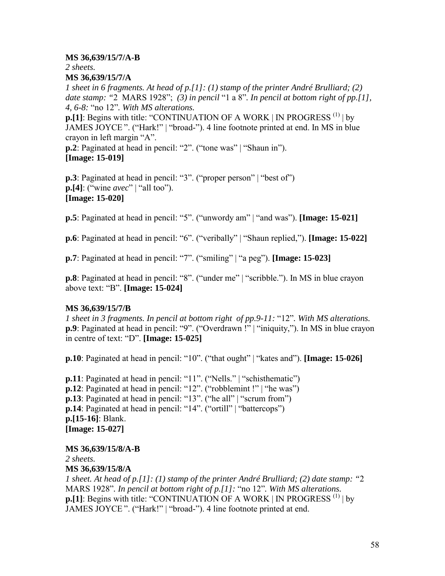#### **MS 36,639/15/7/A-B**

*2 sheets.* 

#### **MS 36,639/15/7/A**

*1 sheet in 6 fragments. At head of p.[1]: (1) stamp of the printer André Brulliard; (2) date stamp:* "2 MARS 1928"; (3) in pencil "1 a 8". In pencil at bottom right of pp.[1], *4, 6-8:* ìno 12î*. With MS alterations.*

**p.[1]**: Begins with title: "CONTINUATION OF A WORK  $|N|$  PROGRESS  $^{(1)}$  by JAMES JOYCE". ("Hark!" | "broad-"). 4 line footnote printed at end. In MS in blue crayon in left margin "A".

**p.2**: Paginated at head in pencil: "2". ("tone was" | "Shaun in"). **[Image: 15-019]** 

**p.3**: Paginated at head in pencil: "3". ("proper person" | "best of") **p.**[4]: ("wine *avec*" | "all too"). **[Image: 15-020]** 

**p.5**: Paginated at head in pencil: "5". ("unwordy am" | "and was"). **[Image: 15-021]** 

**p.6**: Paginated at head in pencil: "6". ("veribally" | "Shaun replied,"). **[Image: 15-022]** 

**p.7**: Paginated at head in pencil: "7". ("smiling" | "a peg"). **[Image: 15-023]** 

**p.8**: Paginated at head in pencil: "8". ("under me" | "scribble."). In MS in blue crayon above text: "B". **[Image: 15-024]** 

#### **MS 36,639/15/7/B**

*1 sheet in 3 fragments. In pencil at bottom right of pp.9-11:* "12". With MS alterations. **p.9**: Paginated at head in pencil: "9". ("Overdrawn !" | "iniquity,"). In MS in blue crayon in centre of text:  $\text{``D''}$ . **[Image: 15-025]** 

**p.10**: Paginated at head in pencil: " $10$ ". ("that ought" | "kates and"). **[Image: 15-026]** 

**p.11**: Paginated at head in pencil: "11". ("Nells." | "schisthematic") **p.12**: Paginated at head in pencil: " $12$ ". ("robblemint !" | "he was") **p.13**: Paginated at head in pencil: "13". ("he all" | "scrum from") **p.14**: Paginated at head in pencil: "14". ("ortill" | "battercops") **p.[15-16]**: Blank. **[Image: 15-027]** 

#### **MS 36,639/15/8/A-B**

*2 sheets.* 

#### **MS 36,639/15/8/A**

*1 sheet. At head of p.[1]: (1) stamp of the printer André Brulliard; (2) date stamp: "*2 MARS 1928î*. In pencil at bottom right of p.[1]:* ìno 12î*. With MS alterations.* **p.[1]**: Begins with title: "CONTINUATION OF A WORK  $|N|$  PROGRESS  $^{(1)}$  by JAMES JOYCE". ("Hark!" | "broad-"). 4 line footnote printed at end.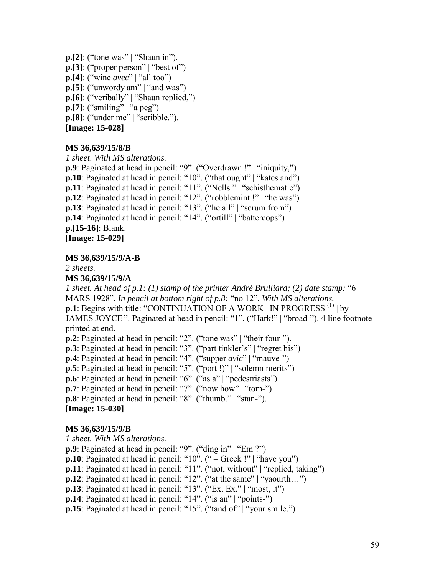$\mathbf{p}$ .[2]: ("tone was" | "Shaun in").  $\mathbf{p}$ .[3]: ("proper person" | "best of") **p.**[4]: ("wine  $avec$ " | "all too") **p.[5]**: ("unwordy am"  $|$  "and was") p.[6]: ("veribally" | "Shaun replied,")  $\mathbf{p}$ .[7]: ("smiling" | "a peg")  $\mathbf{p}$ . [8]: ("under me" | "scribble."). **[Image: 15-028]** 

#### **MS 36,639/15/8/B**

*1 sheet*. *With MS alterations.* **p.9**: Paginated at head in pencil: "9". ("Overdrawn !" | "iniquity,") **p.10**: Paginated at head in pencil: "10". ("that ought" | "kates and") **p.11**: Paginated at head in pencil: "11". ("Nells." | "schisthematic") **p.12**: Paginated at head in pencil: " $12$ ". ("robblemint !" | "he was") **p.13**: Paginated at head in pencil: " $13$ ". ("he all" | "scrum from") **p.14**: Paginated at head in pencil: "14". ("ortill" | "battercops") **p.[15-16]**: Blank. **[Image: 15-029]** 

#### **MS 36,639/15/9/A-B**

*2 sheets.*

**MS 36,639/15/9/A** 

*1 sheet. At head of p.1: (1) stamp of the printer André Brulliard; (2) date stamp:* "6 MARS 1928<sup>*n*</sup>. In pencil at bottom right of p.8: "no 12". With MS alterations. **p.1**: Begins with title: "CONTINUATION OF A WORK  $|N|$  PROGRESS  $^{(1)}$  by JAMES JOYCE". Paginated at head in pencil: "1". ("Hark!" | "broad-"). 4 line footnote printed at end.

**p.2**: Paginated at head in pencil: "2". ("tone was" | "their four-").

**p.3**: Paginated at head in pencil: "3". ("part tinkler's" | "regret his")

**p.4**: Paginated at head in pencil: "4". ("supper *avic*" | "mauve-")

**p.5**: Paginated at head in pencil: "5". ("port !)" | "solemn merits")

**p.6**: Paginated at head in pencil: "6". ("as a" | "pedestriasts")

**p.7**: Paginated at head in pencil: "7". ("now how" | "tom-")

**p.8**: Paginated at head in pencil: "8". ("thumb." | "stan-"). **[Image: 15-030]** 

# **MS 36,639/15/9/B**

*1 sheet. With MS alterations.*

**p.9**: Paginated at head in pencil: "9". ("ding in" | "Em ?")

**p.10**: Paginated at head in pencil: " $10$ ". (" $-$  Greek !" | "have you")

**p.11**: Paginated at head in pencil: "11". ("not, without" | "replied, taking")

**p.12**: Paginated at head in pencil: " $12$ ". ("at the same" | "yaourth...")

**p.13**: Paginated at head in pencil: " $13$ ". ("Ex. Ex." | "most, it")

**p.14**: Paginated at head in pencil: "14". ("is an" | "points-")

**p.15**: Paginated at head in pencil: " $15$ ". ("tand of" | "your smile.")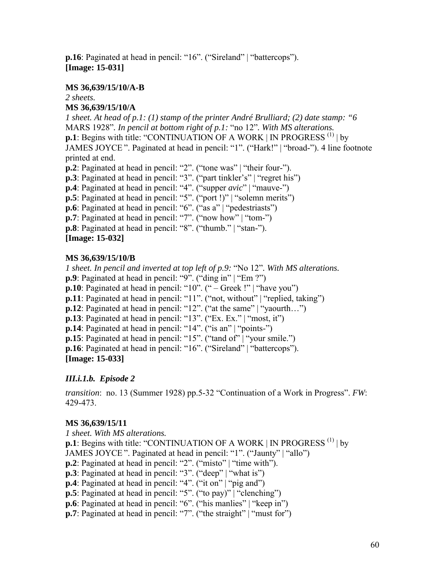**p.16**: Paginated at head in pencil: "16". ("Sireland" | "battercops"). **[Image: 15-031]** 

#### **MS 36,639/15/10/A-B**

*2 sheets.*

#### **MS 36,639/15/10/A**

*1 sheet. At head of p.1: (1) stamp of the printer André Brulliard; (2) date stamp: "6* MARS 1928"*. In pencil at bottom right of p.1*: "no 12". With MS alterations. **p.1**: Begins with title: "CONTINUATION OF A WORK  $|N|$  PROGRESS  $^{(1)}$  by JAMES JOYCE". Paginated at head in pencil: "1". ("Hark!" | "broad-"). 4 line footnote printed at end.

**p.2**: Paginated at head in pencil: "2". ("tone was" | "their four-").

**p.3**: Paginated at head in pencil: "3". ("part tinkler's" | "regret his")

**p.4**: Paginated at head in pencil: "4". ("supper *avic*" | "mauve-")

 $\mathbf{p.5}$ : Paginated at head in pencil: "5". ("port !)" | "solemn merits")

**p.6**: Paginated at head in pencil: "6". ("as a" | "pedestriasts")

**p.7**: Paginated at head in pencil: "7". ("now how" | "tom-")

**p.8**: Paginated at head in pencil: "8". ("thumb." | "stan-").

**[Image: 15-032]** 

# **MS 36,639/15/10/B**

*1 sheet. In pencil and inverted at top left of p.9: "No 12". With MS alterations.* **p.9**: Paginated at head in pencil: "9". ("ding in" | "Em ?")

**p.10**: Paginated at head in pencil: " $10$ ". (" $-$  Greek !" | "have you")

**p.11**: Paginated at head in pencil: "11". ("not, without" | "replied, taking")

**p.12**: Paginated at head in pencil: " $12$ ". ("at the same" | "yaourth...")

**p.13**: Paginated at head in pencil: " $13$ ". ("Ex. Ex." | "most, it")

**p.14**: Paginated at head in pencil: " $14$ ". ("is an" | "points-")

**p.15**: Paginated at head in pencil: " $15$ ". ("tand of" | "your smile.")

**p.16**: Paginated at head in pencil: "16". ("Sireland" | "battercops"). **[Image: 15-033]** 

# *III.i.1.b. Episode 2*

*transition*: no. 13 (Summer 1928) pp.5-32 "Continuation of a Work in Progress". *FW*: 429-473.

# **MS 36,639/15/11**

*1 sheet. With MS alterations.*  **p.1**: Begins with title: "CONTINUATION OF A WORK  $|N|$  PROGRESS  $^{(1)}$  by JAMES JOYCE". Paginated at head in pencil: "1". ("Jaunty" | "allo") **p.2**: Paginated at head in pencil: "2". ("misto" | "time with"). **p.3**: Paginated at head in pencil: "3". ("deep" | "what is") **p.4**: Paginated at head in pencil: "4". ("it on" | "pig and") **p.5**: Paginated at head in pencil: "5". ("to pay)" | "clenching") **p.6**: Paginated at head in pencil: "6". ("his manlies" | "keep in") **p.7**: Paginated at head in pencil: "7". ("the straight" | "must for")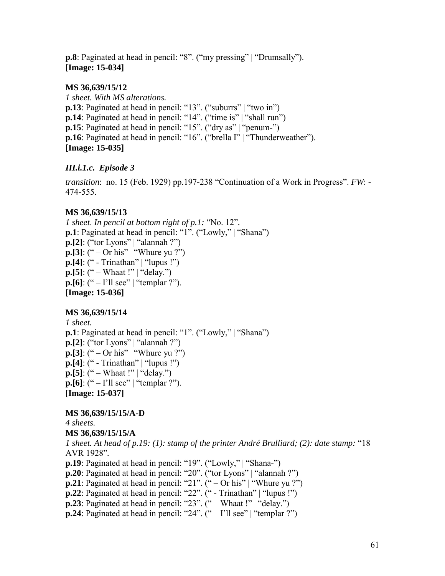**p.8**: Paginated at head in pencil: "8". ("my pressing" | "Drumsally"). **[Image: 15-034]** 

#### **MS 36,639/15/12**

*1 sheet. With MS alterations.* **p.13**: Paginated at head in pencil: "13". ("suburrs" | "two in") **p.14**: Paginated at head in pencil: "14". ("time is" | "shall run") **p.15**: Paginated at head in pencil: " $15$ ". ("dry as" | "penum-") **p.16**: Paginated at head in pencil: "16". ("brella I" | "Thunderweather"). **[Image: 15-035]** 

# *III.i.1.c. Episode 3*

*transition*: no. 15 (Feb. 1929) pp.197-238 "Continuation of a Work in Progress". *FW*: -474-555.

# **MS 36,639/15/13**

*1 sheet. In pencil at bottom right of p.1:* "No. 12". **p.1**: Paginated at head in pencil: "1". ("Lowly," | "Shana")  $\mathbf{p}$ .[2]: ("tor Lyons" | "alannah ?") **p.[3]**: (" – Or his" | "Whure yu ?")  $\mathbf{p}$ .[4]: (" - Trinathan" | "lupus !") **p.[5]**:  $({}^{\omega}$  – Whaat !" | "delay.") **p.**[6]: (" – I'll see" | "templar ?"). **[Image: 15-036]** 

# **MS 36,639/15/14**

*1 sheet.* **p.1**: Paginated at head in pencil: "1". ("Lowly," | "Shana")  $\mathbf{p}$ .[2]: ("tor Lyons" | "alannah ?") **p.[3]**: (" – Or his" | "Whure yu ?")  $\mathbf{p}$ .[4]: (" - Trinathan" | "lupus !") **p.[5]**:  $({}^{\omega}$  – Whaat !"  $|$  "delay.") **p.[6]**: (" $-I$ <sup>'ll</sup> see" | "templar ?"). **[Image: 15-037]** 

# **MS 36,639/15/15/A-D**

*4 sheets.*  **MS 36,639/15/15/A** 

*1 sheet. At head of p.19: (1): stamp of the printer André Brulliard; (2): date stamp: "18* AVR 1928î*.*

- **p.19**: Paginated at head in pencil: "19". ("Lowly," | "Shana-")
- **p.20**: Paginated at head in pencil: "20". ("tor Lyons" | "alannah ?")
- **p.21**: Paginated at head in pencil: "21". ("  $-$  Or his" | "Whure yu ?")
- $\bf{p.22}$ : Paginated at head in pencil: " $22$ ". (" Trinathan" | "lupus !")
- **p.23**: Paginated at head in pencil: " $23$ ". (" Whaat !" | "delay.")
- **p.24**: Paginated at head in pencil: "24".  $($ "  $-$  I'll see" | "templar ?")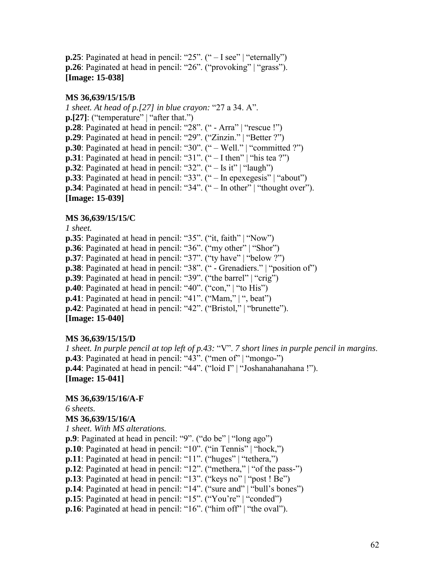**p.25**: Paginated at head in pencil: " $25$ ". (" $-$  I see" | "eternally") **p.26**: Paginated at head in pencil: "26". ("provoking" | "grass"). **[Image: 15-038]** 

#### **MS 36,639/15/15/B**

*1 sheet. At head of p.[27] in blue crayon: "27 a 34. A".*  $\mathbf{p}$ .[27]: ("temperature" | "after that.") **p.28**: Paginated at head in pencil: " $28$ ". (" - Arra" | "rescue !") **p.29**: Paginated at head in pencil: "29". ("Zinzin." | "Better ?") **p.30**: Paginated at head in pencil: "30".  $($ "  $-$  Well."  $|$  "committed ?") **p.31**: Paginated at head in pencil: "31".  $(\degree - I \text{ then} \degree)$  "his tea ?") **p.32**: Paginated at head in pencil: " $32$ ". (" $-$  Is it" | "laugh") **p.33**: Paginated at head in pencil: " $33$ ". (" – In epexegesis" | "about")  $\bf{p.34}$ : Paginated at head in pencil: "34". (" – In other" | "thought over"). **[Image: 15-039]** 

#### **MS 36,639/15/15/C**

*1 sheet.*

**p.35**: Paginated at head in pencil: " $35$ ". ("it, faith" | "Now")

**p.36**: Paginated at head in pencil: "36". ("my other" | "Shor")

**p.37**: Paginated at head in pencil: "37". ("ty have" | "below ?")

**p.38**: Paginated at head in pencil: "38". (" - Grenadiers." | "position of")

 $\bf{p.39}$ : Paginated at head in pencil: "39". ("the barrel" | "crig")

**p.40**: Paginated at head in pencil: "40". ("con," | "to His")

**p.41**: Paginated at head in pencil: "41". ("Mam,"  $|$ ", beat")

**p.42**: Paginated at head in pencil: "42". ("Bristol," | "brunette").

**[Image: 15-040]** 

#### **MS 36,639/15/15/D**

*1 sheet. In purple pencil at top left of p.43: "V". 7 short lines in purple pencil in margins.* **p.43**: Paginated at head in pencil: "43". ("men of"  $\lvert$  "mongo-") **p.44**: Paginated at head in pencil: "44". ("loid I" | "Joshanahanahana !"). **[Image: 15-041]** 

#### **MS 36,639/15/16/A-F**

*6 sheets.* 

#### **MS 36,639/15/16/A**

*1 sheet. With MS alterations.*

**p.9**: Paginated at head in pencil: "9". ("do be" | "long ago")

**p.10**: Paginated at head in pencil: " $10$ ". ("in Tennis" | "hock,")

**p.11**: Paginated at head in pencil: " $11$ ". ("huges" | "tethera,")

 $\bf{p.12}$ : Paginated at head in pencil: "12". ("methera," | "of the pass-")

**p.13**: Paginated at head in pencil: "13". ("keys no" | "post ! Be")

**p.14**: Paginated at head in pencil: "14". ("sure and" | "bull's bones")

**p.15**: Paginated at head in pencil: "15". ("You're" | "conded")

**p.16**: Paginated at head in pencil: " $16$ ". ("him off" | "the oval").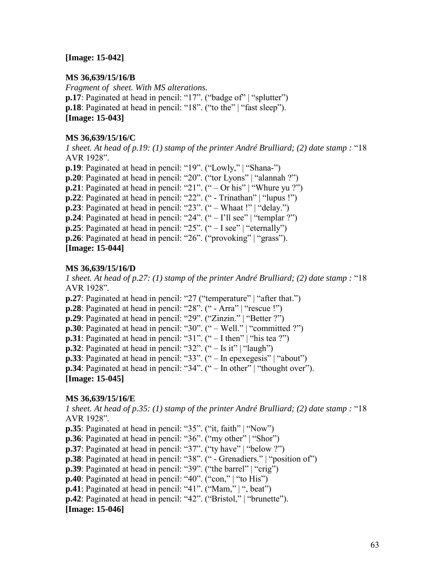#### **[Image: 15-042]**

#### **MS 36,639/15/16/B**

*Fragment of sheet. With MS alterations.* **p.17**: Paginated at head in pencil: " $17$ ". ("badge of" | "splutter") **p.18**: Paginated at head in pencil: "18". ("to the" | "fast sleep"). **[Image: 15-043]** 

#### **MS 36,639/15/16/C**

*1 sheet. At head of p.19: (1) stamp of the printer André Brulliard; (2) date stamp : "18* AVR 1928î*.* **p.19**: Paginated at head in pencil: "19". ("Lowly," | "Shana-") **p.20**: Paginated at head in pencil: "20". ("tor Lyons" | "alannah ?") **p.21**: Paginated at head in pencil: "21". ("  $-$  Or his" | "Whure yu ?")

 $\bf{p.22}$ : Paginated at head in pencil: "22". (" - Trinathan" | "lupus !")

**p.23**: Paginated at head in pencil: " $23$ ". (" – Whaat !" | "delay.")

**p.24**: Paginated at head in pencil: "24".  $($ "  $-$  I'll see"  $|$  "templar ?")

**p.25**: Paginated at head in pencil: " $25$ ". (" $-$  I see" | "eternally")

**p.26**: Paginated at head in pencil: "26". ("provoking" | "grass").

### **[Image: 15-044]**

### **MS 36,639/15/16/D**

*1 sheet. At head of p.27: (1) stamp of the printer André Brulliard; (2) date stamp : "18* AVR 1928î*.*

**p.27**: Paginated at head in pencil: "27 ("temperature" | "after that.")

**p.28**: Paginated at head in pencil: " $28$ ". (" - Arra" | "rescue !")

 $\bf{p.29}$ : Paginated at head in pencil: "29". ("Zinzin." | "Better ?")

**p.30**: Paginated at head in pencil: " $30$ ". (" – Well." | "committed ?")

**p.31**: Paginated at head in pencil: "31".  $(\degree - \text{I} \text{ then} \degree)$  "his tea ?")

**p.32**: Paginated at head in pencil: " $32$ ". (" – Is it" | "laugh")

**p.33**: Paginated at head in pencil: " $33$ ". (" – In epexegesis" | "about")

**p.34**: Paginated at head in pencil: " $34$ ". (" – In other" | "thought over").

**[Image: 15-045]** 

# **MS 36,639/15/16/E**

*1* sheet. At head of p.35: (1) stamp of the printer André Brulliard; (2) date stamp : "18 AVR 1928î*.*

**p.35**: Paginated at head in pencil: "35". ("it, faith" | "Now")

**p.36**: Paginated at head in pencil: "36". ("my other" | "Shor")

**p.37**: Paginated at head in pencil: "37". ("ty have" | "below ?")

**p.38**: Paginated at head in pencil: "38". (" - Grenadiers." | "position of")

 $\bf{p.39}$ : Paginated at head in pencil: "39". ("the barrel"  $|$  "crig")

**p.40**: Paginated at head in pencil: " $40$ ". ("con," | "to His")

**p.41**: Paginated at head in pencil: "41". ("Mam,"  $|$ ", beat")

**p.42**: Paginated at head in pencil: "42". ("Bristol," | "brunette").

#### **[Image: 15-046]**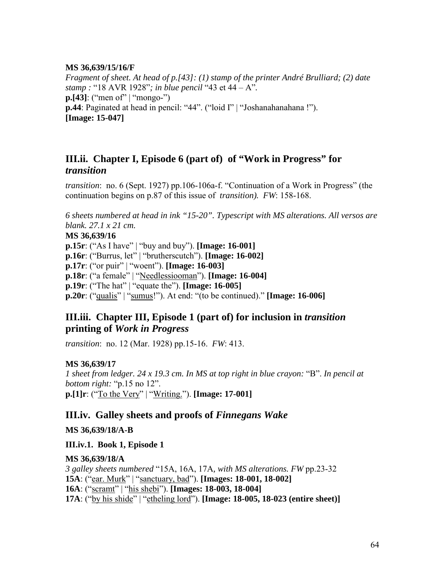#### <span id="page-63-0"></span>**MS 36,639/15/16/F**

*Fragment of sheet. At head of p.[43]: (1) stamp of the printer André Brulliard; (2) date stamp* : "18 AVR 1928"; *in blue pencil* "43 et 44 – A". **p.**[43]: ("men of" | "mongo-") **p.44**: Paginated at head in pencil: "44". ("loid I" | "Joshanahanahana !"). **[Image: 15-047]** 

# **III.ii. Chapter I, Episode 6 (part of) of "Work in Progress" for**  *transition*

*transition*: no. 6 (Sept. 1927) pp.106-106a-f. "Continuation of a Work in Progress" (the continuation begins on p.87 of this issue of *transition). FW*: 158-168.

*6 sheets numbered at head in ink "15-20". Typescript with MS alterations. All versos are blank. 27.1 x 21 cm.* 

#### **MS 36,639/16**

**p.15r**: ("As I have" | "buy and buy"). **[Image: 16-001] p.16r**: ("Burrus, let" | "brutherscutch"). **[Image: 16-002] p.17r**: ("or puir" | "woent"). **[Image: 16-003] p.18r**: ("a female" | "Needlessiooman"). **[Image: 16-004] p.19r**: ("The hat" | "equate the"). **[Image: 16-005] p.20r**: ("qualis" | "sumus!"). At end: "(to be continued)." **[Image: 16-006]** 

# **III.iii. Chapter III, Episode 1 (part of) for inclusion in** *transition* **printing of** *Work in Progress*

*transition*: no. 12 (Mar. 1928) pp.15-16. *FW*: 413.

# **MS 36,639/17**

*1 sheet from ledger.* 24 x 19.3 cm. In MS at top right in blue crayon: "B". In pencil at *bottom right:* "p.15 no 12". **p.** [1] **r**: ("To the Very" | "Writing."). **[Image: 17-001]** 

# **III.iv. Galley sheets and proofs of** *Finnegans Wake*

**MS 36,639/18/A-B** 

**III.iv.1. Book 1, Episode 1** 

#### **MS 36,639/18/A**

*3 galley sheets numbered* ì15A, 16A, 17A*, with MS alterations. FW* pp.23-32 **15A**: ("ear. Murk" | "sanctuary, bad"). **[Images: 18-001, 18-002] 16A**: ("scramt" | "his shebi"). **[Images: 18-003, 18-004] 17A**: ("by his shide" | "etheling lord"). **[Image: 18-005, 18-023 (entire sheet)]**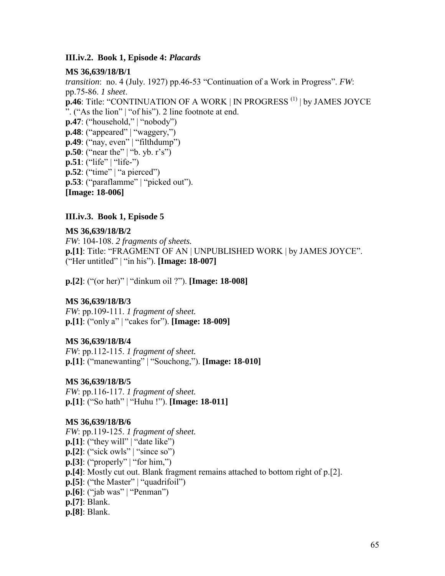#### <span id="page-64-0"></span>**III.iv.2. Book 1, Episode 4:** *Placards*

#### **MS 36,639/18/B/1**

*transition*: no. 4 (July. 1927) pp.46-53 "Continuation of a Work in Progress". *FW*: pp.75-86. *1 sheet*. **p.46**: Title: "CONTINUATION OF A WORK | IN PROGRESS<sup>(1)</sup> | by JAMES JOYCE  $\degree$ . ("As the lion" | "of his"). 2 line footnote at end.  $\mathbf{p.47}$ : ("household," | "nobody")  $\mathbf{p.48}$ : ("appeared" | "waggery,")  $\mathbf{p.49}$ : ("nay, even" | "filthdump") **p.50**: ("near the" | "b. yb. r's") **p.51**: ("life" | "life-")  $\mathbf{p}$ .52: ("time" | "a pierced") **p.53**: ("paraflamme" | "picked out"). **[Image: 18-006]** 

#### **III.iv.3. Book 1, Episode 5**

#### **MS 36,639/18/B/2**

*FW*: 104-108. *2 fragments of sheets.*  **p.[1]**: Title: "FRAGMENT OF AN | UNPUBLISHED WORK | by JAMES JOYCE". ("Her untitled" | "in his"). **[Image: 18-007]** 

**p.**[2]: ("(or her)" | "dinkum oil ?"). **[Image: 18-008]** 

#### **MS 36,639/18/B/3**

*FW*: pp.109-111. *1 fragment of sheet.*  **p.** [1]: ("only a" | "cakes for"). **[Image: 18-009]** 

#### **MS 36,639/18/B/4**

*FW*: pp.112-115. *1 fragment of sheet.*  **p.**[1]: ("manewanting" | "Souchong,"). **[Image: 18-010]** 

#### **MS 36,639/18/B/5**

*FW*: pp.116-117. *1 fragment of sheet.*  **p.** [1]: ("So hath" | "Huhu !"). **[Image: 18-011]** 

#### **MS 36,639/18/B/6**

*FW*: pp.119-125. *1 fragment of sheet.*   $\mathbf{p}$ .[1]: ("they will" | "date like")  $\mathbf{p}$ .[2]: ("sick owls" | "since so")  $\mathbf{p}$ .[3]: ("properly" | "for him,") **p.[4]**: Mostly cut out. Blank fragment remains attached to bottom right of p.[2]. **p.[5]**: ("the Master" | "quadrifoil")  $\mathbf{p}$ .[6]: ("jab was" | "Penman") **p.[7]**: Blank. **p.[8]**: Blank.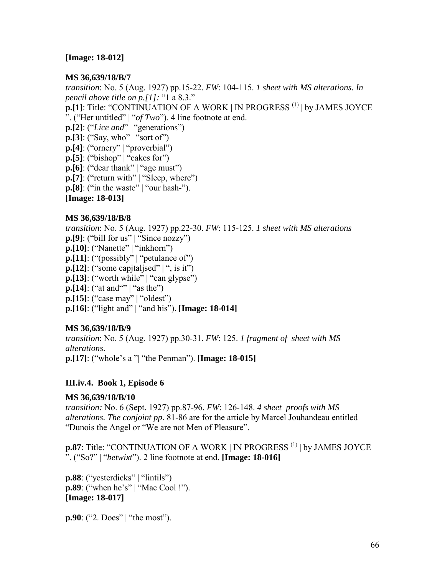#### <span id="page-65-0"></span>**[Image: 18-012]**

#### **MS 36,639/18/B/7**

*transition*: No. 5 (Aug. 1927) pp.15-22. *FW*: 104-115. *1 sheet with MS alterations. In pencil above title on p.[1]:* "1 a 8.3." **p.[1]**: Title: "CONTINUATION OF A WORK | IN PROGRESS<sup>(1)</sup> | by JAMES JOYCE î. (ìHer untitledî | ì*of Two*î). 4 line footnote at end.  $\mathbf{p}$ .[2]: ("*Lice and*" | "generations")  $\mathbf{p}$ .[3]: ("Say, who" | "sort of")  $\mathbf{p}$ .[4]: ("ornery" | "proverbial")  $\mathbf{p}$ .[5]: ("bishop" | "cakes for")  $\mathbf{p}$ .[6]: ("dear thank" | "age must")  $\mathbf{p}$ . [7]: ("return with" | "Sleep, where")  $\mathbf{p}$ .[8]: ("in the waste" | "our hash-"). **[Image: 18-013] MS 36,639/18/B/8** 

*transition*: No. 5 (Aug. 1927) pp.22-30. *FW*: 115-125. *1 sheet with MS alterations*  $\mathbf{p}$ .[9]: ("bill for us" | "Since nozzy") **p.[10]**: ("Nanette" | "inkhorn") **p.[11]**: ("(possibly" | "petulance of") **p.**[12]: ("some capitalised"  $|$  ", is it")  $\mathbf{p}$ .[13]: ("worth while" | "can glypse")  $\mathbf{p}$ .[14]: ("at and"" | "as the")  $\mathbf{p}$ .[15]: ("case may" | "oldest") **p.**[16]: ("light and" | "and his"). **[Image: 18-014]** 

#### **MS 36,639/18/B/9**

*transition*: No. 5 (Aug. 1927) pp.30-31. *FW*: 125. *1 fragment of sheet with MS alterations*. **p.** [17]: ("whole's a "| "the Penman"). **[Image: 18-015]** 

#### **III.iv.4. Book 1, Episode 6**

#### **MS 36,639/18/B/10**

*transition:* No. 6 (Sept. 1927) pp.87-96. *FW*: 126-148. *4 sheet proofs with MS alterations. The conjoint pp*. 81-86 are for the article by Marcel Jouhandeau entitled "Dunois the Angel or "We are not Men of Pleasure".

**p.87**: Title: "CONTINUATION OF A WORK | IN PROGRESS<sup>(1)</sup> | by JAMES JOYCE  $\therefore$  ("So?" | "*betwixt*"). 2 line footnote at end. **[Image: 18-016]** 

 $\mathbf{p.88}:$  ("yesterdicks" | "lintils") **p.89**: ("when he's" | "Mac Cool !"). **[Image: 18-017]** 

**p.90**: ("2. Does" | "the most").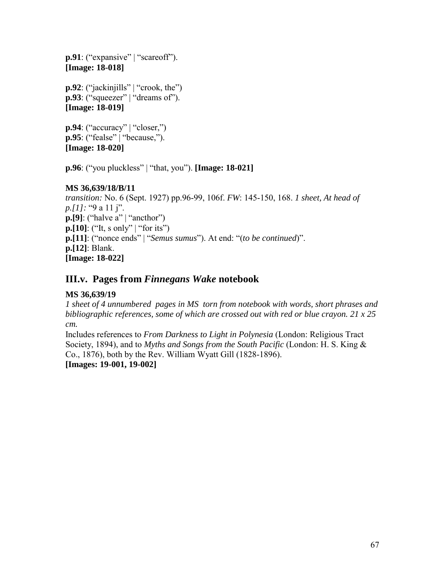<span id="page-66-0"></span>**p.91**: ("expansive" | "scareoff"). **[Image: 18-018]** 

 $\mathbf{p.92}$ : ("jackinjills" | "crook, the") **p.93**: ("squeezer" | "dreams of"). **[Image: 18-019]** 

 $\mathbf{p.94}$ : ("accuracy" | "closer,") **p.95**: ("fealse" | "because,"). **[Image: 18-020]** 

**p.96**: ("you pluckless" | "that, you"). **[Image: 18-021]** 

# **MS 36,639/18/B/11**

*transition:* No. 6 (Sept. 1927) pp.96-99, 106f. *FW*: 145-150, 168. *1 sheet, At head of p.*[1]: "9 a 11 j".  $\mathbf{p}$ .[9]: ("halve a" | "ancthor")  $\mathbf{p}$ .[10]: ("It, s only" | "for its") **p.[11]**: ("nonce ends" | "*Semus sumus*"). At end: "(to be continued)". **p.[12]**: Blank. **[Image: 18-022]** 

# **III.v. Pages from** *Finnegans Wake* **notebook**

# **MS 36,639/19**

*1 sheet of 4 unnumbered pages in MS torn from notebook with words, short phrases and bibliographic references, some of which are crossed out with red or blue crayon. 21 x 25 cm.* 

Includes references to *From Darkness to Light in Polynesia* (London: Religious Tract Society, 1894), and to *Myths and Songs from the South Pacific* (London: H. S. King & Co., 1876), both by the Rev. William Wyatt Gill (1828-1896).

**[Images: 19-001, 19-002]**